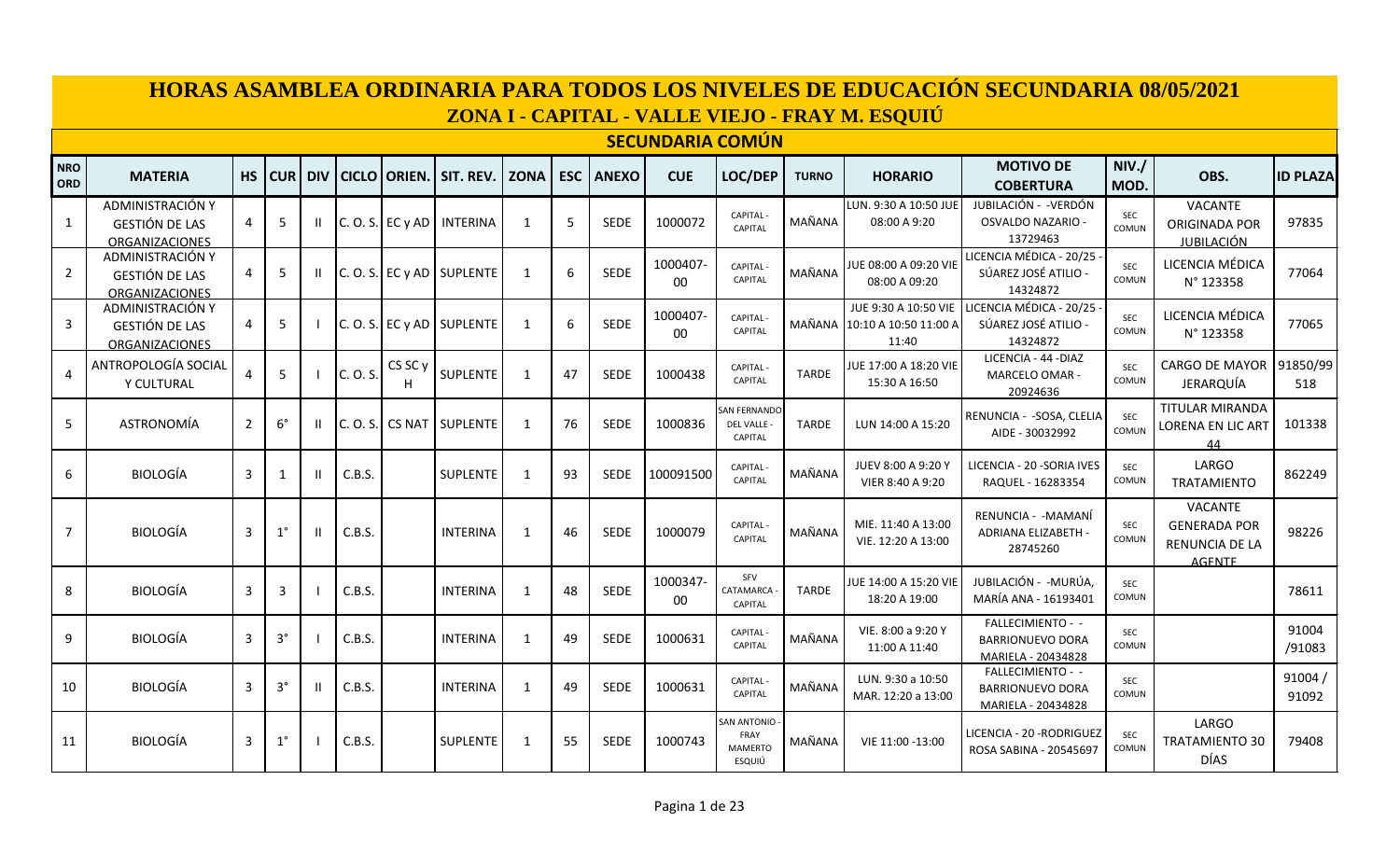|                          |                                                                                                                                                                                                                                                                                                                                                                                                                                                                                                                                                                                                                                                                                                                                                       |    |             |       |          |                    |                            |             |            |              |                         |                                                        |              | ZONA I - CAPITAL - VALLE VIEJO - FRAY M. ESQUIÚ | HORAS ASAMBLEA ORDINARIA PARA TODOS LOS NIVELES DE EDUCACIÓN SECUNDARIA 08/05/2021 |                     |                                                                          |                 |
|--------------------------|-------------------------------------------------------------------------------------------------------------------------------------------------------------------------------------------------------------------------------------------------------------------------------------------------------------------------------------------------------------------------------------------------------------------------------------------------------------------------------------------------------------------------------------------------------------------------------------------------------------------------------------------------------------------------------------------------------------------------------------------------------|----|-------------|-------|----------|--------------------|----------------------------|-------------|------------|--------------|-------------------------|--------------------------------------------------------|--------------|-------------------------------------------------|------------------------------------------------------------------------------------|---------------------|--------------------------------------------------------------------------|-----------------|
|                          |                                                                                                                                                                                                                                                                                                                                                                                                                                                                                                                                                                                                                                                                                                                                                       |    |             |       |          |                    |                            |             |            |              | <b>SECUNDARIA COMÚN</b> |                                                        |              |                                                 |                                                                                    |                     |                                                                          |                 |
| <b>NRO</b><br><b>ORD</b> | <b>MATERIA</b>                                                                                                                                                                                                                                                                                                                                                                                                                                                                                                                                                                                                                                                                                                                                        | HS | <b>CUR</b>  | l div |          |                    | CICLO   ORIEN.   SIT. REV. | <b>ZONA</b> | <b>ESC</b> | <b>ANEXO</b> | <b>CUE</b>              | LOC/DEP                                                | <b>TURNO</b> | <b>HORARIO</b>                                  | <b>MOTIVO DE</b><br><b>COBERTURA</b>                                               | NIV.<br>MOD.        | OBS.                                                                     | <b>ID PLAZA</b> |
| $\mathbf{1}$             | ADMINISTRACIÓN Y<br><b>GESTIÓN DE LAS</b><br><b>ORGANIZACIONES</b>                                                                                                                                                                                                                                                                                                                                                                                                                                                                                                                                                                                                                                                                                    | 4  | -5          |       |          | $C. O. S.$ EC y AD | INTERINA                   | 1           | 5          | <b>SEDE</b>  | 1000072                 | CAPITAL -<br><b>CAPITAL</b>                            | MAÑANA       | LUN. 9:30 A 10:50 JUE<br>08:00 A 9:20           | JUBILACIÓN - -VERDÓN<br>OSVALDO NAZARIO -<br>13729463                              | SEC<br>COMUN        | <b>VACANTE</b><br><b>ORIGINADA POR</b><br><b>JUBILACIÓN</b>              | 97835           |
| $\overline{2}$           | ADMINISTRACIÓN Y<br><b>GESTIÓN DE LAS</b><br><b>ORGANIZACIONES</b>                                                                                                                                                                                                                                                                                                                                                                                                                                                                                                                                                                                                                                                                                    | 4  | 5           | Ш     |          |                    | C. O. S. EC y AD SUPLENTE  | 1           | 6          | SEDE         | 1000407<br>$00\,$       | CAPITAL-<br><b>CAPITAL</b>                             | MAÑANA       | JUE 08:00 A 09:20 VIE<br>08:00 A 09:20          | LICENCIA MÉDICA - 20/25<br>SÚAREZ JOSÉ ATILIO -<br>14324872                        | <b>SEC</b><br>COMUN | LICENCIA MÉDICA<br>N° 123358                                             | 77064           |
| 3                        | ADMINISTRACIÓN Y<br>JUE 9:30 A 10:50 VIE<br>LICENCIA MÉDICA - 20/25<br>1000407<br>LICENCIA MÉDICA<br>CAPITAL -<br><b>SEC</b><br>6<br><b>SEDE</b><br>77065<br>5<br>C. O. S. EC y AD SUPLENTE<br>1<br>MAÑANA<br>SÚAREZ JOSÉ ATILIO -<br>10:10 A 10:50 11:00 A<br><b>GESTIÓN DE LAS</b><br>4<br><b>CAPITAL</b><br>COMUN<br>00<br>N° 123358<br>14324872<br>11:40<br><b>ORGANIZACIONES</b><br>LICENCIA - 44 - DIAZ<br>ANTROPOLOGÍA SOCIAL<br>91850/99<br>CS SC <sub>y</sub><br><b>CARGO DE MAYOR</b><br>JUE 17:00 A 18:20 VIE<br>CAPITAL-<br><b>SEC</b><br>C. O. S.<br><b>SUPLENTE</b><br>5<br>47<br><b>SEDE</b><br>1000438<br>1<br><b>TARDE</b><br>4<br>MARCELO OMAR -<br><b>CAPITAL</b><br>COMUN<br>Y CULTURAL<br>15:30 A 16:50<br>JERARQUÍA<br>518<br>H |    |             |       |          |                    |                            |             |            |              |                         |                                                        |              |                                                 |                                                                                    |                     |                                                                          |                 |
| 4                        | 20924636                                                                                                                                                                                                                                                                                                                                                                                                                                                                                                                                                                                                                                                                                                                                              |    |             |       |          |                    |                            |             |            |              |                         |                                                        |              |                                                 |                                                                                    |                     |                                                                          |                 |
| 5                        | <b>ASTRONOMÍA</b>                                                                                                                                                                                                                                                                                                                                                                                                                                                                                                                                                                                                                                                                                                                                     | 2  | $6^{\circ}$ | Ш     | C. O. S. | <b>CS NAT</b>      | <b>SUPLENTE</b>            | 1           | 76         | <b>SEDE</b>  | 1000836                 | <b>SAN FERNANDO</b><br>DEL VALLE -<br><b>CAPITAL</b>   | <b>TARDE</b> | LUN 14:00 A 15:20                               | RENUNCIA - - SOSA, CLELIA<br>AIDE - 30032992                                       | <b>SEC</b><br>COMUN | TITULAR MIRANDA<br>LORENA EN LIC ART<br>44                               | 101338          |
| 6                        | <b>BIOLOGÍA</b>                                                                                                                                                                                                                                                                                                                                                                                                                                                                                                                                                                                                                                                                                                                                       | 3  | -1          | Ш     | C.B.S.   |                    | <b>SUPLENTE</b>            | 1           | 93         | <b>SEDE</b>  | 100091500               | CAPITAL -<br>CAPITAL                                   | MAÑANA       | JUEV 8:00 A 9:20 Y<br>VIER 8:40 A 9:20          | LICENCIA - 20 -SORIA IVES<br>RAQUEL - 16283354                                     | <b>SEC</b><br>COMUN | LARGO<br>TRATAMIENTO                                                     | 862249          |
| $\overline{7}$           | <b>BIOLOGÍA</b>                                                                                                                                                                                                                                                                                                                                                                                                                                                                                                                                                                                                                                                                                                                                       | 3  | $1^{\circ}$ | Ш     | C.B.S.   |                    | <b>INTERINA</b>            | 1           | 46         | <b>SEDE</b>  | 1000079                 | CAPITAL-<br>CAPITAL                                    | MAÑANA       | MIE. 11:40 A 13:00<br>VIE. 12:20 A 13:00        | RENUNCIA - - MAMANÍ<br>ADRIANA ELIZABETH -<br>28745260                             | SEC<br>COMUN        | <b>VACANTE</b><br><b>GENERADA POR</b><br>RENUNCIA DE LA<br><b>AGENTE</b> | 98226           |
| 8                        | <b>BIOLOGÍA</b>                                                                                                                                                                                                                                                                                                                                                                                                                                                                                                                                                                                                                                                                                                                                       | 3  | 3           |       | C.B.S.   |                    | <b>INTERINA</b>            | 1           | 48         | <b>SEDE</b>  | 1000347-<br>00          | SFV<br>CATAMARCA<br><b>CAPITAL</b>                     | <b>TARDE</b> | JUE 14:00 A 15:20 VIE<br>18:20 A 19:00          | JUBILACIÓN - -MURÚA.<br>MARÍA ANA - 16193401                                       | <b>SEC</b><br>COMUN |                                                                          | 78611           |
| 9                        | <b>BIOLOGÍA</b>                                                                                                                                                                                                                                                                                                                                                                                                                                                                                                                                                                                                                                                                                                                                       | 3  | $3^{\circ}$ |       | C.B.S.   |                    | <b>INTERINA</b>            | 1           | 49         | <b>SEDE</b>  | 1000631                 | CAPITAL -<br><b>CAPITAL</b>                            | MAÑANA       | VIE. 8:00 a 9:20 Y<br>11:00 A 11:40             | FALLECIMIENTO - -<br><b>BARRIONUEVO DORA</b><br>MARIELA - 20434828                 | <b>SEC</b><br>COMUN |                                                                          | 91004<br>/91083 |
| 10                       | <b>BIOLOGÍA</b>                                                                                                                                                                                                                                                                                                                                                                                                                                                                                                                                                                                                                                                                                                                                       | 3  | $3^{\circ}$ | Ш     | C.B.S.   |                    | <b>INTERINA</b>            | 1           | 49         | <b>SEDE</b>  | 1000631                 | CAPITAL -<br>CAPITAL                                   | MAÑANA       | LUN. 9:30 a 10:50<br>MAR. 12:20 a 13:00         | FALLECIMIENTO - -<br><b>BARRIONUEVO DORA</b><br>MARIELA - 20434828                 | <b>SEC</b><br>COMUN |                                                                          | 91004/<br>91092 |
| 11                       | <b>BIOLOGÍA</b>                                                                                                                                                                                                                                                                                                                                                                                                                                                                                                                                                                                                                                                                                                                                       | 3  | $1^{\circ}$ |       | C.B.S.   |                    | <b>SUPLENTE</b>            | 1           | 55         | <b>SEDE</b>  | 1000743                 | <b>SAN ANTONIO</b><br>FRAY<br><b>MAMERTO</b><br>ESQUIÚ | MAÑANA       | VIE 11:00 -13:00                                | LICENCIA - 20 -RODRIGUEZ<br>ROSA SABINA - 20545697                                 | <b>SEC</b><br>COMUN | LARGO<br><b>TRATAMIENTO 30</b><br><b>DÍAS</b>                            | 79408           |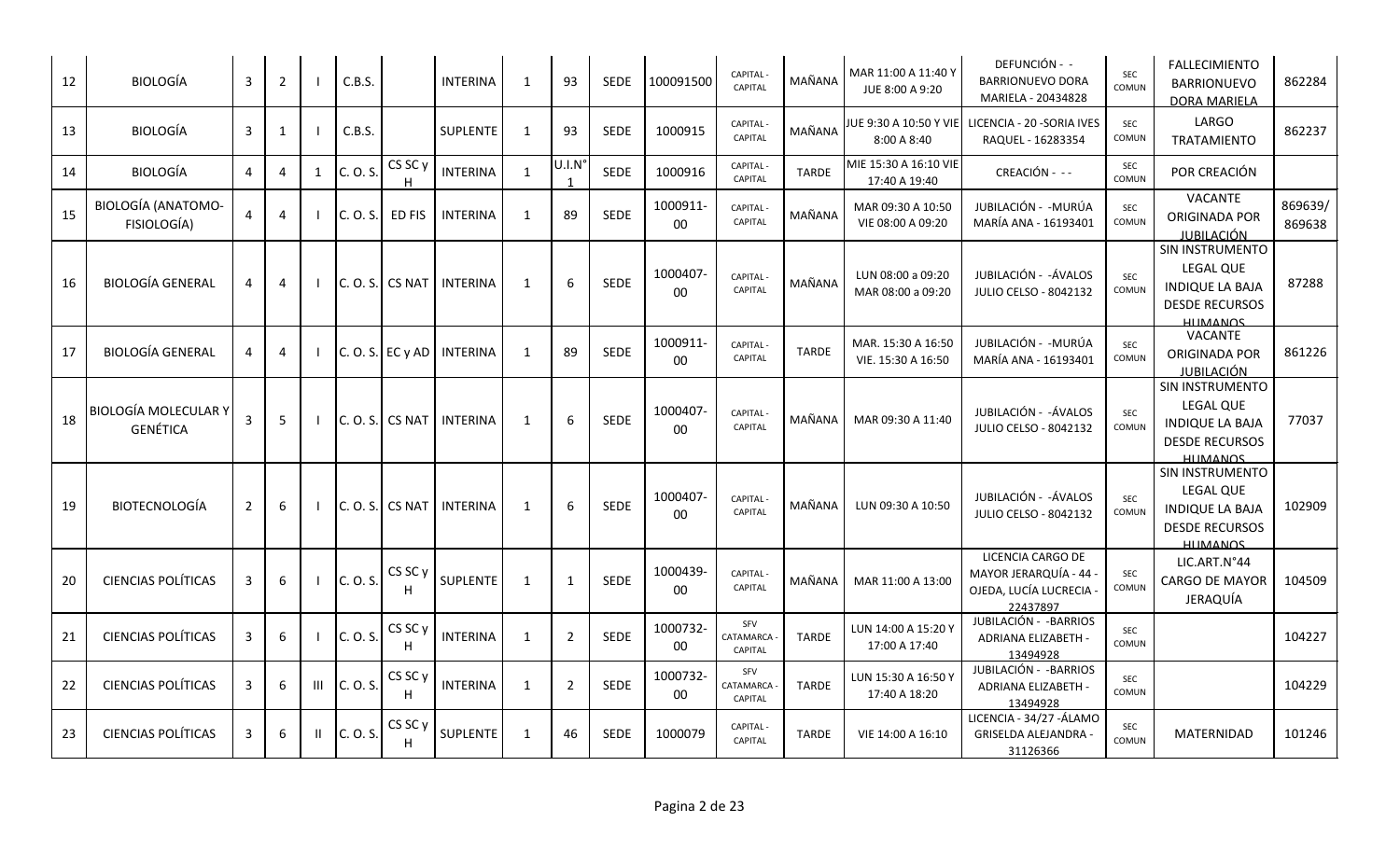| 12 | <b>BIOLOGÍA</b>                                | 3              | $\overline{2}$ |                | C.B.S.     |                         | <b>INTERINA</b> | $\mathbf{1}$ | 93                               | <b>SEDE</b> | 100091500          | <b>CAPITAL-</b><br>CAPITAL         | MAÑANA       | MAR 11:00 A 11:40 Y<br>JUE 8:00 A 9:20   | DEFUNCIÓN - -<br><b>BARRIONUEVO DORA</b><br>MARIELA - 20434828                 | <b>SEC</b><br>COMUN | <b>FALLECIMIENTO</b><br><b>BARRIONUEVO</b><br><b>DORA MARIELA</b>                                         | 862284            |
|----|------------------------------------------------|----------------|----------------|----------------|------------|-------------------------|-----------------|--------------|----------------------------------|-------------|--------------------|------------------------------------|--------------|------------------------------------------|--------------------------------------------------------------------------------|---------------------|-----------------------------------------------------------------------------------------------------------|-------------------|
| 13 | <b>BIOLOGÍA</b>                                | 3              | $\mathbf{1}$   |                | C.B.S.     |                         | SUPLENTE        | 1            | 93                               | <b>SEDE</b> | 1000915            | CAPITAL -<br><b>CAPITAL</b>        | MAÑANA       | JUE 9:30 A 10:50 Y VIE<br>8:00 A 8:40    | LICENCIA - 20 - SORIA IVES<br>RAQUEL - 16283354                                | <b>SEC</b><br>COMUN | LARGO<br><b>TRATAMIENTO</b>                                                                               | 862237            |
| 14 | <b>BIOLOGÍA</b>                                | $\overline{4}$ | 4              | 1              | C. O. S.   | CS SC <sub>y</sub><br>н | <b>INTERINA</b> | $\mathbf{1}$ | U.I.N<br>$\overline{\mathbf{1}}$ | <b>SEDE</b> | 1000916            | <b>CAPITAL</b><br>CAPITAL          | <b>TARDE</b> | MIE 15:30 A 16:10 VIE<br>17:40 A 19:40   | CREACIÓN - --                                                                  | <b>SEC</b><br>COMUN | POR CREACIÓN                                                                                              |                   |
| 15 | <b>BIOLOGÍA (ANATOMO-</b><br>FISIOLOGÍA)       | $\overline{a}$ | 4              |                | C. O. S.   | ED FIS                  | <b>INTERINA</b> | $\mathbf{1}$ | 89                               | <b>SEDE</b> | 1000911-<br>00     | CAPITAL -<br>CAPITAL               | MAÑANA       | MAR 09:30 A 10:50<br>VIE 08:00 A 09:20   | JUBILACIÓN - - MURÚA<br>MARÍA ANA - 16193401                                   | <b>SEC</b><br>COMUN | <b>VACANTE</b><br><b>ORIGINADA POR</b><br><u>JUBILACIÓN</u>                                               | 869639/<br>869638 |
| 16 | <b>BIOLOGÍA GENERAL</b>                        | 4              | 4              |                | IC. O. S.I | <b>CS NAT</b>           | <b>INTERINA</b> | $\mathbf{1}$ | 6                                | <b>SEDE</b> | 1000407-<br>$00\,$ | CAPITAL -<br>CAPITAL               | MAÑANA       | LUN 08:00 a 09:20<br>MAR 08:00 a 09:20   | JUBILACIÓN - - ÁVALOS<br><b>JULIO CELSO - 8042132</b>                          | <b>SEC</b><br>COMUN | SIN INSTRUMENTO<br>LEGAL QUE<br><b>INDIQUE LA BAJA</b><br><b>DESDE RECURSOS</b><br><b>HIIMANOS</b>        | 87288             |
| 17 | <b>BIOLOGÍA GENERAL</b>                        | 4              | 4              |                |            | C. O. S. E C y AD       | <b>INTERINA</b> | 1            | 89                               | <b>SEDE</b> | 1000911-<br>00     | CAPITAL -<br><b>CAPITAL</b>        | <b>TARDE</b> | MAR. 15:30 A 16:50<br>VIE. 15:30 A 16:50 | JUBILACIÓN - - MURÚA<br>MARÍA ANA - 16193401                                   | <b>SEC</b><br>COMUN | VACANTE<br><b>ORIGINADA POR</b><br><b>JUBILACIÓN</b>                                                      | 861226            |
| 18 | <b>BIOLOGÍA MOLECULAR Y</b><br><b>GENÉTICA</b> | 3              | 5              |                | C. O. S.   | <b>CS NAT</b>           | <b>INTERINA</b> | 1            | 6                                | SEDE        | 1000407-<br>00     | <b>CAPITAL-</b><br>CAPITAL         | MAÑANA       | MAR 09:30 A 11:40                        | JUBILACIÓN - -ÁVALOS<br>JULIO CELSO - 8042132                                  | <b>SEC</b><br>COMUN | SIN INSTRUMENTO<br><b>LEGAL QUE</b><br><b>INDIQUE LA BAJA</b><br><b>DESDE RECURSOS</b><br><b>HIIMANOS</b> | 77037             |
| 19 | <b>BIOTECNOLOGÍA</b>                           | $\overline{2}$ | 6              |                | C. O. S.   | <b>CS NAT</b>           | <b>INTERINA</b> | 1            | 6                                | SEDE        | 1000407-<br>$00\,$ | <b>CAPITAL-</b><br>CAPITAL         | MAÑANA       | LUN 09:30 A 10:50                        | JUBILACIÓN - -ÁVALOS<br><b>JULIO CELSO - 8042132</b>                           | <b>SEC</b><br>COMUN | SIN INSTRUMENTO<br>LEGAL QUE<br><b>INDIQUE LA BAJA</b><br><b>DESDE RECURSOS</b><br><b>HIIMANOS</b>        | 102909            |
| 20 | <b>CIENCIAS POLÍTICAS</b>                      | 3              | 6              |                | C. O. S.   | CS SC y                 | SUPLENTE        | 1            | 1                                | SEDE        | 1000439-<br>$00\,$ | <b>CAPITAL-</b><br><b>CAPITAL</b>  | MAÑANA       | MAR 11:00 A 13:00                        | LICENCIA CARGO DE<br>MAYOR JERARQUÍA - 44<br>OJEDA, LUCÍA LUCRECIA<br>22437897 | <b>SEC</b><br>COMUN | LIC.ART.N°44<br><b>CARGO DE MAYOR</b><br>JERAQUÍA                                                         | 104509            |
| 21 | <b>CIENCIAS POLÍTICAS</b>                      | 3              | 6              |                | C. O. S.   | CS SC <sub>y</sub><br>н | <b>INTERINA</b> | 1            | $\overline{2}$                   | SEDE        | 1000732-<br>00     | SFV<br>CATAMARCA<br><b>CAPITAL</b> | <b>TARDE</b> | LUN 14:00 A 15:20 Y<br>17:00 A 17:40     | JUBILACIÓN - - BARRIOS<br>ADRIANA ELIZABETH -<br>13494928                      | SEC<br>COMUN        |                                                                                                           | 104227            |
| 22 | <b>CIENCIAS POLÍTICAS</b>                      | 3              | 6              | $\mathbf{III}$ | C. O. S.   | CS SC <sub>y</sub><br>H | <b>INTERINA</b> | 1            | $\overline{2}$                   | SEDE        | 1000732<br>00      | SFV<br>CATAMARCA<br><b>CAPITAL</b> | <b>TARDE</b> | LUN 15:30 A 16:50 Y<br>17:40 A 18:20     | JUBILACIÓN - - BARRIOS<br>ADRIANA ELIZABETH -<br>13494928                      | SEC<br>COMUN        |                                                                                                           | 104229            |
| 23 | <b>CIENCIAS POLÍTICAS</b>                      | 3              | 6              | H.             | C. O. S.   | CS SC <sub>y</sub>      | <b>SUPLENTE</b> | $\mathbf{1}$ | 46                               | <b>SEDE</b> | 1000079            | <b>CAPITAL</b><br>CAPITAL          | <b>TARDE</b> | VIE 14:00 A 16:10                        | LICENCIA - 34/27 - ÁLAMO<br><b>GRISELDA ALEJANDRA</b><br>31126366              | SEC<br>COMUN        | MATERNIDAD                                                                                                | 101246            |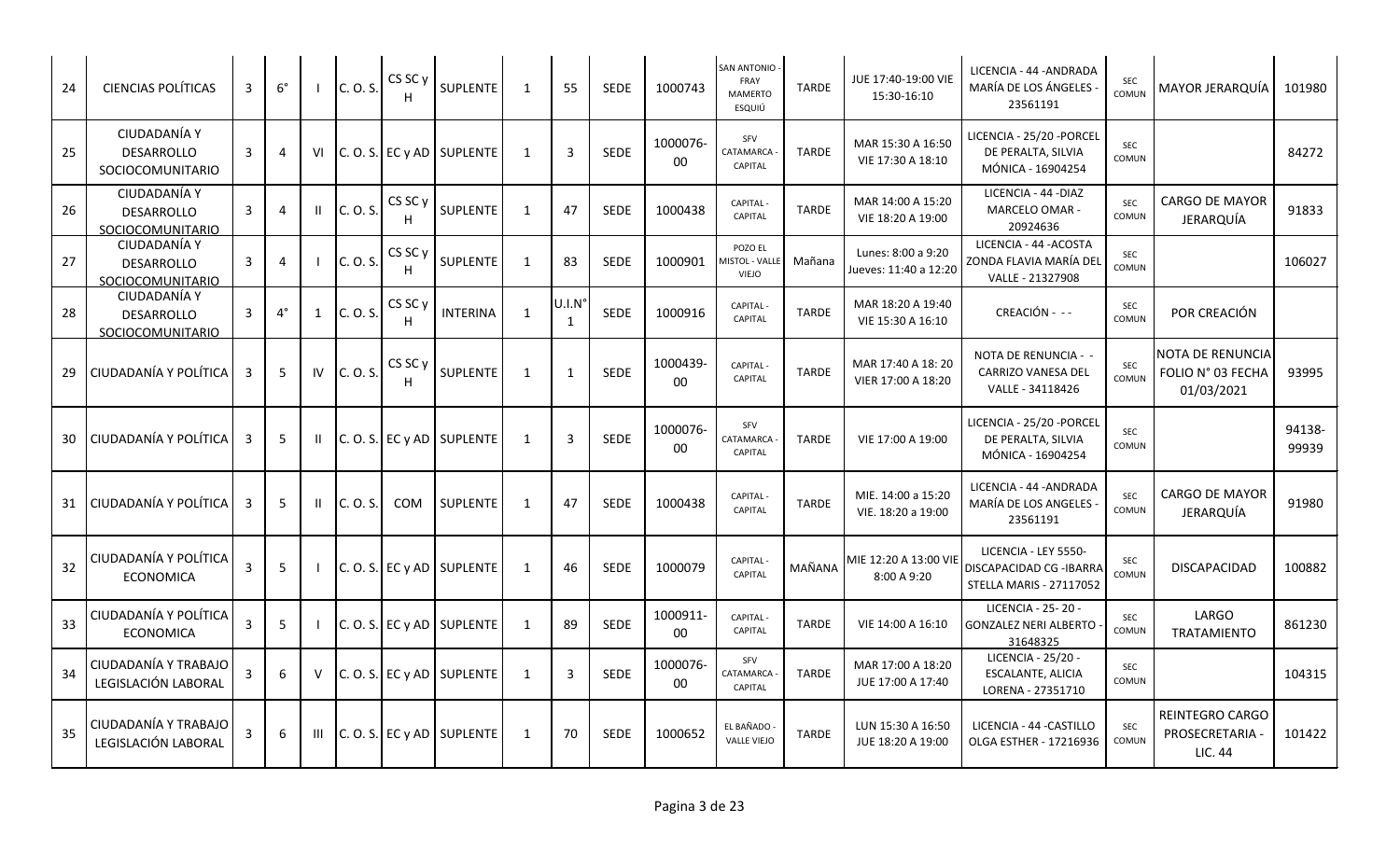| 24 | <b>CIENCIAS POLÍTICAS</b>                             | 3 | $6^{\circ}$ |              | C. O. S. | CS SC <sub>y</sub>      | SUPLENTE                    | -1           | 55                    | <b>SEDE</b> | 1000743            | SAN ANTONIO -<br>FRAY<br>MAMERTO<br>ESQUIÚ       | <b>TARDE</b> | JUE 17:40-19:00 VIE<br>15:30-16:10          | LICENCIA - 44 - ANDRADA<br>MARÍA DE LOS ÁNGELES<br>23561191                       | <b>SEC</b><br>COMUN | MAYOR JERARQUÍA                                            | 101980          |
|----|-------------------------------------------------------|---|-------------|--------------|----------|-------------------------|-----------------------------|--------------|-----------------------|-------------|--------------------|--------------------------------------------------|--------------|---------------------------------------------|-----------------------------------------------------------------------------------|---------------------|------------------------------------------------------------|-----------------|
| 25 | CIUDADANÍA Y<br>DESARROLLO<br><b>SOCIOCOMUNITARIO</b> | 3 | 4           | VI           |          |                         | C. O. S. EC y AD SUPLENTE   | 1            | $\overline{3}$        | <b>SEDE</b> | 1000076-<br>00     | SFV<br>CATAMARCA<br>CAPITAL                      | <b>TARDE</b> | MAR 15:30 A 16:50<br>VIE 17:30 A 18:10      | LICENCIA - 25/20 - PORCEL<br>DE PERALTA, SILVIA<br>MÓNICA - 16904254              | SEC<br>COMUN        |                                                            | 84272           |
| 26 | CIUDADANÍA Y<br><b>DESARROLLO</b><br>SOCIOCOMUNITARIO | 3 | 4           | Ш            | C. O. S. | CS SC <sub>y</sub><br>H | SUPLENTE                    | $\mathbf{1}$ | 47                    | <b>SEDE</b> | 1000438            | <b>CAPITAL-</b><br>CAPITAL                       | TARDE        | MAR 14:00 A 15:20<br>VIE 18:20 A 19:00      | LICENCIA - 44 - DIAZ<br>MARCELO OMAR -<br>20924636                                | <b>SEC</b><br>COMUN | <b>CARGO DE MAYOR</b><br>JERARQUÍA                         | 91833           |
| 27 | CIUDADANÍA Y<br><b>DESARROLLO</b><br>SOCIOCOMUNITARIO | 3 | 4           |              | C. O. S. | CS SC <sub>y</sub>      | <b>SUPLENTE</b>             | -1           | 83                    | <b>SEDE</b> | 1000901            | POZO EL<br><b>MISTOL - VALLE</b><br><b>VIEJO</b> | Mañana       | Lunes: 8:00 a 9:20<br>lueves: 11:40 a 12:20 | LICENCIA - 44 - ACOSTA<br>ZONDA FLAVIA MARÍA DEL<br>VALLE - 21327908              | SEC<br>COMUN        |                                                            | 106027          |
| 28 | CIUDADANÍA Y<br>DESARROLLO<br>SOCIOCOMUNITARIO        | 3 | $4^\circ$   | 1            | C. O. S. | CS SC y<br>H            | <b>INTERINA</b>             | $\mathbf{1}$ | U.I.N<br>$\mathbf{1}$ | <b>SEDE</b> | 1000916            | <b>CAPITAL</b><br>CAPITAL                        | <b>TARDE</b> | MAR 18:20 A 19:40<br>VIE 15:30 A 16:10      | CREACIÓN - --                                                                     | SEC<br>COMUN        | POR CREACIÓN                                               |                 |
| 29 | CIUDADANÍA Y POLÍTICA                                 | 3 | 5           | IV           | C. O. S. | CS SC y<br>H            | SUPLENTE                    | $\mathbf{1}$ | $\mathbf{1}$          | <b>SEDE</b> | 1000439<br>00      | <b>CAPITAL</b><br>CAPITAL                        | <b>TARDE</b> | MAR 17:40 A 18:20<br>VIER 17:00 A 18:20     | NOTA DE RENUNCIA - -<br>CARRIZO VANESA DEL<br>VALLE - 34118426                    | <b>SEC</b><br>COMUN | <b>NOTA DE RENUNCIA</b><br>FOLIO N° 03 FECHA<br>01/03/2021 | 93995           |
| 30 | <b>CIUDADANÍA Y POLÍTICA</b>                          | 3 | 5           | $\mathbf{H}$ |          |                         | $C. O. S.$ EC y AD SUPLENTE | 1            | $\overline{3}$        | <b>SEDE</b> | 1000076-<br>00     | SFV<br>CATAMARCA<br>CAPITAL                      | <b>TARDE</b> | VIE 17:00 A 19:00                           | LICENCIA - 25/20 - PORCEL<br>DE PERALTA, SILVIA<br>MÓNICA - 16904254              | <b>SEC</b><br>COMUN |                                                            | 94138-<br>99939 |
|    | 31 CIUDADANÍA Y POLÍTICA                              | 3 | -5          |              | C. O. S. | <b>COM</b>              | <b>SUPLENTE</b>             | 1            | 47                    | <b>SEDE</b> | 1000438            | <b>CAPITAL</b><br>CAPITAL                        | <b>TARDE</b> | MIE. 14:00 a 15:20<br>VIE. 18:20 a 19:00    | LICENCIA - 44 -ANDRADA<br>MARÍA DE LOS ANGELES<br>23561191                        | <b>SEC</b><br>COMUN | <b>CARGO DE MAYOR</b><br>JERARQUÍA                         | 91980           |
| 32 | CIUDADANÍA Y POLÍTICA<br><b>ECONOMICA</b>             | 3 | 5           |              |          |                         | C. O. S. EC y AD SUPLENTE   | 1            | 46                    | <b>SEDE</b> | 1000079            | CAPITAL -<br>CAPITAL                             | MAÑANA       | MIE 12:20 A 13:00 VIE<br>8:00 A 9:20        | LICENCIA - LEY 5550-<br>DISCAPACIDAD CG -IBARRA<br><b>STELLA MARIS - 27117052</b> | SEC<br>COMUN        | DISCAPACIDAD                                               | 100882          |
| 33 | CIUDADANÍA Y POLÍTICA<br><b>ECONOMICA</b>             | 3 | 5           |              |          |                         | C. O. S. EC y AD SUPLENTE   | 1            | 89                    | SEDE        | 1000911-<br>00     | CAPITAL -<br>CAPITAL                             | <b>TARDE</b> | VIE 14:00 A 16:10                           | LICENCIA - 25-20 -<br><b>GONZALEZ NERI ALBERTO</b><br>31648325                    | SEC<br>COMUN        | LARGO<br><b>TRATAMIENTO</b>                                | 861230          |
| 34 | CIUDADANÍA Y TRABAJO<br>LEGISLACIÓN LABORAL           | 3 | 6           | v            |          |                         | C. O. S. EC y AD SUPLENTE   | 1            | $\overline{3}$        | <b>SEDE</b> | 1000076-<br>$00\,$ | SFV<br>CATAMARCA<br>CAPITAL                      | <b>TARDE</b> | MAR 17:00 A 18:20<br>JUE 17:00 A 17:40      | LICENCIA - 25/20 -<br><b>ESCALANTE, ALICIA</b><br>LORENA - 27351710               | SEC<br>COMUN        |                                                            | 104315          |
| 35 | CIUDADANÍA Y TRABAJO<br>LEGISLACIÓN LABORAL           | 3 | 6           | Ш            |          |                         | C. O. S. EC y AD SUPLENTE   | 1            | 70                    | <b>SEDE</b> | 1000652            | EL BAÑADO<br><b>VALLE VIEJO</b>                  | TARDE        | LUN 15:30 A 16:50<br>JUE 18:20 A 19:00      | LICENCIA - 44 - CASTILLO<br>OLGA ESTHER - 17216936                                | <b>SEC</b><br>COMUN | REINTEGRO CARGO<br>PROSECRETARIA -<br>LIC. 44              | 101422          |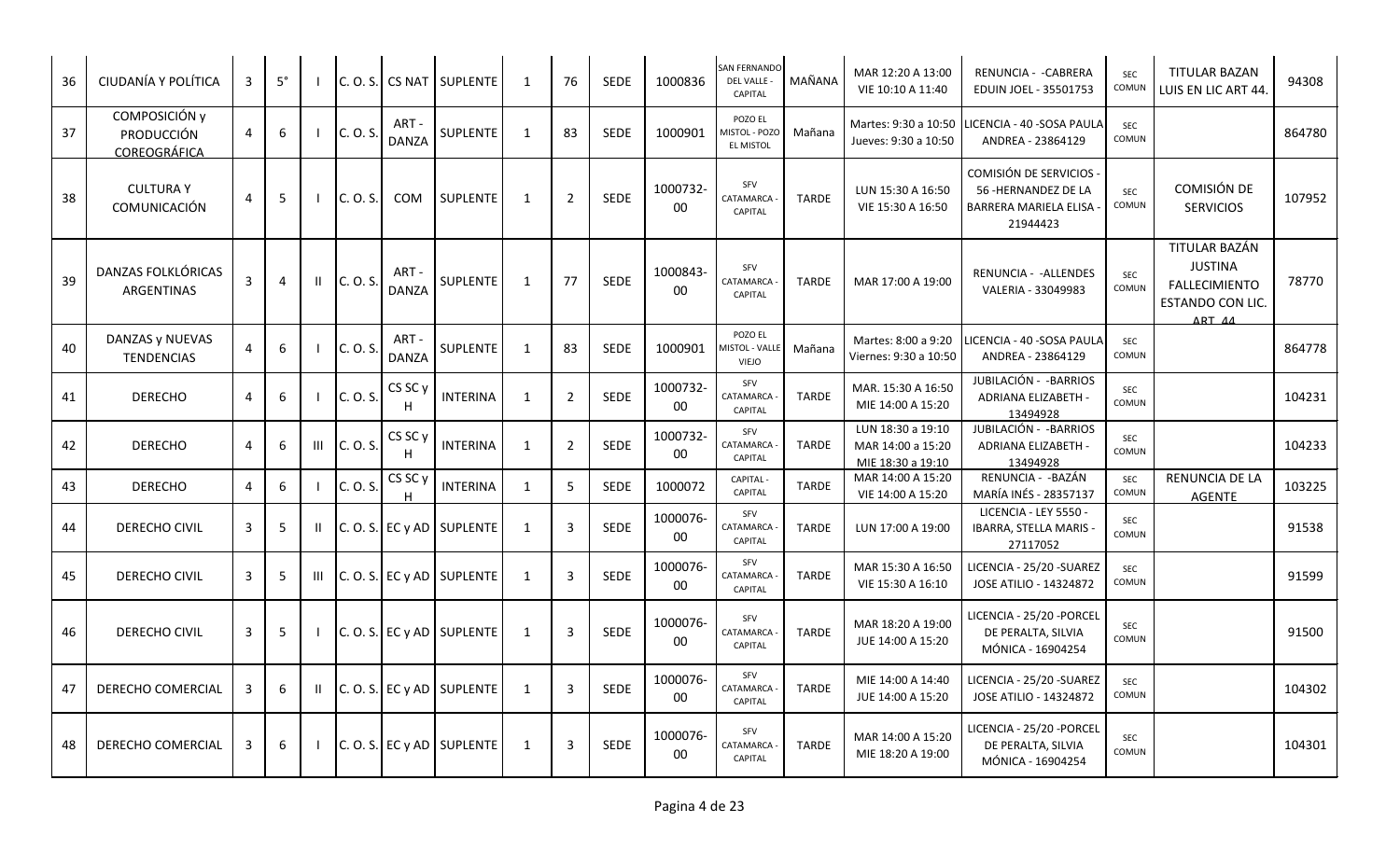| 36 | CIUDANÍA Y POLÍTICA                            | 3 | $5^{\circ}$ |              |          |                         | C.O.S. CS NAT SUPLENTE    | 1            | 76             | <b>SEDE</b> | 1000836            | SAN FERNANDO<br>DEL VALLE -<br>CAPITAL              | MAÑANA       | MAR 12:20 A 13:00<br>VIE 10:10 A 11:40                      | RENUNCIA - - CABRERA<br>EDUIN JOEL - 35501753                                      | <b>SEC</b><br>COMUN | <b>TITULAR BAZAN</b><br>LUIS EN LIC ART 44.                                           | 94308  |
|----|------------------------------------------------|---|-------------|--------------|----------|-------------------------|---------------------------|--------------|----------------|-------------|--------------------|-----------------------------------------------------|--------------|-------------------------------------------------------------|------------------------------------------------------------------------------------|---------------------|---------------------------------------------------------------------------------------|--------|
| 37 | COMPOSICIÓN y<br>PRODUCCIÓN<br>COREOGRÁFICA    | 4 | 6           |              | C. O. S. | ART-<br><b>DANZA</b>    | SUPLENTE                  | 1            | 83             | <b>SEDE</b> | 1000901            | POZO EL<br><b>MISTOL - POZO</b><br><b>EL MISTOL</b> | Mañana       | Martes: 9:30 a 10:50<br>Jueves: 9:30 a 10:50                | LICENCIA - 40 -SOSA PAULA<br>ANDREA - 23864129                                     | SEC<br>COMUN        |                                                                                       | 864780 |
| 38 | <b>CULTURA Y</b><br>COMUNICACIÓN               | 4 | 5           |              | C. O. S. | <b>COM</b>              | <b>SUPLENTE</b>           | 1            | $\overline{2}$ | <b>SEDE</b> | 1000732-<br>00     | SFV<br>CATAMARCA<br>CAPITAL                         | <b>TARDE</b> | LUN 15:30 A 16:50<br>VIE 15:30 A 16:50                      | COMISIÓN DE SERVICIOS<br>56 - HERNANDEZ DE LA<br>BARRERA MARIELA ELISA<br>21944423 | <b>SEC</b><br>COMUN | COMISIÓN DE<br><b>SERVICIOS</b>                                                       | 107952 |
| 39 | <b>DANZAS FOLKLÓRICAS</b><br><b>ARGENTINAS</b> | 3 | 4           | $\mathbf{H}$ | C. O. S. | ART -<br><b>DANZA</b>   | SUPLENTE                  | $\mathbf{1}$ | 77             | SEDE        | 1000843-<br>00     | SFV<br>CATAMARCA<br><b>CAPITAL</b>                  | <b>TARDE</b> | MAR 17:00 A 19:00                                           | RENUNCIA - - ALLENDES<br>VALERIA - 33049983                                        | SEC<br>COMUN        | TITULAR BAZÁN<br><b>JUSTINA</b><br><b>FALLECIMIENTO</b><br>ESTANDO CON LIC.<br>ART 44 | 78770  |
| 40 | DANZAS y NUEVAS<br><b>TENDENCIAS</b>           | 4 | 6           |              | C. O. S. | ART-<br><b>DANZA</b>    | <b>SUPLENTE</b>           | 1            | 83             | SEDE        | 1000901            | POZO EL<br><b>MISTOL - VALLE</b><br><b>VIEJO</b>    | Mañana       | Martes: 8:00 a 9:20<br>Viernes: 9:30 a 10:50                | ICENCIA - 40 -SOSA PAULA<br>ANDREA - 23864129                                      | SEC<br>COMUN        |                                                                                       | 864778 |
| 41 | <b>DERECHO</b>                                 | 4 | 6           |              | C. O. S. | CS SC <sub>y</sub><br>H | <b>INTERINA</b>           | $\mathbf{1}$ | $\overline{2}$ | SEDE        | 1000732-<br>00     | SFV<br>CATAMARCA<br><b>CAPITAL</b>                  | <b>TARDE</b> | MAR. 15:30 A 16:50<br>MIE 14:00 A 15:20                     | JUBILACIÓN - - BARRIOS<br>ADRIANA ELIZABETH -<br>13494928                          | SEC<br>COMUN        |                                                                                       | 104231 |
| 42 | <b>DERECHO</b>                                 | 4 | 6           | Ш            | C. O. S. | CS SC <sub>y</sub><br>H | <b>INTERINA</b>           | $\mathbf{1}$ | $\overline{2}$ | SEDE        | 1000732-<br>$00\,$ | SFV<br>CATAMARCA<br>CAPITAL                         | <b>TARDE</b> | LUN 18:30 a 19:10<br>MAR 14:00 a 15:20<br>MIE 18:30 a 19:10 | JUBILACIÓN - - BARRIOS<br>ADRIANA ELIZABETH -<br>13494928                          | SEC<br>COMUN        |                                                                                       | 104233 |
| 43 | <b>DERECHO</b>                                 | 4 | 6           |              | C. O. S. | CS SC y                 | <b>INTERINA</b>           | 1            | 5              | <b>SEDE</b> | 1000072            | <b>CAPITAL</b><br>CAPITAL                           | <b>TARDE</b> | MAR 14:00 A 15:20<br>VIE 14:00 A 15:20                      | RENUNCIA - - BAZÁN<br>MARÍA INÉS - 28357137                                        | <b>SEC</b><br>COMUN | <b>RENUNCIA DE LA</b><br><b>AGENTE</b>                                                | 103225 |
| 44 | DERECHO CIVIL                                  | 3 | 5           |              |          |                         | C.O.S. EC y AD SUPLENTE   | 1            | $\overline{3}$ | <b>SEDE</b> | 1000076-<br>00     | SFV<br>CATAMARCA<br><b>CAPITAL</b>                  | <b>TARDE</b> | LUN 17:00 A 19:00                                           | LICENCIA - LEY 5550 -<br>IBARRA, STELLA MARIS -<br>27117052                        | <b>SEC</b><br>COMUN |                                                                                       | 91538  |
| 45 | DERECHO CIVIL                                  | 3 | 5           | Ш            |          |                         | C. O. S. EC y AD SUPLENTE | 1            | $\overline{3}$ | SEDE        | 1000076-<br>00     | SFV<br>CATAMARCA<br>CAPITAL                         | <b>TARDE</b> | MAR 15:30 A 16:50<br>VIE 15:30 A 16:10                      | LICENCIA - 25/20 - SUAREZ<br>JOSE ATILIO - 14324872                                | SEC<br>COMUN        |                                                                                       | 91599  |
| 46 | DERECHO CIVIL                                  | 3 | 5           |              |          |                         | C. O. S. EC y AD SUPLENTE | $\mathbf{1}$ | $\mathbf{3}$   | <b>SEDE</b> | 1000076-<br>00     | SFV<br>CATAMARCA<br>CAPITAL                         | <b>TARDE</b> | MAR 18:20 A 19:00<br>JUE 14:00 A 15:20                      | LICENCIA - 25/20 - PORCEI<br>DE PERALTA, SILVIA<br>MÓNICA - 16904254               | <b>SEC</b><br>COMUN |                                                                                       | 91500  |
| 47 | DERECHO COMERCIAL                              | 3 | 6           | Ш            |          |                         | C. O. S. EC y AD SUPLENTE | $\mathbf{1}$ | $\overline{3}$ | <b>SEDE</b> | 1000076-<br>00     | SFV<br>CATAMARCA<br>CAPITAL                         | <b>TARDE</b> | MIE 14:00 A 14:40<br>JUE 14:00 A 15:20                      | LICENCIA - 25/20 -SUAREZ<br>JOSE ATILIO - 14324872                                 | SEC<br>COMUN        |                                                                                       | 104302 |
| 48 | DERECHO COMERCIAL                              | 3 | 6           |              |          |                         | C. O. S. EC y AD SUPLENTE | 1            | 3              | SEDE        | 1000076-<br>00     | SFV<br>CATAMARCA<br>CAPITAL                         | <b>TARDE</b> | MAR 14:00 A 15:20<br>MIE 18:20 A 19:00                      | LICENCIA - 25/20 - PORCEL<br>DE PERALTA, SILVIA<br>MÓNICA - 16904254               | <b>SEC</b><br>COMUN |                                                                                       | 104301 |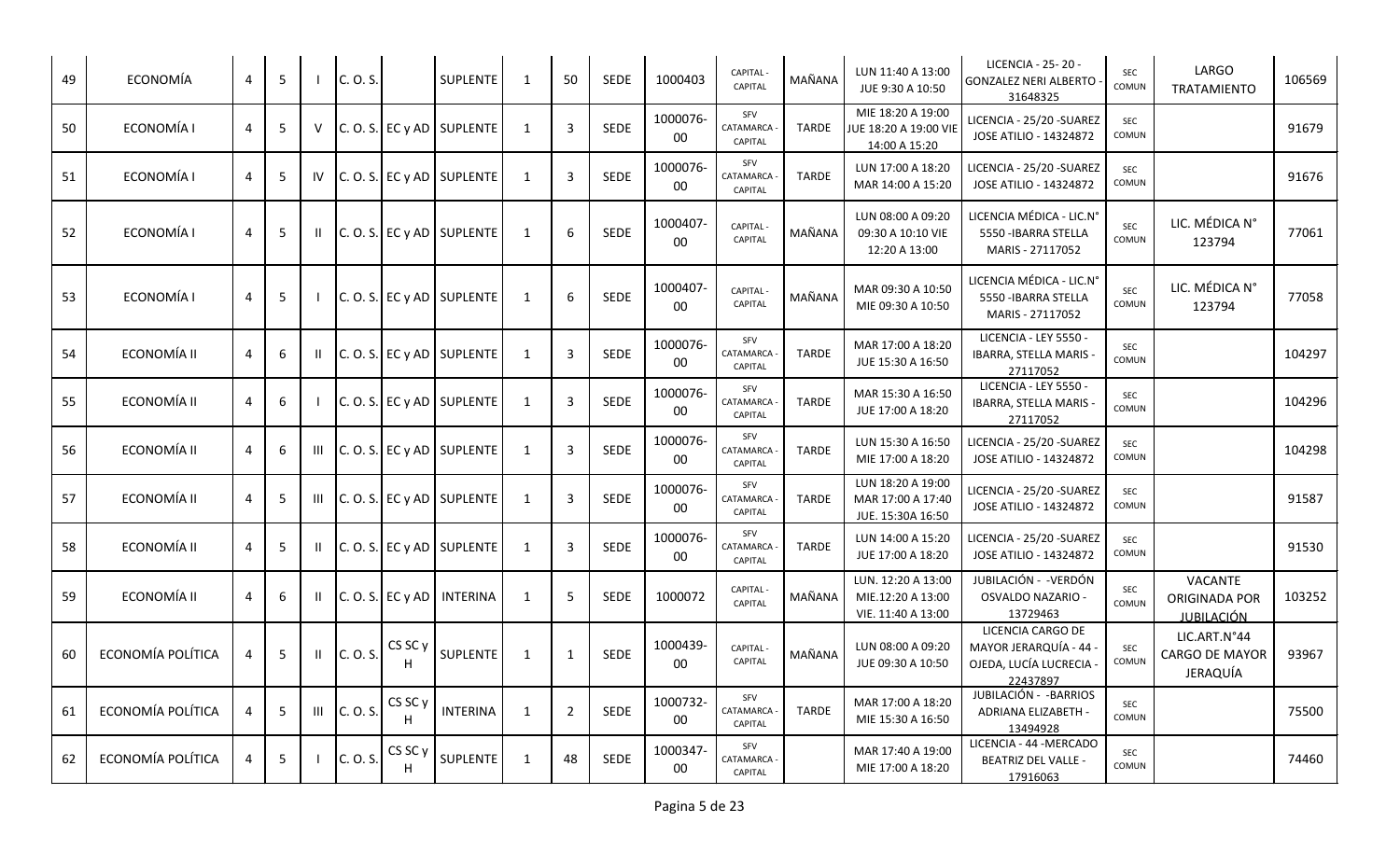| 49 | ECONOMÍA          | 4 | 5 |        | C. O. S. |              | <b>SUPLENTE</b>               | -1             | 50                      | <b>SEDE</b> | 1000403        | <b>CAPITAL</b><br>CAPITAL   | MAÑANA       | LUN 11:40 A 13:00<br>JUE 9:30 A 10:50                         | LICENCIA - 25 - 20 -<br><b>GONZALEZ NERI ALBERTO</b><br>31648325               | <b>SEC</b><br>COMUN | LARGO<br>TRATAMIENTO                          | 106569 |
|----|-------------------|---|---|--------|----------|--------------|-------------------------------|----------------|-------------------------|-------------|----------------|-----------------------------|--------------|---------------------------------------------------------------|--------------------------------------------------------------------------------|---------------------|-----------------------------------------------|--------|
| 50 | ECONOMÍA I        | 4 | 5 | $\vee$ |          |              | $C. O. S. E C y AD$ SUPLENTE  | 1              | $\overline{3}$          | SEDE        | 1000076-<br>00 | SFV<br>CATAMARCA<br>CAPITAL | TARDE        | MIE 18:20 A 19:00<br>JUE 18:20 A 19:00 VIE<br>14:00 A 15:20   | LICENCIA - 25/20 - SUAREZ<br>JOSE ATILIO - 14324872                            | <b>SEC</b><br>COMUN |                                               | 91679  |
| 51 | ECONOMÍA I        | 4 | 5 | IV     |          |              | $ C. O. S. $ EC y AD SUPLENTE | 1              | $\overline{3}$          | <b>SEDE</b> | 1000076-<br>00 | SFV<br>CATAMARCA<br>CAPITAL | <b>TARDE</b> | LUN 17:00 A 18:20<br>MAR 14:00 A 15:20                        | LICENCIA - 25/20 - SUAREZ<br>JOSE ATILIO - 14324872                            | <b>SEC</b><br>COMUN |                                               | 91676  |
| 52 | ECONOMÍA I        | 4 | 5 |        |          |              | $ C. O. S. $ EC y AD SUPLENTE | -1             | 6                       | SEDE        | 1000407<br>00  | CAPITAL<br>CAPITAL          | MAÑANA       | LUN 08:00 A 09:20<br>09:30 A 10:10 VIE<br>12:20 A 13:00       | LICENCIA MÉDICA - LIC.N°<br>5550 - IBARRA STELLA<br>MARIS - 27117052           | <b>SEC</b><br>COMUN | LIC. MÉDICA N°<br>123794                      | 77061  |
| 53 | ECONOMÍA I        | 4 | 5 |        |          |              | $ C. O. S. $ EC y AD SUPLENTE | 1              | 6                       | SEDE        | 1000407-<br>00 | CAPITAL<br>CAPITAL          | MAÑANA       | MAR 09:30 A 10:50<br>MIE 09:30 A 10:50                        | LICENCIA MÉDICA - LIC.Nº<br>5550 - IBARRA STELLA<br>MARIS - 27117052           | <b>SEC</b><br>COMUN | LIC. MÉDICA N°<br>123794                      | 77058  |
| 54 | ECONOMÍA II       | 4 | 6 |        |          |              | $C. O. S.$ EC y AD SUPLENTE   | $\mathbf{1}$   | $\overline{\mathbf{3}}$ | SEDE        | 1000076-<br>00 | SFV<br>CATAMARCA<br>CAPITAL | <b>TARDE</b> | MAR 17:00 A 18:20<br>JUE 15:30 A 16:50                        | LICENCIA - LEY 5550 -<br>IBARRA, STELLA MARIS -<br>27117052                    | SEC<br>COMUN        |                                               | 104297 |
| 55 | ECONOMÍA II       | 4 | 6 |        |          |              | $C. O. S. E C y AD$ SUPLENTE  | 1              | $\overline{3}$          | <b>SEDE</b> | 1000076-<br>00 | SFV<br>CATAMARCA<br>CAPITAL | <b>TARDE</b> | MAR 15:30 A 16:50<br>JUE 17:00 A 18:20                        | LICENCIA - LEY 5550 -<br>IBARRA, STELLA MARIS -<br>27117052                    | SEC<br>COMUN        |                                               | 104296 |
| 56 | ECONOMÍA II       | 4 | 6 | Ш      |          |              | $ C. O. S. $ EC y AD SUPLENTE | 1              | $\overline{3}$          | SEDE        | 1000076-<br>00 | SFV<br>CATAMARCA<br>CAPITAL | <b>TARDE</b> | LUN 15:30 A 16:50<br>MIE 17:00 A 18:20                        | LICENCIA - 25/20 - SUAREZ<br>JOSE ATILIO - 14324872                            | <b>SEC</b><br>COMUN |                                               | 104298 |
| 57 | ECONOMÍA II       | 4 | 5 | Ш      |          |              | $ C. O. S. $ EC y AD SUPLENTE | 1              | $\overline{3}$          | SEDE        | 1000076-<br>00 | SFV<br>CATAMARCA<br>CAPITAL | <b>TARDE</b> | LUN 18:20 A 19:00<br>MAR 17:00 A 17:40<br>JUE. 15:30A 16:50   | LICENCIA - 25/20 - SUAREZ<br>JOSE ATILIO - 14324872                            | <b>SEC</b><br>COMUN |                                               | 91587  |
| 58 | ECONOMÍA II       | 4 | 5 |        |          |              | $C. O. S. E C y AD$ SUPLENTE  | $\overline{1}$ | $\overline{3}$          | SEDE        | 1000076-<br>00 | SFV<br>CATAMARCA<br>CAPITAL | <b>TARDE</b> | LUN 14:00 A 15:20<br>JUE 17:00 A 18:20                        | LICENCIA - 25/20 - SUAREZ<br>JOSE ATILIO - 14324872                            | <b>SEC</b><br>COMUN |                                               | 91530  |
| 59 | ECONOMÍA II       | 4 | 6 |        |          |              | $C. O. S.$ EC y AD INTERINA   | 1              | 5                       | <b>SEDE</b> | 1000072        | <b>CAPITAL</b><br>CAPITAL   | MAÑANA       | LUN. 12:20 A 13:00<br>MIE.12:20 A 13:00<br>VIE. 11:40 A 13:00 | JUBILACIÓN - - VERDÓN<br>OSVALDO NAZARIO -<br>13729463                         | <b>SEC</b><br>COMUN | VACANTE<br>ORIGINADA POR<br><b>JUBILACIÓN</b> | 103252 |
| 60 | ECONOMÍA POLÍTICA |   | 5 |        | C. O. S. | CS SC y      | SUPLENTE                      | 1              | $\mathbf{1}$            | SEDE        | 1000439-<br>00 | CAPITAL -<br>CAPITAL        | MAÑANA       | LUN 08:00 A 09:20<br>JUE 09:30 A 10:50                        | LICENCIA CARGO DE<br>MAYOR JERARQUÍA - 44<br>OJEDA, LUCÍA LUCRECIA<br>22437897 | <b>SEC</b><br>COMUN | LIC.ART.N°44<br>CARGO DE MAYOR<br>JERAQUÍA    | 93967  |
| 61 | ECONOMÍA POLÍTICA | 4 | 5 | Ш      | C. O. S. | CS SC y      | <b>INTERINA</b>               | 1              | $\overline{2}$          | <b>SEDE</b> | 1000732-<br>00 | SFV<br>CATAMARCA<br>CAPITAL | <b>TARDE</b> | MAR 17:00 A 18:20<br>MIE 15:30 A 16:50                        | JUBILACIÓN - - BARRIOS<br>ADRIANA ELIZABETH -<br>13494928                      | SEC<br>COMUN        |                                               | 75500  |
| 62 | ECONOMÍA POLÍTICA | 4 | 5 |        | C. O. S. | CS SC y<br>н | SUPLENTE                      | 1              | 48                      | SEDE        | 1000347-<br>00 | SFV<br>CATAMARCA<br>CAPITAL |              | MAR 17:40 A 19:00<br>MIE 17:00 A 18:20                        | LICENCIA - 44 - MERCADO<br><b>BEATRIZ DEL VALLE -</b><br>17916063              | SEC<br>COMUN        |                                               | 74460  |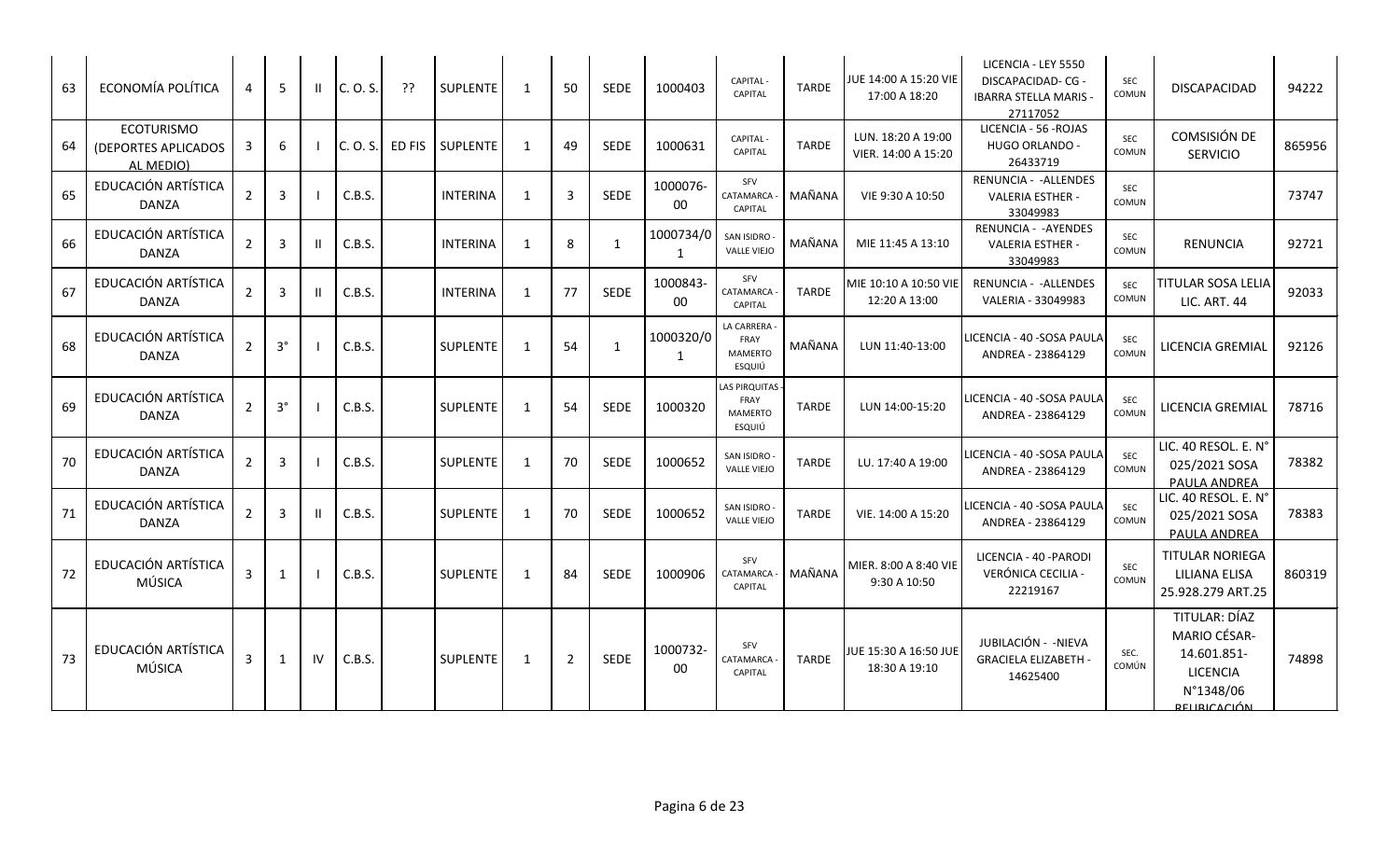| 63 | ECONOMÍA POLÍTICA                                     | 4              | -5             | H.           | C. O. S. | ??     | <b>SUPLENTE</b> | 1              | 50             | <b>SEDE</b>  | 1000403            | CAPITAL -<br><b>CAPITAL</b>                              | <b>TARDE</b> | JUE 14:00 A 15:20 VIE<br>17:00 A 18:20    | LICENCIA - LEY 5550<br><b>DISCAPACIDAD-CG-</b><br><b>IBARRA STELLA MARIS -</b><br>27117052 | SEC<br><b>COMUN</b> | DISCAPACIDAD                                                                                               | 94222  |
|----|-------------------------------------------------------|----------------|----------------|--------------|----------|--------|-----------------|----------------|----------------|--------------|--------------------|----------------------------------------------------------|--------------|-------------------------------------------|--------------------------------------------------------------------------------------------|---------------------|------------------------------------------------------------------------------------------------------------|--------|
| 64 | <b>ECOTURISMO</b><br>(DEPORTES APLICADOS<br>AL MEDIO) | 3              | 6              |              | C. O. S. | ED FIS | <b>SUPLENTE</b> | $\overline{1}$ | 49             | <b>SEDE</b>  | 1000631            | CAPITAL -<br><b>CAPITAL</b>                              | <b>TARDE</b> | LUN. 18:20 A 19:00<br>VIER. 14:00 A 15:20 | LICENCIA - 56 - ROJAS<br><b>HUGO ORLANDO -</b><br>26433719                                 | <b>SEC</b><br>COMUN | COMSISIÓN DE<br><b>SERVICIO</b>                                                                            | 865956 |
| 65 | EDUCACIÓN ARTÍSTICA<br><b>DANZA</b>                   | $\overline{2}$ | $\overline{3}$ |              | C.B.S.   |        | <b>INTERINA</b> | 1              | $\mathbf{3}$   | SEDE         | 1000076-<br>00     | SFV<br>CATAMARCA<br>CAPITAL                              | MAÑANA       | VIE 9:30 A 10:50                          | RENUNCIA - - ALLENDES<br><b>VALERIA ESTHER -</b><br>33049983                               | <b>SEC</b><br>COMUN |                                                                                                            | 73747  |
| 66 | EDUCACIÓN ARTÍSTICA<br><b>DANZA</b>                   | $\overline{2}$ | $\overline{3}$ | Ш            | C.B.S.   |        | <b>INTERINA</b> | 1              | 8              | 1            | 1000734/0<br>1     | <b>SAN ISIDRO</b><br><b>VALLE VIEJO</b>                  | MAÑANA       | MIE 11:45 A 13:10                         | RENUNCIA - - AYENDES<br><b>VALERIA ESTHER -</b><br>33049983                                | SEC<br>COMUN        | <b>RENUNCIA</b>                                                                                            | 92721  |
| 67 | EDUCACIÓN ARTÍSTICA<br><b>DANZA</b>                   | $\overline{2}$ | $\overline{3}$ | $\mathbf{H}$ | C.B.S.   |        | <b>INTERINA</b> | 1              | 77             | <b>SEDE</b>  | 1000843-<br>00     | SFV<br>CATAMARCA<br>CAPITAL                              | <b>TARDE</b> | MIE 10:10 A 10:50 VIE <br>12:20 A 13:00   | RENUNCIA - - ALLENDES<br>VALERIA - 33049983                                                | <b>SEC</b><br>COMUN | TITULAR SOSA LELIA<br><b>LIC. ART. 44</b>                                                                  | 92033  |
| 68 | EDUCACIÓN ARTÍSTICA<br><b>DANZA</b>                   | $\overline{2}$ | $3^{\circ}$    |              | C.B.S.   |        | <b>SUPLENTE</b> | 1              | 54             | $\mathbf{1}$ | 1000320/0<br>1     | LA CARRERA<br>FRAY<br><b>MAMERTO</b><br>ESQUIÚ           | MAÑANA       | LUN 11:40-13:00                           | LICENCIA - 40 - SOSA PAULA<br>ANDREA - 23864129                                            | <b>SEC</b><br>COMUN | LICENCIA GREMIAL                                                                                           | 92126  |
| 69 | EDUCACIÓN ARTÍSTICA<br><b>DANZA</b>                   | $\overline{2}$ | $3^{\circ}$    |              | C.B.S.   |        | <b>SUPLENTE</b> | 1              | 54             | <b>SEDE</b>  | 1000320            | <b>LAS PIRQUITAS</b><br>FRAY<br><b>MAMERTO</b><br>ESQUIÚ | <b>TARDE</b> | LUN 14:00-15:20                           | LICENCIA - 40 - SOSA PAULA<br>ANDREA - 23864129                                            | <b>SEC</b><br>COMUN | LICENCIA GREMIAL                                                                                           | 78716  |
| 70 | EDUCACIÓN ARTÍSTICA<br><b>DANZA</b>                   | $\overline{2}$ | $\overline{3}$ |              | C.B.S.   |        | <b>SUPLENTE</b> | $\overline{1}$ | 70             | <b>SEDE</b>  | 1000652            | <b>SAN ISIDRO</b><br><b>VALLE VIEJO</b>                  | <b>TARDE</b> | LU. 17:40 A 19:00                         | LICENCIA - 40 - SOSA PAULA<br>ANDREA - 23864129                                            | <b>SEC</b><br>COMUN | LIC. 40 RESOL. E. N°<br>025/2021 SOSA<br>PAULA ANDREA                                                      | 78382  |
| 71 | EDUCACIÓN ARTÍSTICA<br><b>DANZA</b>                   | $\overline{2}$ | $\overline{3}$ | H.           | C.B.S.   |        | <b>SUPLENTE</b> | 1              | 70             | <b>SEDE</b>  | 1000652            | SAN ISIDRO<br><b>VALLE VIEJO</b>                         | <b>TARDE</b> | VIE. 14:00 A 15:20                        | LICENCIA - 40 -SOSA PAULA<br>ANDREA - 23864129                                             | <b>SEC</b><br>COMUN | LIC. 40 RESOL. E. N°<br>025/2021 SOSA<br>PAULA ANDREA                                                      | 78383  |
| 72 | EDUCACIÓN ARTÍSTICA<br>MÚSICA                         | 3              | 1              |              | C.B.S.   |        | <b>SUPLENTE</b> | 1              | 84             | <b>SEDE</b>  | 1000906            | SFV<br>CATAMARCA<br>CAPITAL                              | MAÑANA       | MIER. 8:00 A 8:40 VIE<br>9:30 A 10:50     | LICENCIA - 40 - PARODI<br>VERÓNICA CECILIA -<br>22219167                                   | SEC<br>COMUN        | <b>TITULAR NORIEGA</b><br>LILIANA ELISA<br>25.928.279 ART.25                                               | 860319 |
| 73 | EDUCACIÓN ARTÍSTICA<br>MÚSICA                         | 3              | $\mathbf{1}$   | IV           | C.B.S.   |        | SUPLENTE        | 1              | $\overline{2}$ | <b>SEDE</b>  | 1000732-<br>$00\,$ | SFV<br>CATAMARCA<br>CAPITAL                              | <b>TARDE</b> | JUE 15:30 A 16:50 JUE<br>18:30 A 19:10    | JUBILACIÓN - - NIEVA<br><b>GRACIELA ELIZABETH</b><br>14625400                              | SEC.<br>COMÚN       | TITULAR: DÍAZ<br><b>MARIO CÉSAR-</b><br>14.601.851-<br><b>LICENCIA</b><br>N°1348/06<br><b>BELIBICACIÓN</b> | 74898  |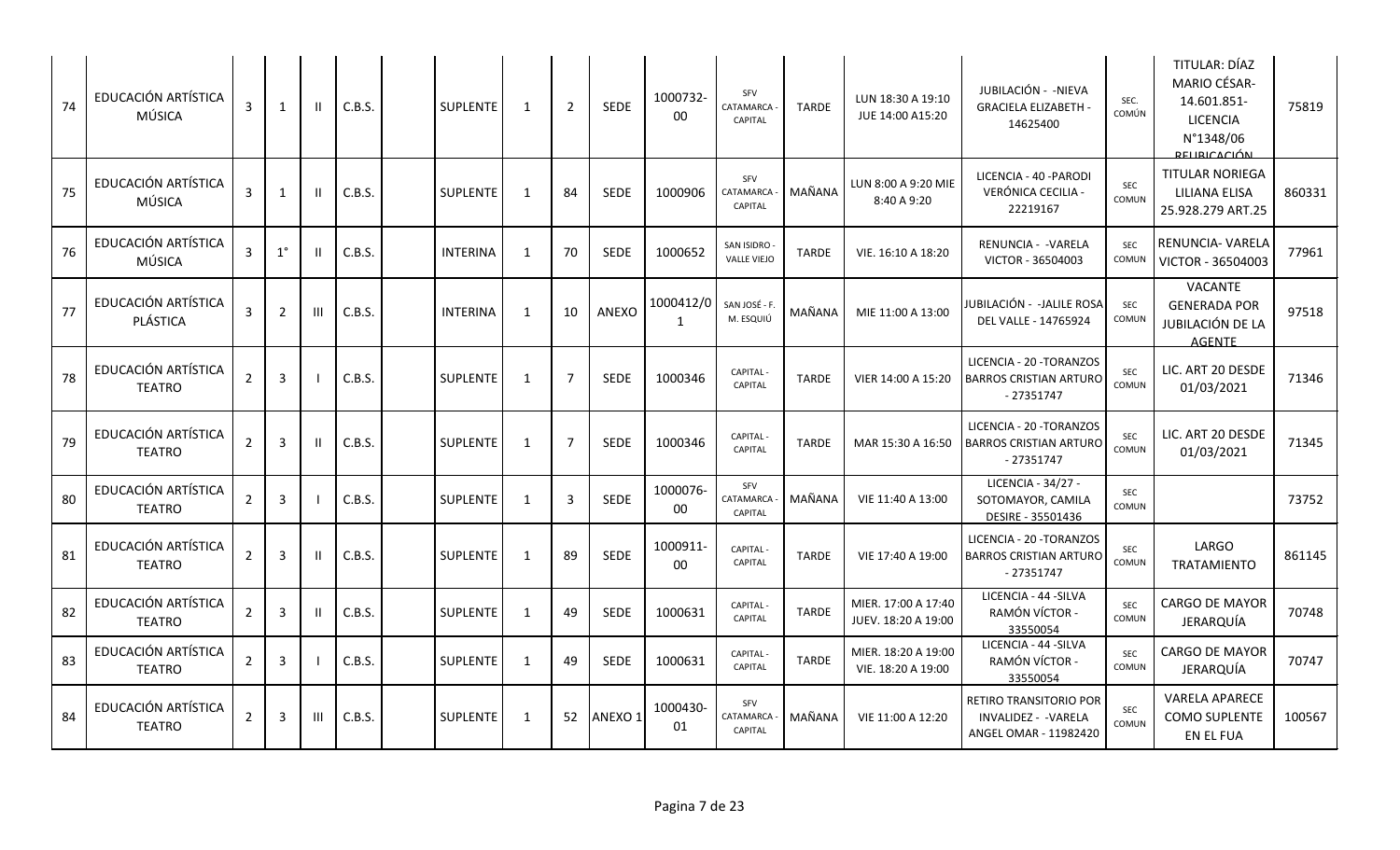| 74 | EDUCACIÓN ARTÍSTICA<br>MÚSICA        | 3              | $\mathbf{1}$   | -II | C.B.S. | <b>SUPLENTE</b> | 1            | 2              | SEDE        | 1000732-<br>$00\,$ | SFV<br>CATAMARCA<br>CAPITAL        | <b>TARDE</b> | LUN 18:30 A 19:10<br>JUE 14:00 A15:20      | JUBILACIÓN - -NIEVA<br><b>GRACIELA ELIZABETH -</b><br>14625400                 | SEC.<br>COMÚN       | TITULAR: DÍAZ<br>MARIO CÉSAR-<br>14.601.851-<br><b>LICENCIA</b><br>N°1348/06<br><b>DELIBICACIÓN</b> | 75819  |
|----|--------------------------------------|----------------|----------------|-----|--------|-----------------|--------------|----------------|-------------|--------------------|------------------------------------|--------------|--------------------------------------------|--------------------------------------------------------------------------------|---------------------|-----------------------------------------------------------------------------------------------------|--------|
| 75 | EDUCACIÓN ARTÍSTICA<br>MÚSICA        | 3              | $\mathbf{1}$   |     | C.B.S. | <b>SUPLENTE</b> | 1            | 84             | <b>SEDE</b> | 1000906            | SFV<br>CATAMARCA<br>CAPITAL        | MAÑANA       | LUN 8:00 A 9:20 MIE<br>8:40 A 9:20         | LICENCIA - 40 - PARODI<br>VERÓNICA CECILIA -<br>22219167                       | <b>SEC</b><br>COMUN | <b>TITULAR NORIEGA</b><br><b>LILIANA ELISA</b><br>25.928.279 ART.25                                 | 860331 |
| 76 | EDUCACIÓN ARTÍSTICA<br>MÚSICA        | 3              | $1^{\circ}$    | Ш   | C.B.S. | <b>INTERINA</b> | 1            | 70             | <b>SEDE</b> | 1000652            | SAN ISIDRO<br><b>VALLE VIEJO</b>   | <b>TARDE</b> | VIE. 16:10 A 18:20                         | RENUNCIA - - VARELA<br>VICTOR - 36504003                                       | SEC<br>COMUN        | RENUNCIA- VARELA<br>VICTOR - 36504003                                                               | 77961  |
| 77 | EDUCACIÓN ARTÍSTICA<br>PLÁSTICA      | 3              | 2              | Ш   | C.B.S. | <b>INTERINA</b> | $\mathbf{1}$ | 10             | ANEXO       | 1000412/0<br>1     | SAN JOSÉ - F.<br>M. ESQUIÚ         | MAÑANA       | MIE 11:00 A 13:00                          | JUBILACIÓN - -JALILE ROSA<br>DEL VALLE - 14765924                              | <b>SEC</b><br>COMUN | <b>VACANTE</b><br><b>GENERADA POR</b><br>JUBILACIÓN DE LA<br><b>AGENTE</b>                          | 97518  |
| 78 | EDUCACIÓN ARTÍSTICA<br><b>TEATRO</b> | $\overline{2}$ | $\overline{3}$ |     | C.B.S. | <b>SUPLENTE</b> | 1            | $\overline{7}$ | <b>SEDE</b> | 1000346            | CAPITAL -<br><b>CAPITAL</b>        | <b>TARDE</b> | VIER 14:00 A 15:20                         | LICENCIA - 20 - TORANZOS<br><b>BARROS CRISTIAN ARTURO</b><br>$-27351747$       | <b>SEC</b><br>COMUN | LIC. ART 20 DESDE<br>01/03/2021                                                                     | 71346  |
| 79 | EDUCACIÓN ARTÍSTICA<br><b>TEATRO</b> | $\overline{2}$ | 3              |     | C.B.S. | <b>SUPLENTE</b> | 1            | $\overline{7}$ | <b>SEDE</b> | 1000346            | CAPITAL -<br><b>CAPITAL</b>        | <b>TARDE</b> | MAR 15:30 A 16:50                          | LICENCIA - 20 - TORANZOS<br><b>BARROS CRISTIAN ARTURO</b><br>$-27351747$       | SEC<br>COMUN        | LIC. ART 20 DESDE<br>01/03/2021                                                                     | 71345  |
| 80 | EDUCACIÓN ARTÍSTICA<br><b>TEATRO</b> | $\overline{2}$ | $\overline{3}$ |     | C.B.S. | <b>SUPLENTE</b> | $\mathbf{1}$ | $\overline{3}$ | <b>SEDE</b> | 1000076-<br>$00\,$ | SFV<br>CATAMARCA<br>CAPITAL        | MAÑANA       | VIE 11:40 A 13:00                          | LICENCIA - 34/27 -<br>SOTOMAYOR, CAMILA<br>DESIRE - 35501436                   | SEC<br>COMUN        |                                                                                                     | 73752  |
| 81 | EDUCACIÓN ARTÍSTICA<br><b>TEATRO</b> | $\overline{2}$ | $\overline{3}$ | Ш   | C.B.S. | SUPLENTE        | 1            | 89             | <b>SEDE</b> | 1000911-<br>00     | CAPITAL-<br><b>CAPITAL</b>         | <b>TARDE</b> | VIE 17:40 A 19:00                          | LICENCIA - 20 - TORANZOS<br><b>BARROS CRISTIAN ARTURO</b><br>$-27351747$       | SEC<br>COMUN        | LARGO<br><b>TRATAMIENTO</b>                                                                         | 861145 |
| 82 | EDUCACIÓN ARTÍSTICA<br><b>TEATRO</b> | $\overline{2}$ | $\overline{3}$ | H   | C.B.S. | <b>SUPLENTE</b> | 1            | 49             | <b>SEDE</b> | 1000631            | CAPITAL -<br>CAPITAL               | <b>TARDE</b> | MIER. 17:00 A 17:40<br>JUEV. 18:20 A 19:00 | LICENCIA - 44 - SILVA<br>RAMÓN VÍCTOR -<br>33550054                            | <b>SEC</b><br>COMUN | <b>CARGO DE MAYOR</b><br>JERARQUÍA                                                                  | 70748  |
| 83 | EDUCACIÓN ARTÍSTICA<br><b>TEATRO</b> | $\overline{2}$ | $\overline{3}$ |     | C.B.S. | SUPLENTE        | 1            | 49             | <b>SEDE</b> | 1000631            | CAPITAL -<br>CAPITAL               | <b>TARDE</b> | MIER. 18:20 A 19:00<br>VIE. 18:20 A 19:00  | LICENCIA - 44 - SILVA<br>RAMÓN VÍCTOR -<br>33550054                            | <b>SEC</b><br>COMUN | CARGO DE MAYOR<br>JERARQUÍA                                                                         | 70747  |
| 84 | EDUCACIÓN ARTÍSTICA<br><b>TEATRO</b> | $\overline{2}$ | $\overline{3}$ | Ш   | C.B.S. | SUPLENTE        | 1            | 52             | ANEXO 1     | 1000430-<br>01     | SFV<br>CATAMARCA<br><b>CAPITAL</b> | MAÑANA       | VIE 11:00 A 12:20                          | <b>RETIRO TRANSITORIO POR</b><br>INVALIDEZ - - VARELA<br>ANGEL OMAR - 11982420 | <b>SEC</b><br>COMUN | <b>VARELA APARECE</b><br>COMO SUPLENTE<br>EN EL FUA                                                 | 100567 |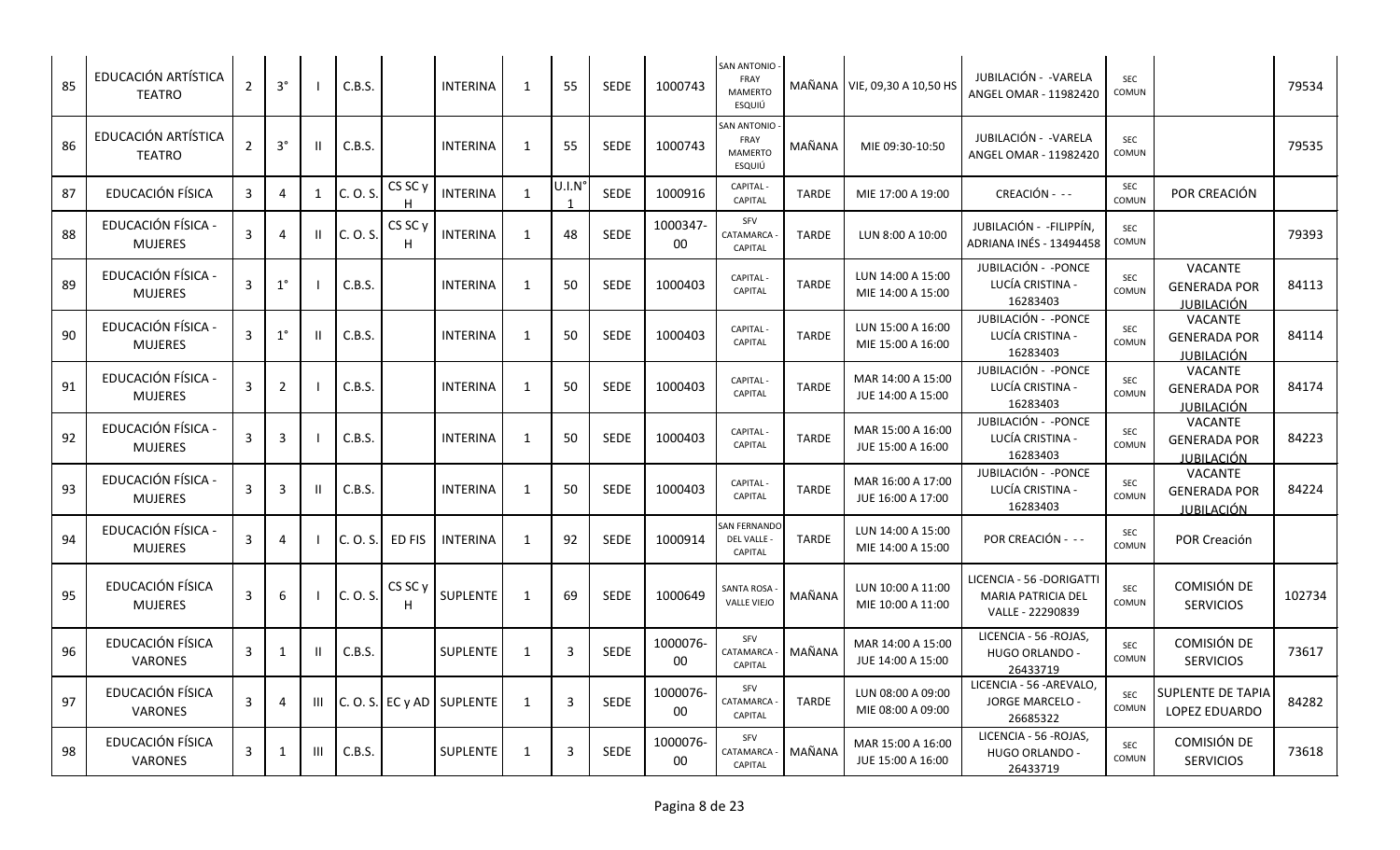| 85 | EDUCACIÓN ARTÍSTICA<br><b>TEATRO</b> | $\overline{2}$ | $3^{\circ}$    |              | C.B.S.   |                         | <b>INTERINA</b>               | 1            | 55                    | <b>SEDE</b> | 1000743        | SAN ANTONIO -<br>FRAY<br><b>MAMERTO</b><br>ESQUIÚ    |              | MAÑANA   VIE, 09,30 A 10,50 HS         | JUBILACIÓN - - VARELA<br>ANGEL OMAR - 11982420                            | SEC<br>COMUN        |                                                            | 79534  |
|----|--------------------------------------|----------------|----------------|--------------|----------|-------------------------|-------------------------------|--------------|-----------------------|-------------|----------------|------------------------------------------------------|--------------|----------------------------------------|---------------------------------------------------------------------------|---------------------|------------------------------------------------------------|--------|
| 86 | EDUCACIÓN ARTÍSTICA<br><b>TEATRO</b> | $\overline{2}$ | $3^{\circ}$    | Ш            | C.B.S.   |                         | <b>INTERINA</b>               | 1            | 55                    | <b>SEDE</b> | 1000743        | SAN ANTONIO<br>FRAY<br><b>MAMERTO</b><br>ESQUIÚ      | MAÑANA       | MIE 09:30-10:50                        | JUBILACIÓN - - VARELA<br>ANGEL OMAR - 11982420                            | SEC<br>COMUN        |                                                            | 79535  |
| 87 | EDUCACIÓN FÍSICA                     | $\mathbf{3}$   | $\overline{4}$ | $\mathbf{1}$ | C. O. S. | CS SC <sub>y</sub><br>H | <b>INTERINA</b>               | 1            | U.I.N<br>$\mathbf{1}$ | <b>SEDE</b> | 1000916        | CAPITAL -<br>CAPITAL                                 | <b>TARDE</b> | MIE 17:00 A 19:00                      | CREACIÓN - --                                                             | SEC<br>COMUN        | POR CREACIÓN                                               |        |
| 88 | EDUCACIÓN FÍSICA -<br><b>MUJERES</b> | 3              | -4             |              | C. O. S. | CS SC y<br>H            | <b>INTERINA</b>               | 1            | 48                    | <b>SEDE</b> | 1000347-<br>00 | SFV<br>CATAMARCA<br><b>CAPITAL</b>                   | <b>TARDE</b> | LUN 8:00 A 10:00                       | JUBILACIÓN - - FILIPPÍN,<br>ADRIANA INÉS - 13494458                       | SEC<br>COMUN        |                                                            | 79393  |
| 89 | EDUCACIÓN FÍSICA -<br><b>MUJERES</b> | $\mathbf{3}$   | $1^{\circ}$    |              | C.B.S.   |                         | <b>INTERINA</b>               | 1            | 50                    | <b>SEDE</b> | 1000403        | CAPITAL -<br><b>CAPITAL</b>                          | <b>TARDE</b> | LUN 14:00 A 15:00<br>MIE 14:00 A 15:00 | JUBILACIÓN - - PONCE<br>LUCÍA CRISTINA -<br>16283403                      | SEC<br>COMUN        | VACANTE<br><b>GENERADA POR</b><br><u>JUBILACIÓN</u>        | 84113  |
| 90 | EDUCACIÓN FÍSICA -<br><b>MUJERES</b> | 3              | $1^{\circ}$    | Ш            | C.B.S.   |                         | <b>INTERINA</b>               | 1            | 50                    | <b>SEDE</b> | 1000403        | CAPITAL -<br>CAPITAL                                 | <b>TARDE</b> | LUN 15:00 A 16:00<br>MIE 15:00 A 16:00 | JUBILACIÓN - - PONCE<br>LUCÍA CRISTINA -<br>16283403                      | SEC<br>COMUN        | <b>VACANTE</b><br><b>GENERADA POR</b><br>JUBILACIÓN        | 84114  |
| 91 | EDUCACIÓN FÍSICA -<br><b>MUJERES</b> | 3              | $\overline{2}$ |              | C.B.S.   |                         | <b>INTERINA</b>               | 1            | 50                    | <b>SEDE</b> | 1000403        | CAPITAL -<br>CAPITAL                                 | <b>TARDE</b> | MAR 14:00 A 15:00<br>JUE 14:00 A 15:00 | JUBILACIÓN - - PONCE<br>LUCÍA CRISTINA -<br>16283403                      | <b>SEC</b><br>COMUN | VACANTE<br><b>GENERADA POR</b><br><u>JUBILACIÓN</u>        | 84174  |
| 92 | EDUCACIÓN FÍSICA -<br><b>MUJERES</b> | $\mathbf{3}$   | 3              |              | C.B.S.   |                         | <b>INTERINA</b>               | $\mathbf{1}$ | 50                    | <b>SEDE</b> | 1000403        | CAPITAL -<br><b>CAPITAL</b>                          | <b>TARDE</b> | MAR 15:00 A 16:00<br>JUE 15:00 A 16:00 | JUBILACIÓN - - PONCE<br>LUCÍA CRISTINA -<br>16283403                      | SEC<br>COMUN        | VACANTE<br><b>GENERADA POR</b><br>JUBILACIÓN               | 84223  |
| 93 | EDUCACIÓN FÍSICA -<br><b>MUJERES</b> | 3              | 3              |              | C.B.S.   |                         | <b>INTERINA</b>               | 1            | 50                    | <b>SEDE</b> | 1000403        | <b>CAPITAL</b><br>CAPITAL                            | <b>TARDE</b> | MAR 16:00 A 17:00<br>JUE 16:00 A 17:00 | JUBILACIÓN - - PONCE<br>LUCÍA CRISTINA -<br>16283403                      | SEC<br>COMUN        | <b>VACANTE</b><br><b>GENERADA POR</b><br><u>JUBILACIÓN</u> | 84224  |
| 94 | EDUCACIÓN FÍSICA -<br><b>MUJERES</b> | $\overline{3}$ | $\overline{4}$ |              | C. O. S. | ED FIS                  | <b>INTERINA</b>               | 1            | 92                    | <b>SEDE</b> | 1000914        | <b>SAN FERNANDC</b><br>DEL VALLE -<br><b>CAPITAL</b> | <b>TARDE</b> | LUN 14:00 A 15:00<br>MIE 14:00 A 15:00 | POR CREACIÓN - --                                                         | SEC<br>COMUN        | POR Creación                                               |        |
| 95 | EDUCACIÓN FÍSICA<br><b>MUJERES</b>   | 3              | 6              |              | C. O. S. | CS SC <sub>y</sub>      | <b>SUPLENTE</b>               | $\mathbf{1}$ | 69                    | <b>SEDE</b> | 1000649        | SANTA ROSA<br><b>VALLE VIEJO</b>                     | MAÑANA       | LUN 10:00 A 11:00<br>MIE 10:00 A 11:00 | LICENCIA - 56 -DORIGATTI<br><b>MARIA PATRICIA DEL</b><br>VALLE - 22290839 | SEC<br>COMUN        | COMISIÓN DE<br><b>SERVICIOS</b>                            | 102734 |
| 96 | EDUCACIÓN FÍSICA<br>VARONES          | 3              | 1              |              | C.B.S.   |                         | SUPLENTE                      | 1            | $\overline{3}$        | SEDE        | 1000076-<br>00 | SFV<br>CATAMARCA<br><b>CAPITAL</b>                   | MAÑANA       | MAR 14:00 A 15:00<br>JUE 14:00 A 15:00 | LICENCIA - 56 - ROJAS,<br>HUGO ORLANDO -<br>26433719                      | SEC<br>COMUN        | COMISIÓN DE<br><b>SERVICIOS</b>                            | 73617  |
| 97 | EDUCACIÓN FÍSICA<br>VARONES          | 3              | $\overline{4}$ | Ш            |          |                         | $ C. O. S. $ EC y AD SUPLENTE | 1            | $\overline{3}$        | SEDE        | 1000076-<br>00 | SFV<br>CATAMARCA<br>CAPITAL                          | <b>TARDE</b> | LUN 08:00 A 09:00<br>MIE 08:00 A 09:00 | LICENCIA - 56 - AREVALO<br>JORGE MARCELO -<br>26685322                    | <b>SEC</b><br>COMUN | <b>SUPLENTE DE TAPIA</b><br>LOPEZ EDUARDO                  | 84282  |
| 98 | EDUCACIÓN FÍSICA<br><b>VARONES</b>   | 3              | $\mathbf{1}$   | Ш            | C.B.S.   |                         | SUPLENTE                      | $\mathbf{1}$ | $\overline{3}$        | <b>SEDE</b> | 1000076-<br>00 | SFV<br>CATAMARCA<br><b>CAPITAL</b>                   | MAÑANA       | MAR 15:00 A 16:00<br>JUE 15:00 A 16:00 | LICENCIA - 56 - ROJAS,<br>HUGO ORLANDO -<br>26433719                      | SEC<br>COMUN        | COMISIÓN DE<br><b>SERVICIOS</b>                            | 73618  |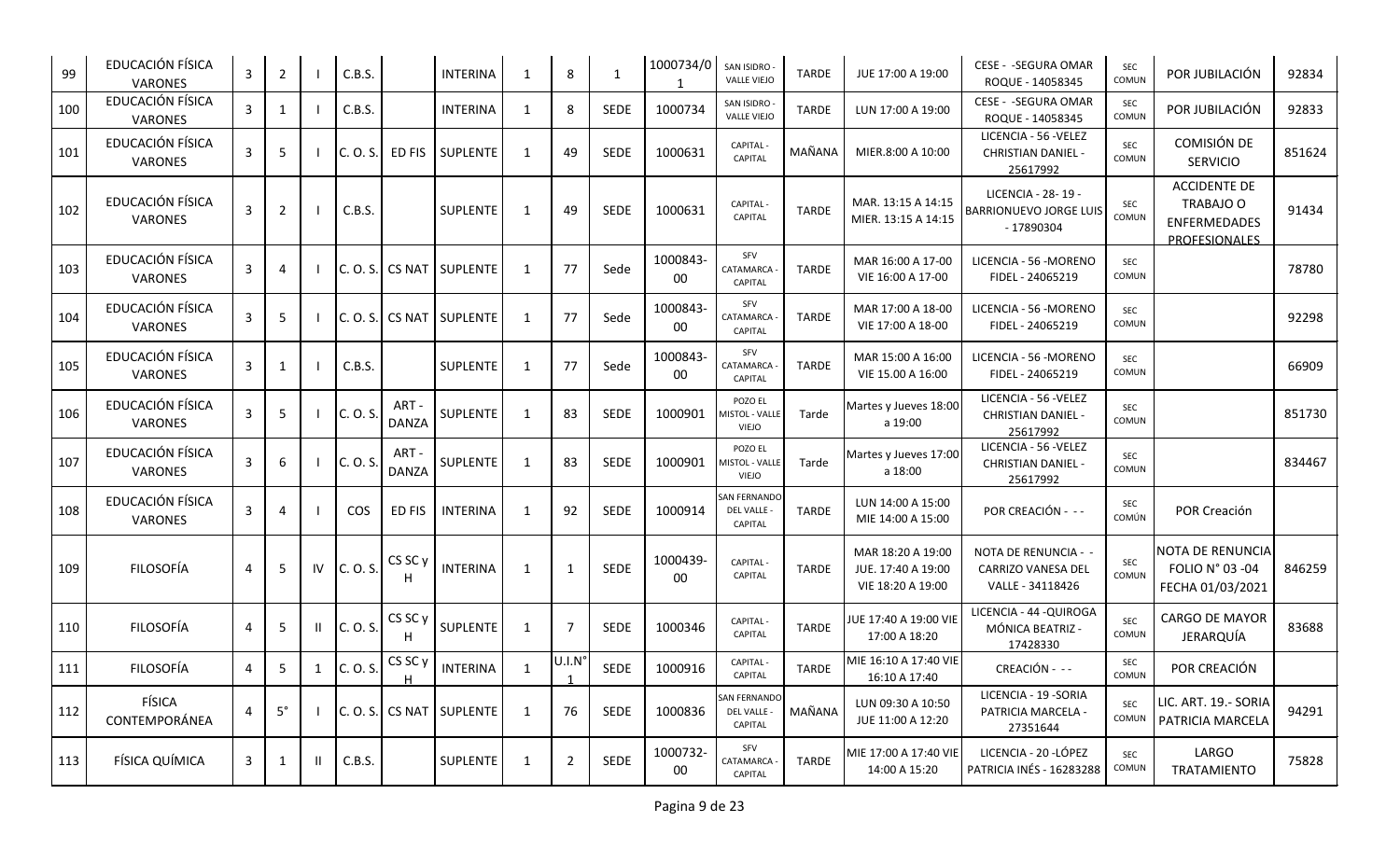| 99  | EDUCACIÓN FÍSICA<br><b>VARONES</b> | 3 | 2           |    | C.B.S.     |                       | <b>INTERINA</b>          | 1            | 8              | $\mathbf{1}$ | 1000734/0      | SAN ISIDRO -<br><b>VALLE VIEJO</b>               | <b>TARDE</b> | JUE 17:00 A 19:00                                            | CESE - - SEGURA OMAR<br>ROQUE - 14058345                          | SEC<br>COMUN        | POR JUBILACIÓN                                                                  | 92834  |
|-----|------------------------------------|---|-------------|----|------------|-----------------------|--------------------------|--------------|----------------|--------------|----------------|--------------------------------------------------|--------------|--------------------------------------------------------------|-------------------------------------------------------------------|---------------------|---------------------------------------------------------------------------------|--------|
| 100 | EDUCACIÓN FÍSICA<br>VARONES        | 3 | -1          |    | C.B.S.     |                       | <b>INTERINA</b>          | 1            | 8              | <b>SEDE</b>  | 1000734        | <b>SAN ISIDRO</b><br><b>VALLE VIEJO</b>          | <b>TARDE</b> | LUN 17:00 A 19:00                                            | CESE - - SEGURA OMAR<br>ROQUE - 14058345                          | SEC<br>COMUN        | POR JUBILACIÓN                                                                  | 92833  |
| 101 | EDUCACIÓN FÍSICA<br><b>VARONES</b> | 3 | 5           |    | C. O. S.   | ED FIS                | <b>SUPLENTE</b>          | 1            | 49             | <b>SEDE</b>  | 1000631        | CAPITAL -<br>CAPITAL                             | MAÑANA       | MIER.8:00 A 10:00                                            | LICENCIA - 56 - VELEZ<br><b>CHRISTIAN DANIEL -</b><br>25617992    | <b>SEC</b><br>COMUN | COMISIÓN DE<br><b>SERVICIO</b>                                                  | 851624 |
| 102 | EDUCACIÓN FÍSICA<br><b>VARONES</b> | 3 | 2           |    | C.B.S.     |                       | SUPLENTE                 | 1            | 49             | <b>SEDE</b>  | 1000631        | CAPITAL -<br><b>CAPITAL</b>                      | <b>TARDE</b> | MAR. 13:15 A 14:15<br>MIER. 13:15 A 14:15                    | LICENCIA - 28-19 -<br><b>BARRIONUEVO JORGE LUIS</b><br>- 17890304 | SEC<br>COMUN        | <b>ACCIDENTE DE</b><br>TRABAJO O<br><b>ENFERMEDADES</b><br><b>PROFFSIONALES</b> | 91434  |
| 103 | EDUCACIÓN FÍSICA<br><b>VARONES</b> | 3 | 4           |    |            |                       | C. O. S. CS NAT SUPLENTE | 1            | 77             | Sede         | 1000843-<br>00 | SFV<br>CATAMARCA<br><b>CAPITAL</b>               | <b>TARDE</b> | MAR 16:00 A 17-00<br>VIE 16:00 A 17-00                       | LICENCIA - 56 - MORENO<br>FIDEL - 24065219                        | SEC<br>COMUN        |                                                                                 | 78780  |
| 104 | EDUCACIÓN FÍSICA<br><b>VARONES</b> | 3 | 5           |    | C. O. S.   | <b>CS NAT</b>         | SUPLENTE                 | 1            | 77             | Sede         | 1000843-<br>00 | SFV<br>CATAMARCA<br><b>CAPITAL</b>               | <b>TARDE</b> | MAR 17:00 A 18-00<br>VIE 17:00 A 18-00                       | LICENCIA - 56 -MORENO<br>FIDEL - 24065219                         | <b>SEC</b><br>COMUN |                                                                                 | 92298  |
| 105 | EDUCACIÓN FÍSICA<br><b>VARONES</b> | 3 |             |    | C.B.S.     |                       | SUPLENTE                 | $\mathbf{1}$ | 77             | Sede         | 1000843-<br>00 | SFV<br>CATAMARCA<br>CAPITAL                      | <b>TARDE</b> | MAR 15:00 A 16:00<br>VIE 15.00 A 16:00                       | LICENCIA - 56 -MORENO<br>FIDEL - 24065219                         | SEC<br>COMUN        |                                                                                 | 66909  |
| 106 | EDUCACIÓN FÍSICA<br><b>VARONES</b> | 3 | 5           |    | C. O. S.   | ART -<br><b>DANZA</b> | <b>SUPLENTE</b>          | 1            | 83             | <b>SEDE</b>  | 1000901        | POZO EL<br><b>MISTOL - VALLI</b><br><b>VIEJO</b> | Tarde        | Martes y Jueves 18:00<br>a 19:00                             | LICENCIA - 56 - VELEZ<br><b>CHRISTIAN DANIEL -</b><br>25617992    | SEC<br>COMUN        |                                                                                 | 851730 |
| 107 | EDUCACIÓN FÍSICA<br><b>VARONES</b> | 3 | 6           |    | C. O. S.   | ART-<br><b>DANZA</b>  | SUPLENTE                 | 1            | 83             | <b>SEDE</b>  | 1000901        | POZO EL<br>MISTOL - VALLE<br>VIEJO               | Tarde        | Martes y Jueves 17:00<br>a 18:00                             | LICENCIA - 56 - VELEZ<br><b>CHRISTIAN DANIEL -</b><br>25617992    | SEC<br>COMUN        |                                                                                 | 834467 |
| 108 | EDUCACIÓN FÍSICA<br><b>VARONES</b> | 3 | $\Delta$    |    | <b>COS</b> | ED FIS                | <b>INTERINA</b>          | 1            | 92             | <b>SEDE</b>  | 1000914        | <b>SAN FERNANDO</b><br>DEL VALLE -<br>CAPITAL    | <b>TARDE</b> | LUN 14:00 A 15:00<br>MIE 14:00 A 15:00                       | POR CREACIÓN - --                                                 | SEC<br>COMÚN        | POR Creación                                                                    |        |
| 109 | <b>FILOSOFÍA</b>                   | 4 | 5           | IV | C. O. S.   | CS SC y<br>H          | <b>INTERINA</b>          | 1            | $\mathbf{1}$   | <b>SEDE</b>  | 1000439-<br>00 | CAPITAL -<br><b>CAPITAL</b>                      | <b>TARDE</b> | MAR 18:20 A 19:00<br>JUE. 17:40 A 19:00<br>VIE 18:20 A 19:00 | NOTA DE RENUNCIA - -<br>CARRIZO VANESA DEL<br>VALLE - 34118426    | SEC<br>COMUN        | <b>NOTA DE RENUNCIA</b><br>FOLIO N° 03 -04<br>FECHA 01/03/2021                  | 846259 |
| 110 | <b>FILOSOFÍA</b>                   | 4 | -5          | Ш  | C. O. S.   | CS SC y<br>H          | SUPLENTE                 | 1            | $\overline{7}$ | <b>SEDE</b>  | 1000346        | <b>CAPITAL-</b><br><b>CAPITAL</b>                | <b>TARDE</b> | JUE 17:40 A 19:00 VIE<br>17:00 A 18:20                       | LICENCIA - 44 - QUIROGA<br>MÓNICA BEATRIZ -<br>17428330           | SEC<br>COMUN        | <b>CARGO DE MAYOR</b><br>JERARQUÍA                                              | 83688  |
| 111 | <b>FILOSOFÍA</b>                   | 4 | 5           | 1  | C. O. S.   | CS SC y               | <b>INTERINA</b>          | 1            | U.I.N°         | SEDE         | 1000916        | CAPITAL-<br>CAPITAL                              | <b>TARDE</b> | MIE 16:10 A 17:40 VIE<br>16:10 A 17:40                       | CREACIÓN - --                                                     | SEC<br>COMUN        | POR CREACIÓN                                                                    |        |
| 112 | FÍSICA<br>CONTEMPORÁNEA            | 4 | $5^{\circ}$ |    |            |                       | C.O.S. CS NAT SUPLENTE   | 1            | 76             | SEDE         | 1000836        | SAN FERNANDO<br>DEL VALLE -<br>CAPITAL           | MAÑANA       | LUN 09:30 A 10:50<br>JUE 11:00 A 12:20                       | LICENCIA - 19 - SORIA<br>PATRICIA MARCELA -<br>27351644           | SEC<br>COMUN        | LIC. ART. 19.- SORIA<br>PATRICIA MARCELA                                        | 94291  |
| 113 | FÍSICA QUÍMICA                     | 3 | -1          | Ш  | C.B.S.     |                       | SUPLENTE                 | $\mathbf{1}$ | $\overline{2}$ | SEDE         | 1000732-<br>00 | SFV<br>CATAMARCA<br>CAPITAL                      | <b>TARDE</b> | MIE 17:00 A 17:40 VIE<br>14:00 A 15:20                       | LICENCIA - 20 - LÓPEZ<br>PATRICIA INÉS - 16283288                 | SEC<br>COMUN        | LARGO<br>TRATAMIENTO                                                            | 75828  |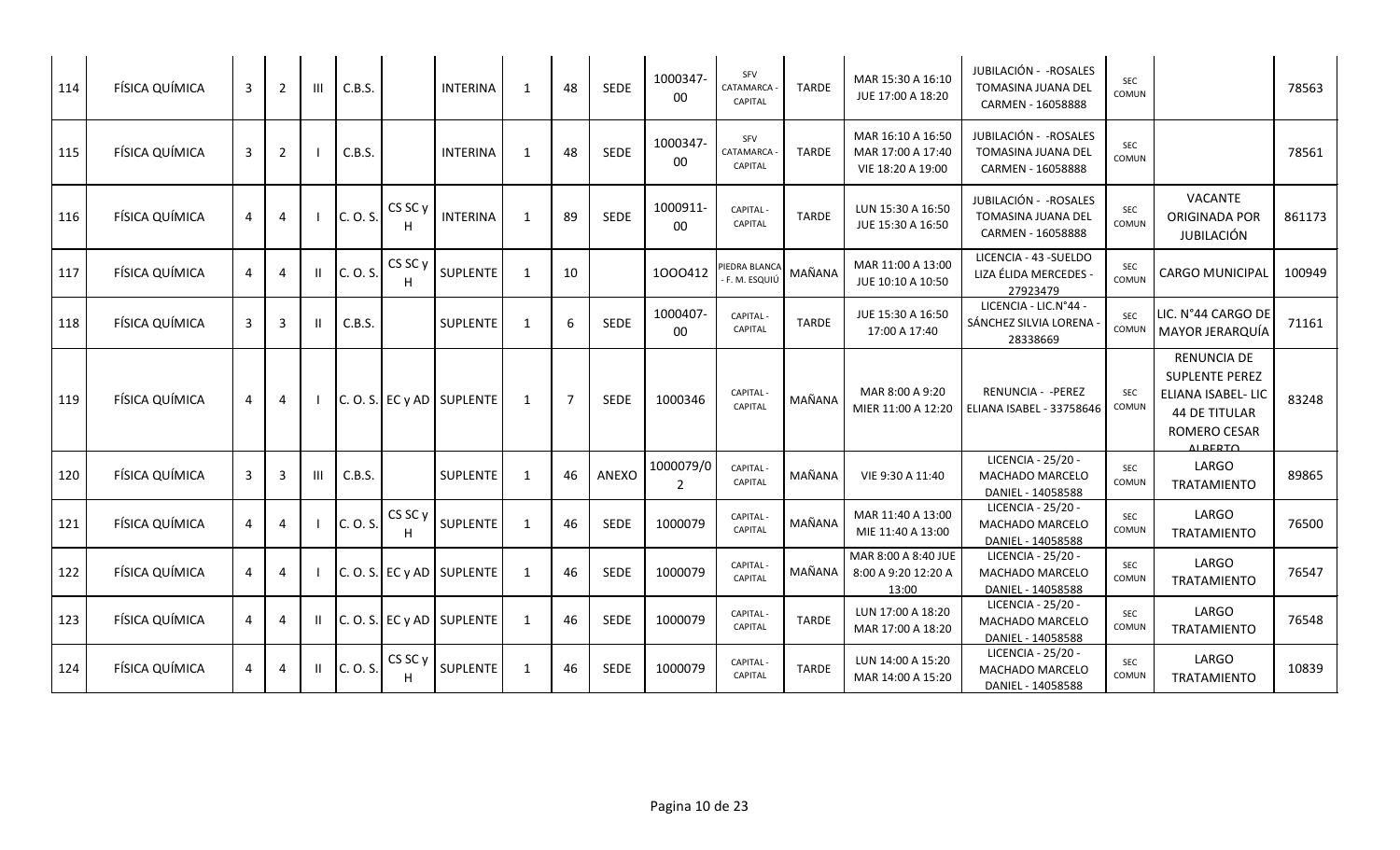| 114 | FÍSICA QUÍMICA | 3              | 2              | Ш | C.B.S.   |                         | <b>INTERINA</b>             | 1              | 48             | SEDE        | 1000347-<br>00     | SFV<br>CATAMARCA<br>CAPITAL               | <b>TARDE</b> | MAR 15:30 A 16:10<br>JUE 17:00 A 18:20                      | JUBILACIÓN - - ROSALES<br><b>TOMASINA JUANA DEL</b><br>CARMEN - 16058888 | SEC<br>COMUN        |                                                                                                                             | 78563  |
|-----|----------------|----------------|----------------|---|----------|-------------------------|-----------------------------|----------------|----------------|-------------|--------------------|-------------------------------------------|--------------|-------------------------------------------------------------|--------------------------------------------------------------------------|---------------------|-----------------------------------------------------------------------------------------------------------------------------|--------|
| 115 | FÍSICA QUÍMICA | 3              | $\overline{2}$ |   | C.B.S.   |                         | <b>INTERINA</b>             | 1              | 48             | SEDE        | 1000347-<br>00     | <b>SFV</b><br>CATAMARCA<br><b>CAPITAL</b> | <b>TARDE</b> | MAR 16:10 A 16:50<br>MAR 17:00 A 17:40<br>VIE 18:20 A 19:00 | JUBILACIÓN - - ROSALES<br>TOMASINA JUANA DEL<br>CARMEN - 16058888        | <b>SEC</b><br>COMUN |                                                                                                                             | 78561  |
| 116 | FÍSICA QUÍMICA | 4              | 4              |   | C. O. S. | CS SC y                 | <b>INTERINA</b>             | 1              | 89             | SEDE        | 1000911-<br>$00\,$ | CAPITAL<br>CAPITAL                        | <b>TARDE</b> | LUN 15:30 A 16:50<br>JUE 15:30 A 16:50                      | JUBILACIÓN - - ROSALES<br>TOMASINA JUANA DEL<br>CARMEN - 16058888        | SEC<br>COMUN        | <b>VACANTE</b><br>ORIGINADA POR<br>JUBILACIÓN                                                                               | 861173 |
| 117 | FÍSICA QUÍMICA | 4              | $\overline{4}$ |   | C. O. S. | CS SC <sub>y</sub><br>H | SUPLENTE                    | -1             | 10             |             | 1000412            | PIEDRA BLANCA<br>F. M. ESQUIÚ             | MAÑANA       | MAR 11:00 A 13:00<br>JUE 10:10 A 10:50                      | LICENCIA - 43 - SUELDO<br>LIZA ÉLIDA MERCEDES -<br>27923479              | <b>SEC</b><br>COMUN | <b>CARGO MUNICIPAL</b>                                                                                                      | 100949 |
| 118 | FÍSICA QUÍMICA | 3              | 3              |   | C.B.S.   |                         | SUPLENTE                    | $\overline{1}$ | 6              | SEDE        | 1000407<br>00      | CAPITAL<br>CAPITAL                        | <b>TARDE</b> | JUE 15:30 A 16:50<br>17:00 A 17:40                          | LICENCIA - LIC.N°44 -<br>SÁNCHEZ SILVIA LORENA<br>28338669               | <b>SEC</b><br>COMUN | LIC. N°44 CARGO DE<br>MAYOR JERARQUÍA                                                                                       | 71161  |
| 119 | FÍSICA QUÍMICA | 4              | 4              |   |          |                         | $C. O. S.$ EC y AD SUPLENTE | $\mathbf{1}$   | $\overline{7}$ | <b>SEDE</b> | 1000346            | <b>CAPITAL-</b><br>CAPITAL                | MAÑANA       | MAR 8:00 A 9:20<br>MIER 11:00 A 12:20                       | <b>RENUNCIA - - PEREZ</b><br>ELIANA ISABEL - 33758646                    | SEC<br>COMUN        | <b>RENUNCIA DE</b><br><b>SUPLENTE PEREZ</b><br>ELIANA ISABEL- LIC<br><b>44 DE TITULAR</b><br>ROMERO CESAR<br><b>ALBERTO</b> | 83248  |
| 120 | FÍSICA QUÍMICA | 3              | 3              |   | C.B.S.   |                         | SUPLENTE                    | $\mathbf{1}$   | 46             | ANEXO       | 1000079/0<br>2     | CAPITAL<br>CAPITAL                        | MAÑANA       | VIE 9:30 A 11:40                                            | LICENCIA - 25/20 -<br>MACHADO MARCELO<br>DANIEL - 14058588               | SEC<br>COMUN        | LARGO<br><b>TRATAMIENTO</b>                                                                                                 | 89865  |
| 121 | FÍSICA QUÍMICA | $\overline{a}$ | 4              |   | C. O. S. | CS SC <sub>y</sub>      | SUPLENTE                    | $\mathbf{1}$   | 46             | SEDE        | 1000079            | CAPITAL<br>CAPITAL                        | MAÑANA       | MAR 11:40 A 13:00<br>MIE 11:40 A 13:00                      | LICENCIA - 25/20 -<br>MACHADO MARCELO<br>DANIEL - 14058588               | <b>SEC</b><br>COMUN | LARGO<br>TRATAMIENTO                                                                                                        | 76500  |
| 122 | FÍSICA QUÍMICA | 4              | 4              |   | C. O. S. |                         | $EC y AD$ SUPLENTE          | 1              | 46             | SEDE        | 1000079            | <b>CAPITAL</b><br>CAPITAL                 | MAÑANA       | MAR 8:00 A 8:40 JUE<br>8:00 A 9:20 12:20 A<br>13:00         | LICENCIA - 25/20 -<br>MACHADO MARCELO<br>DANIEL - 14058588               | <b>SEC</b><br>COMUN | LARGO<br><b>TRATAMIENTO</b>                                                                                                 | 76547  |
| 123 | FÍSICA QUÍMICA | 4              | 4              |   |          |                         | $C. O. S.$ EC y AD SUPLENTE | 1              | 46             | <b>SEDE</b> | 1000079            | CAPITAL<br>CAPITAL                        | <b>TARDE</b> | LUN 17:00 A 18:20<br>MAR 17:00 A 18:20                      | LICENCIA - 25/20 -<br>MACHADO MARCELO<br>DANIEL - 14058588               | <b>SEC</b><br>COMUN | LARGO<br><b>TRATAMIENTO</b>                                                                                                 | 76548  |
| 124 | FÍSICA QUÍMICA | 4              | 4              |   | C. O. S. | CS SC <sub>y</sub>      | <b>SUPLENTE</b>             | $\mathbf{1}$   | 46             | <b>SEDE</b> | 1000079            | CAPITAL<br><b>CAPITAL</b>                 | <b>TARDE</b> | LUN 14:00 A 15:20<br>MAR 14:00 A 15:20                      | LICENCIA - 25/20 -<br>MACHADO MARCELO<br>DANIEL - 14058588               | <b>SEC</b><br>COMUN | LARGO<br>TRATAMIENTO                                                                                                        | 10839  |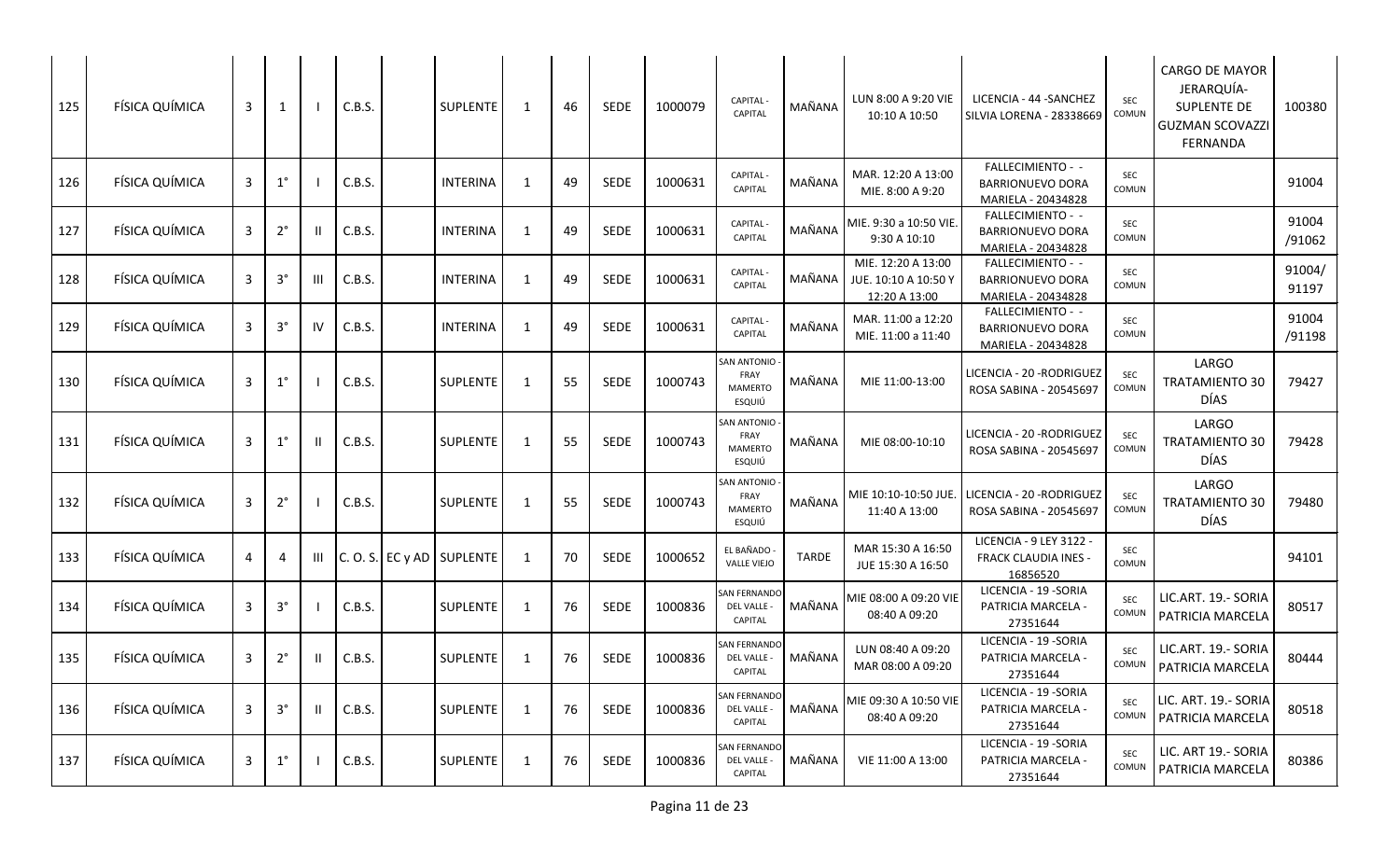| 125 | FÍSICA QUÍMICA | 3            | $\mathbf{1}$ |    | C.B.S. | <b>SUPLENTE</b>             | 1            | 46 | <b>SEDE</b> | 1000079 | CAPITAL -<br>CAPITAL                            | MAÑANA | LUN 8:00 A 9:20 VIE<br>10:10 A 10:50                        | LICENCIA - 44 - SANCHEZ<br><b>SILVIA LORENA - 28338669</b>         | SEC<br>COMUN        | CARGO DE MAYOR<br>JERARQUÍA-<br><b>SUPLENTE DE</b><br><b>GUZMAN SCOVAZZI</b><br>FERNANDA | 100380          |
|-----|----------------|--------------|--------------|----|--------|-----------------------------|--------------|----|-------------|---------|-------------------------------------------------|--------|-------------------------------------------------------------|--------------------------------------------------------------------|---------------------|------------------------------------------------------------------------------------------|-----------------|
| 126 | FÍSICA QUÍMICA | 3            | $1^{\circ}$  |    | C.B.S. | <b>INTERINA</b>             | -1           | 49 | <b>SEDE</b> | 1000631 | <b>CAPITAL</b><br>CAPITAL                       | MAÑANA | MAR. 12:20 A 13:00<br>MIE. 8:00 A 9:20                      | FALLECIMIENTO - -<br><b>BARRIONUEVO DORA</b><br>MARIELA - 20434828 | SEC<br>COMUN        |                                                                                          | 91004           |
| 127 | FÍSICA QUÍMICA | 3            | $2^{\circ}$  |    | C.B.S. | <b>INTERINA</b>             | -1           | 49 | <b>SEDE</b> | 1000631 | <b>CAPITAL</b><br>CAPITAL                       | MAÑANA | MIE. 9:30 a 10:50 VIE.<br>9:30 A 10:10                      | FALLECIMIENTO - -<br><b>BARRIONUEVO DORA</b><br>MARIELA - 20434828 | <b>SEC</b><br>COMUN |                                                                                          | 91004<br>/91062 |
| 128 | FÍSICA QUÍMICA | 3            | $3^\circ$    | Ш  | C.B.S. | <b>INTERINA</b>             | $\mathbf{1}$ | 49 | <b>SEDE</b> | 1000631 | CAPITAL -<br>CAPITAL                            | MAÑANA | MIE. 12:20 A 13:00<br>JUE. 10:10 A 10:50 Y<br>12:20 A 13:00 | FALLECIMIENTO - -<br><b>BARRIONUEVO DORA</b><br>MARIELA - 20434828 | <b>SEC</b><br>COMUN |                                                                                          | 91004/<br>91197 |
| 129 | FÍSICA QUÍMICA | 3            | $3^{\circ}$  | IV | C.B.S. | <b>INTERINA</b>             | -1           | 49 | <b>SEDE</b> | 1000631 | <b>CAPITAL</b><br><b>CAPITAL</b>                | MAÑANA | MAR. 11:00 a 12:20<br>MIE. 11:00 a 11:40                    | FALLECIMIENTO - -<br><b>BARRIONUEVO DORA</b><br>MARIELA - 20434828 | <b>SEC</b><br>COMUN |                                                                                          | 91004<br>/91198 |
| 130 | FÍSICA QUÍMICA | 3            | $1^{\circ}$  |    | C.B.S. | <b>SUPLENTE</b>             | 1            | 55 | <b>SEDE</b> | 1000743 | SAN ANTONIO<br>FRAY<br><b>MAMERTO</b><br>ESQUIÚ | MAÑANA | MIE 11:00-13:00                                             | LICENCIA - 20 - RODRIGUEZ<br>ROSA SABINA - 20545697                | <b>SEC</b><br>COMUN | LARGO<br><b>TRATAMIENTO 30</b><br>DÍAS                                                   | 79427           |
| 131 | FÍSICA QUÍMICA | 3            | $1^{\circ}$  |    | C.B.S. | SUPLENTE                    | -1           | 55 | <b>SEDE</b> | 1000743 | SAN ANTONIO<br>FRAY<br><b>MAMERTO</b><br>ESQUIÚ | MAÑANA | MIE 08:00-10:10                                             | LICENCIA - 20 - RODRIGUEZ<br>ROSA SABINA - 20545697                | SEC<br>COMUN        | LARGO<br><b>TRATAMIENTO 30</b><br>DÍAS                                                   | 79428           |
| 132 | FÍSICA QUÍMICA | 3            | $2^{\circ}$  |    | C.B.S. | <b>SUPLENTE</b>             | 1            | 55 | <b>SEDE</b> | 1000743 | SAN ANTONIO<br>FRAY<br><b>MAMERTO</b><br>ESQUIÚ | MAÑANA | MIE 10:10-10:50 JUE.<br>11:40 A 13:00                       | LICENCIA - 20 -RODRIGUEZ<br>ROSA SABINA - 20545697                 | <b>SEC</b><br>COMUN | LARGO<br><b>TRATAMIENTO 30</b><br>DÍAS                                                   | 79480           |
| 133 | FÍSICA QUÍMICA | 4            | 4            | Ш  |        | $C. O. S.$ EC y AD SUPLENTE | -1           | 70 | <b>SEDE</b> | 1000652 | EL BAÑADO<br><b>VALLE VIEJO</b>                 | TARDE  | MAR 15:30 A 16:50<br>JUE 15:30 A 16:50                      | LICENCIA - 9 LEY 3122 -<br><b>FRACK CLAUDIA INES -</b><br>16856520 | SEC<br>COMUN        |                                                                                          | 94101           |
| 134 | FÍSICA QUÍMICA | 3            | $3^{\circ}$  |    | C.B.S. | <b>SUPLENTE</b>             | -1           | 76 | SEDE        | 1000836 | SAN FERNANDO<br>DEL VALLE -<br>CAPITAL          | MAÑANA | MIE 08:00 A 09:20 VIE<br>08:40 A 09:20                      | LICENCIA - 19 - SORIA<br>PATRICIA MARCELA -<br>27351644            | SEC<br>COMUN        | LIC.ART. 19.- SORIA<br>PATRICIA MARCELA                                                  | 80517           |
| 135 | FÍSICA QUÍMICA | 3            | $2^{\circ}$  |    | C.B.S. | SUPLENTE                    | -1           | 76 | SEDE        | 1000836 | <b>SAN FERNANDO</b><br>DEL VALLE -<br>CAPITAL   | MAÑANA | LUN 08:40 A 09:20<br>MAR 08:00 A 09:20                      | LICENCIA - 19 - SORIA<br>PATRICIA MARCELA -<br>27351644            | SEC<br>COMUN        | LIC.ART. 19.- SORIA<br>PATRICIA MARCELA                                                  | 80444           |
| 136 | FÍSICA QUÍMICA | $\mathbf{3}$ | $3^{\circ}$  |    | C.B.S. | SUPLENTE                    | $\mathbf{1}$ | 76 | SEDE        | 1000836 | SAN FERNANDO<br>DEL VALLE -<br>CAPITAL          | MAÑANA | MIE 09:30 A 10:50 VIE<br>08:40 A 09:20                      | LICENCIA - 19 - SORIA<br>PATRICIA MARCELA -<br>27351644            | SEC<br>COMUN        | LIC. ART. 19.- SORIA<br>PATRICIA MARCELA                                                 | 80518           |
| 137 | FÍSICA QUÍMICA | 3            | $1^{\circ}$  |    | C.B.S. | SUPLENTE                    | 1            | 76 | SEDE        | 1000836 | SAN FERNANDO<br>DEL VALLE -<br>CAPITAL          | MAÑANA | VIE 11:00 A 13:00                                           | LICENCIA - 19 - SORIA<br>PATRICIA MARCELA -<br>27351644            | <b>SEC</b><br>COMUN | LIC. ART 19.- SORIA<br>PATRICIA MARCELA                                                  | 80386           |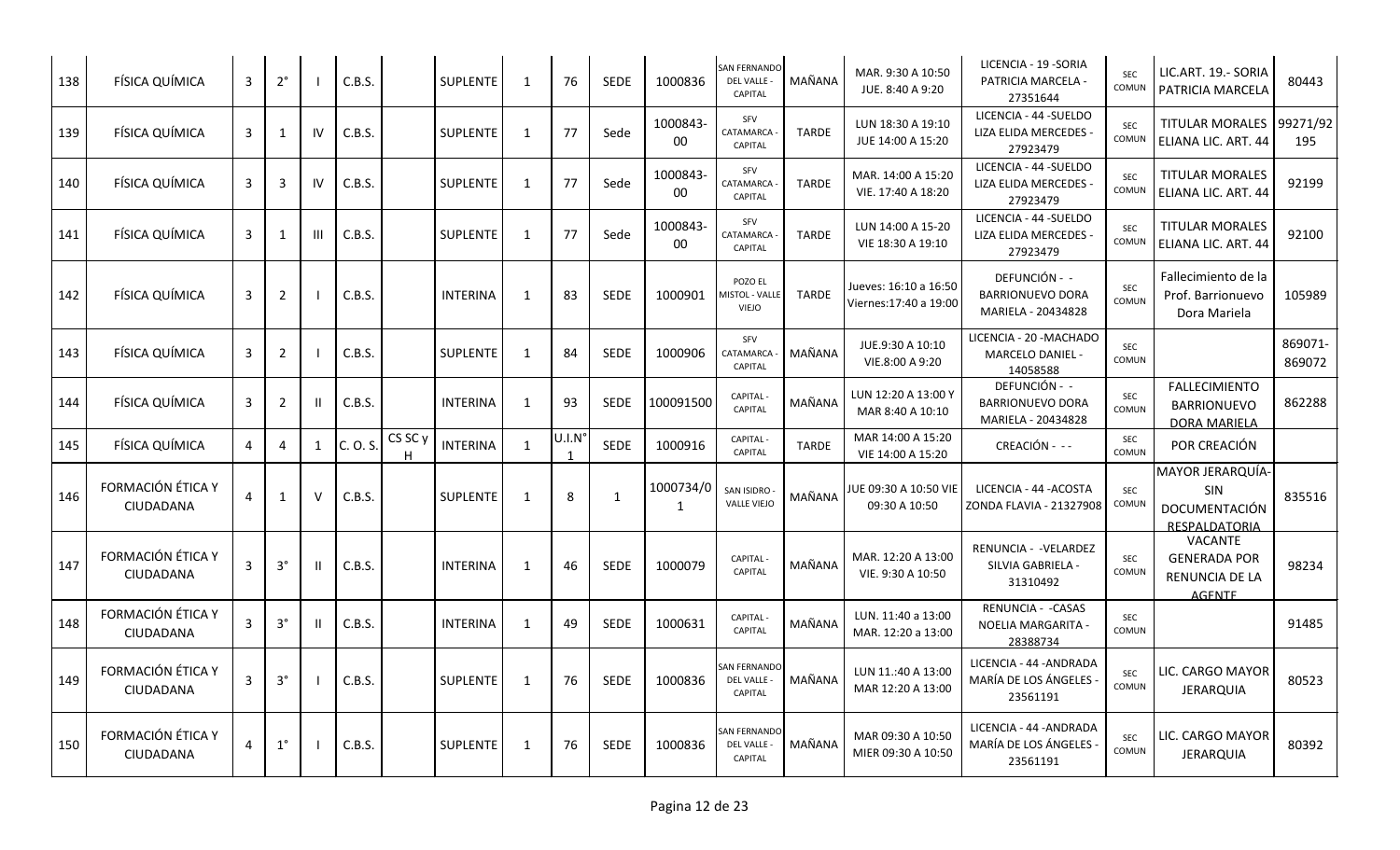| 138 | FÍSICA QUÍMICA                 | 3 | $2^{\circ}$    |    | C.B.S.   |                    | SUPLENTE        | $\mathbf{1}$ | 76     | SEDE         | 1000836            | SAN FERNANDO<br>DEL VALLE -<br>CAPITAL               | MAÑANA       | MAR. 9:30 A 10:50<br>JUE. 8:40 A 9:20          | LICENCIA - 19 - SORIA<br>PATRICIA MARCELA -<br>27351644        | <b>SEC</b><br>COMUN | LIC.ART. 19.- SORIA<br>PATRICIA MARCELA                                  | 80443             |
|-----|--------------------------------|---|----------------|----|----------|--------------------|-----------------|--------------|--------|--------------|--------------------|------------------------------------------------------|--------------|------------------------------------------------|----------------------------------------------------------------|---------------------|--------------------------------------------------------------------------|-------------------|
| 139 | FÍSICA QUÍMICA                 | 3 | $\mathbf{1}$   | IV | C.B.S.   |                    | <b>SUPLENTE</b> | 1            | 77     | Sede         | 1000843-<br>$00\,$ | SFV<br>CATAMARCA<br>CAPITAL                          | <b>TARDE</b> | LUN 18:30 A 19:10<br>JUE 14:00 A 15:20         | LICENCIA - 44 - SUELDO<br>LIZA ELIDA MERCEDES -<br>27923479    | SEC<br>COMUN        | <b>TITULAR MORALES</b><br>ELIANA LIC. ART. 44                            | 99271/92<br>195   |
| 140 | FÍSICA QUÍMICA                 | 3 | 3              | IV | C.B.S.   |                    | <b>SUPLENTE</b> | 1            | 77     | Sede         | 1000843-<br>00     | SFV<br>CATAMARCA<br>CAPITAL                          | <b>TARDE</b> | MAR. 14:00 A 15:20<br>VIE. 17:40 A 18:20       | LICENCIA - 44 - SUELDO<br>LIZA ELIDA MERCEDES<br>27923479      | <b>SEC</b><br>COMUN | <b>TITULAR MORALES</b><br>ELIANA LIC. ART. 44                            | 92199             |
| 141 | FÍSICA QUÍMICA                 | 3 | $\mathbf{1}$   | Ш  | C.B.S.   |                    | <b>SUPLENTE</b> | 1            | 77     | Sede         | 1000843<br>00      | SFV<br>CATAMARCA<br>CAPITAL                          | <b>TARDE</b> | LUN 14:00 A 15-20<br>VIE 18:30 A 19:10         | LICENCIA - 44 - SUELDO<br>LIZA ELIDA MERCEDES -<br>27923479    | <b>SEC</b><br>COMUN | <b>TITULAR MORALES</b><br>ELIANA LIC. ART. 44                            | 92100             |
| 142 | FÍSICA QUÍMICA                 | 3 | $\overline{2}$ |    | C.B.S.   |                    | <b>INTERINA</b> | $\mathbf{1}$ | 83     | <b>SEDE</b>  | 1000901            | POZO EL<br><b>MISTOL - VALLE</b><br><b>VIEJO</b>     | <b>TARDE</b> | Jueves: 16:10 a 16:50<br>Viernes:17:40 a 19:00 | DEFUNCIÓN - -<br><b>BARRIONUEVO DORA</b><br>MARIELA - 20434828 | SEC<br>COMUN        | Fallecimiento de la<br>Prof. Barrionuevo<br>Dora Mariela                 | 105989            |
| 143 | FÍSICA QUÍMICA                 | 3 | $\overline{2}$ |    | C.B.S.   |                    | SUPLENTE        | 1            | 84     | <b>SEDE</b>  | 1000906            | SFV<br>CATAMARCA<br>CAPITAL                          | MAÑANA       | JUE.9:30 A 10:10<br>VIE.8:00 A 9:20            | LICENCIA - 20 - MACHADO<br>MARCELO DANIEL -<br>14058588        | <b>SEC</b><br>COMUN |                                                                          | 869071-<br>869072 |
| 144 | FÍSICA QUÍMICA                 | 3 | $\overline{2}$ |    | C.B.S.   |                    | <b>INTERINA</b> | $\mathbf{1}$ | 93     | <b>SEDE</b>  | 100091500          | CAPITAL -<br><b>CAPITAL</b>                          | MAÑANA       | LUN 12:20 A 13:00 Y<br>MAR 8:40 A 10:10        | DEFUNCIÓN - -<br><b>BARRIONUEVO DORA</b><br>MARIELA - 20434828 | <b>SEC</b><br>COMUN | <b>FALLECIMIENTO</b><br><b>BARRIONUEVO</b><br><b>DORA MARIELA</b>        | 862288            |
| 145 | FÍSICA QUÍMICA                 | 4 | 4              | 1  | C. O. S. | CS SC <sub>y</sub> | <b>INTERINA</b> | $\mathbf{1}$ | U.I.N' | <b>SEDE</b>  | 1000916            | <b>CAPITAL</b><br>CAPITAL                            | TARDE        | MAR 14:00 A 15:20<br>VIE 14:00 A 15:20         | CREACIÓN - --                                                  | <b>SEC</b><br>COMUN | POR CREACIÓN                                                             |                   |
| 146 | FORMACIÓN ÉTICA Y<br>CIUDADANA | 4 | $\mathbf{1}$   | v  | C.B.S.   |                    | SUPLENTE        | 1            | 8      | $\mathbf{1}$ | 1000734/0<br>1     | SAN ISIDRO<br><b>VALLE VIEJO</b>                     | MAÑANA       | IUE 09:30 A 10:50 VIE<br>09:30 A 10:50         | LICENCIA - 44 - ACOSTA<br>ZONDA FLAVIA - 21327908              | <b>SEC</b><br>COMUN | MAYOR JERARQUÍA-<br>SIN<br>DOCUMENTACIÓN<br><b>RESPALDATORIA</b>         | 835516            |
| 147 | FORMACIÓN ÉTICA Y<br>CIUDADANA | 3 | $3^{\circ}$    |    | C.B.S.   |                    | <b>INTERINA</b> | $\mathbf{1}$ | 46     | <b>SEDE</b>  | 1000079            | <b>CAPITAL</b><br>CAPITAL                            | MAÑANA       | MAR. 12:20 A 13:00<br>VIE. 9:30 A 10:50        | RENUNCIA - - VELARDEZ<br>SILVIA GABRIELA -<br>31310492         | <b>SEC</b><br>COMUN | <b>VACANTE</b><br><b>GENERADA POR</b><br>RENUNCIA DE LA<br><b>AGENTE</b> | 98234             |
| 148 | FORMACIÓN ÉTICA Y<br>CIUDADANA | 3 | $3^{\circ}$    |    | C.B.S.   |                    | <b>INTERINA</b> | 1            | 49     | <b>SEDE</b>  | 1000631            | <b>CAPITAL</b><br>CAPITAL                            | MAÑANA       | LUN. 11:40 a 13:00<br>MAR. 12:20 a 13:00       | RENUNCIA - - CASAS<br>NOELIA MARGARITA -<br>28388734           | SEC<br>COMUN        |                                                                          | 91485             |
| 149 | FORMACIÓN ÉTICA Y<br>CIUDADANA | 3 | $3^{\circ}$    |    | C.B.S.   |                    | <b>SUPLENTE</b> | 1            | 76     | <b>SEDE</b>  | 1000836            | <b>SAN FERNANDO</b><br>DEL VALLE -<br>CAPITAL        | MAÑANA       | LUN 11.:40 A 13:00<br>MAR 12:20 A 13:00        | LICENCIA - 44 - ANDRADA<br>MARÍA DE LOS ÁNGELES<br>23561191    | <b>SEC</b><br>COMUN | LIC. CARGO MAYOR<br><b>JERARQUIA</b>                                     | 80523             |
| 150 | FORMACIÓN ÉTICA Y<br>CIUDADANA | 4 | $1^{\circ}$    |    | C.B.S.   |                    | <b>SUPLENTE</b> | $\mathbf{1}$ | 76     | <b>SEDE</b>  | 1000836            | <b>SAN FERNANDO</b><br>DEL VALLE -<br><b>CAPITAL</b> | MAÑANA       | MAR 09:30 A 10:50<br>MIER 09:30 A 10:50        | LICENCIA - 44 - ANDRADA<br>MARÍA DE LOS ÁNGELES<br>23561191    | SEC<br>COMUN        | LIC. CARGO MAYOR<br><b>JERARQUIA</b>                                     | 80392             |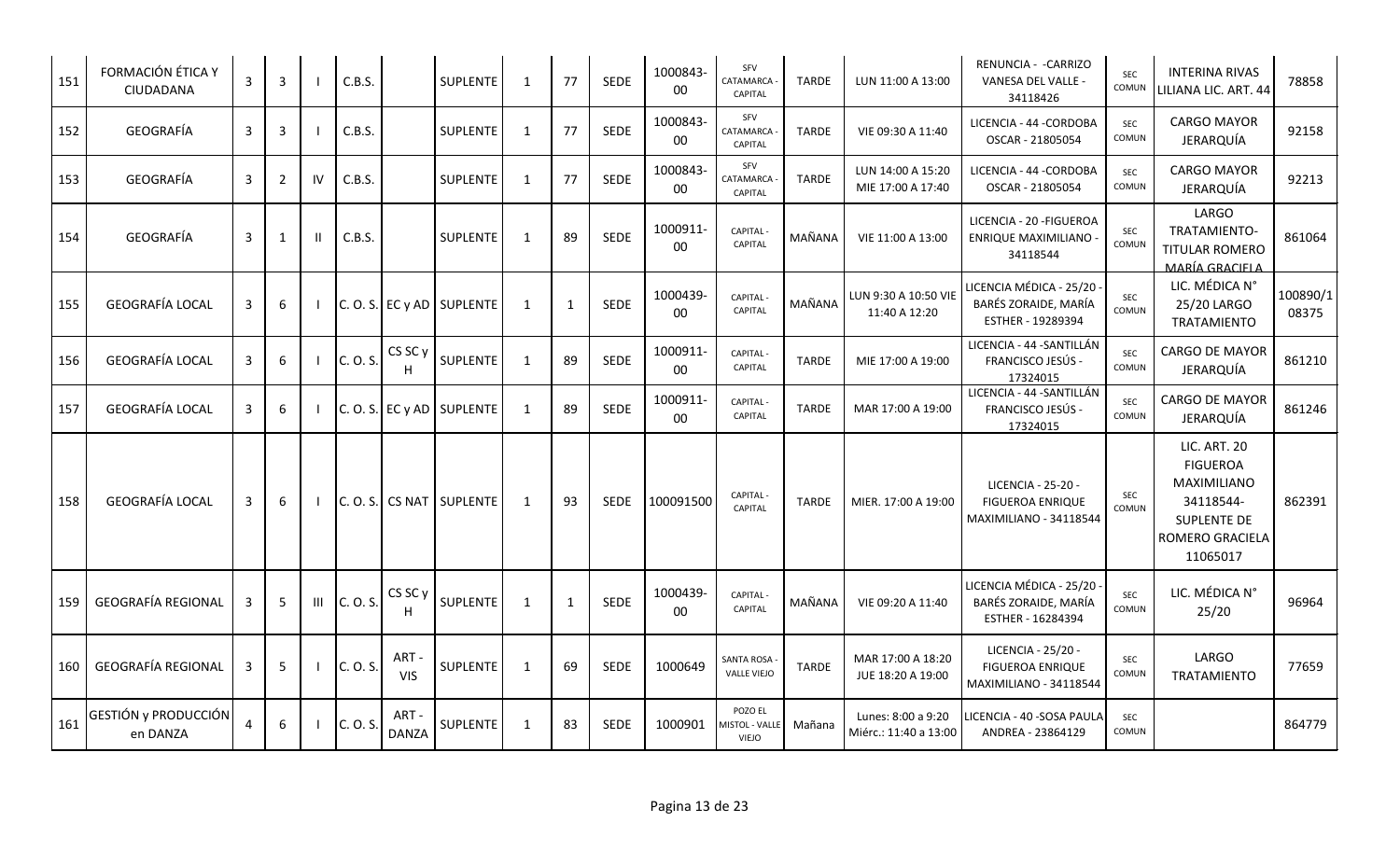| 151 | FORMACIÓN ÉTICA Y<br>CIUDADANA   | $\overline{3}$ | 3              |              | C.B.S.   |                         | SUPLENTE                     | 1            | 77           | <b>SEDE</b> | 1000843-<br>00     | SFV<br>CATAMARCA<br>CAPITAL               | <b>TARDE</b> | LUN 11:00 A 13:00                           | RENUNCIA - - CARRIZO<br>VANESA DEL VALLE -<br>34118426                         | <b>SEC</b><br>COMUN | <b>INTERINA RIVAS</b><br>LILIANA LIC. ART. 44                                                                                  | 78858             |
|-----|----------------------------------|----------------|----------------|--------------|----------|-------------------------|------------------------------|--------------|--------------|-------------|--------------------|-------------------------------------------|--------------|---------------------------------------------|--------------------------------------------------------------------------------|---------------------|--------------------------------------------------------------------------------------------------------------------------------|-------------------|
| 152 | GEOGRAFÍA                        | 3              | 3              |              | C.B.S.   |                         | <b>SUPLENTE</b>              | $\mathbf{1}$ | 77           | <b>SEDE</b> | 1000843-<br>00     | SFV<br>CATAMARCA<br>CAPITAL               | <b>TARDE</b> | VIE 09:30 A 11:40                           | LICENCIA - 44 - CORDOBA<br>OSCAR - 21805054                                    | <b>SEC</b><br>COMUN | <b>CARGO MAYOR</b><br>JERARQUÍA                                                                                                | 92158             |
| 153 | GEOGRAFÍA                        | 3              | $\overline{2}$ | IV           | C.B.S.   |                         | <b>SUPLENTE</b>              | 1            | 77           | SEDE        | 1000843-<br>$00\,$ | SFV<br>CATAMARCA<br><b>CAPITAL</b>        | <b>TARDE</b> | LUN 14:00 A 15:20<br>MIE 17:00 A 17:40      | LICENCIA - 44 -CORDOBA<br>OSCAR - 21805054                                     | <b>SEC</b><br>COMUN | <b>CARGO MAYOR</b><br>JERARQUÍA                                                                                                | 92213             |
| 154 | GEOGRAFÍA                        | 3              | 1              | $\mathbf{I}$ | C.B.S.   |                         | <b>SUPLENTE</b>              | 1            | 89           | SEDE        | 1000911<br>00      | CAPITAL<br>CAPITAL                        | MAÑANA       | VIE 11:00 A 13:00                           | LICENCIA - 20 - FIGUEROA<br>ENRIQUE MAXIMILIANO<br>34118544                    | <b>SEC</b><br>COMUN | LARGO<br>TRATAMIENTO-<br>TITULAR ROMERO<br>MARÍA GRACIFI A                                                                     | 861064            |
| 155 | GEOGRAFÍA LOCAL                  | 3              | 6              |              |          |                         | $C. O. S. E C y AD$ SUPLENTE | 1            | $\mathbf{1}$ | <b>SEDE</b> | 1000439-<br>00     | CAPITAL<br>CAPITAL                        | MAÑANA       | LUN 9:30 A 10:50 VIE<br>11:40 A 12:20       | ICENCIA MÉDICA - 25/20<br>BARÉS ZORAIDE, MARÍA<br>ESTHER - 19289394            | SEC<br>COMUN        | LIC. MÉDICA N°<br>25/20 LARGO<br>TRATAMIENTO                                                                                   | 100890/1<br>08375 |
| 156 | GEOGRAFÍA LOCAL                  | $\mathbf{3}$   | 6              |              | C. O. S. | CS SC <sub>y</sub><br>н | SUPLENTE                     | 1            | 89           | <b>SEDE</b> | 1000911<br>00      | <b>CAPITAL</b><br>CAPITAL                 | <b>TARDE</b> | MIE 17:00 A 19:00                           | LICENCIA - 44 - SANTILLÁN<br><b>FRANCISCO JESÚS -</b><br>17324015              | <b>SEC</b><br>COMUN | <b>CARGO DE MAYOR</b><br>JERARQUÍA                                                                                             | 861210            |
| 157 | <b>GEOGRAFÍA LOCAL</b>           | 3              | 6              |              |          |                         | $C. O. S.$ EC y AD SUPLENTE  | $\mathbf{1}$ | 89           | <b>SEDE</b> | 1000911<br>00      | CAPITAL<br>CAPITAL                        | <b>TARDE</b> | MAR 17:00 A 19:00                           | LICENCIA - 44 - SANTILLÁN<br>FRANCISCO JESÚS -<br>17324015                     | <b>SEC</b><br>COMUN | CARGO DE MAYOR<br>JERARQUÍA                                                                                                    | 861246            |
| 158 | <b>GEOGRAFÍA LOCAL</b>           | 3              | 6              |              |          |                         | $C. O. S.$ CS NAT SUPLENTE   | 1            | 93           | <b>SEDE</b> | 100091500          | <b>CAPITAL</b><br><b>CAPITAL</b>          | <b>TARDE</b> | MIER. 17:00 A 19:00                         | LICENCIA - 25-20 -<br><b>FIGUEROA ENRIQUE</b><br><b>MAXIMILIANO - 34118544</b> | SEC<br>COMUN        | <b>LIC. ART. 20</b><br><b>FIGUEROA</b><br><b>MAXIMILIANO</b><br>34118544-<br><b>SUPLENTE DE</b><br>ROMERO GRACIELA<br>11065017 | 862391            |
| 159 | <b>GEOGRAFÍA REGIONAL</b>        | 3              | 5              | Ш            | C. O. S. | CS SC y<br>H            | SUPLENTE                     | 1            | $\mathbf{1}$ | SEDE        | 1000439-<br>00     | CAPITAL<br>CAPITAL                        | MAÑANA       | VIE 09:20 A 11:40                           | LICENCIA MÉDICA - 25/20<br>BARÉS ZORAIDE, MARÍA<br>ESTHER - 16284394           | <b>SEC</b><br>COMUN | LIC. MÉDICA N°<br>25/20                                                                                                        | 96964             |
| 160 | <b>GEOGRAFÍA REGIONAL</b>        | 3              | 5              |              | C. O. S. | ART-<br><b>VIS</b>      | SUPLENTE                     | 1            | 69           | <b>SEDE</b> | 1000649            | <b>SANTA ROSA</b><br><b>VALLE VIEJO</b>   | <b>TARDE</b> | MAR 17:00 A 18:20<br>JUE 18:20 A 19:00      | LICENCIA - 25/20 -<br><b>FIGUEROA ENRIQUE</b><br><b>MAXIMILIANO - 34118544</b> | <b>SEC</b><br>COMUN | LARGO<br><b>TRATAMIENTO</b>                                                                                                    | 77659             |
| 161 | GESTIÓN y PRODUCCIÓN<br>en DANZA | 4              | 6              |              | C. O. S. | ART-<br><b>DANZA</b>    | SUPLENTE                     | 1            | 83           | SEDE        | 1000901            | POZO EL<br><b>MISTOL - VALLE</b><br>VIEJO | Mañana       | Lunes: 8:00 a 9:20<br>Miérc.: 11:40 a 13:00 | LICENCIA - 40 -SOSA PAULA<br>ANDREA - 23864129                                 | <b>SEC</b><br>COMUN |                                                                                                                                | 864779            |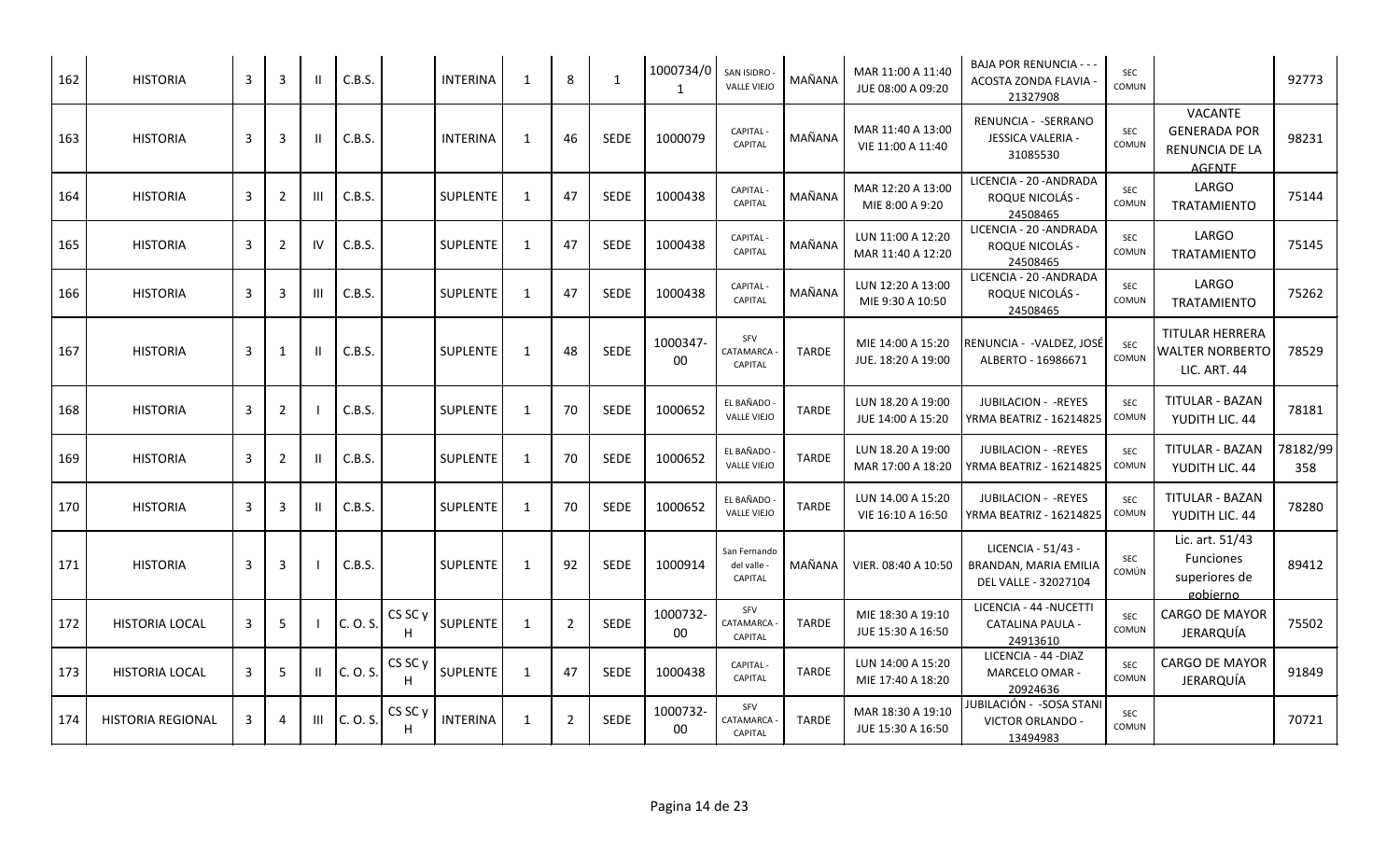| 162 | <b>HISTORIA</b>          | 3 | 3              |    | C.B.S.   |              | <b>INTERINA</b> | 1            | 8              | 1           | 1000734/0<br>1 | SAN ISIDRO<br><b>VALLE VIEJO</b>              | MAÑANA       | MAR 11:00 A 11:40<br>JUE 08:00 A 09:20  | BAJA POR RENUNCIA - - -<br>ACOSTA ZONDA FLAVIA<br>21327908          | SEC<br>COMUN               |                                                                   | 92773           |
|-----|--------------------------|---|----------------|----|----------|--------------|-----------------|--------------|----------------|-------------|----------------|-----------------------------------------------|--------------|-----------------------------------------|---------------------------------------------------------------------|----------------------------|-------------------------------------------------------------------|-----------------|
| 163 | <b>HISTORIA</b>          | 3 | 3              |    | C.B.S.   |              | <b>INTERINA</b> | -1           | 46             | <b>SEDE</b> | 1000079        | <b>CAPITAL</b><br>CAPITAL                     | MAÑANA       | MAR 11:40 A 13:00<br>VIE 11:00 A 11:40  | RENUNCIA - -SERRANO<br>JESSICA VALERIA -<br>31085530                | <b>SEC</b><br>COMUN        | VACANTE<br><b>GENERADA POR</b><br>RENUNCIA DE LA<br><b>AGENTE</b> | 98231           |
| 164 | <b>HISTORIA</b>          | 3 | $\overline{2}$ | ш  | C.B.S.   |              | SUPLENTE        | $\mathbf{1}$ | 47             | <b>SEDE</b> | 1000438        | CAPITAL -<br>CAPITAL                          | MAÑANA       | MAR 12:20 A 13:00<br>MIE 8:00 A 9:20    | LICENCIA - 20 - ANDRADA<br>ROQUE NICOLÁS -<br>24508465              | <b>SEC</b><br>COMUN        | LARGO<br><b>TRATAMIENTO</b>                                       | 75144           |
| 165 | <b>HISTORIA</b>          | 3 | 2              | IV | C.B.S.   |              | <b>SUPLENTE</b> | 1            | 47             | <b>SEDE</b> | 1000438        | <b>CAPITAL</b><br>CAPITAL                     | MAÑANA       | LUN 11:00 A 12:20<br>MAR 11:40 A 12:20  | LICENCIA - 20 - ANDRADA<br>ROQUE NICOLÁS -<br>24508465              | SEC<br>COMUN               | LARGO<br>TRATAMIENTO                                              | 75145           |
| 166 | <b>HISTORIA</b>          | 3 | 3              | Ш  | C.B.S.   |              | <b>SUPLENTE</b> | $\mathbf{1}$ | 47             | <b>SEDE</b> | 1000438        | <b>CAPITAL</b><br>CAPITAL                     | MAÑANA       | LUN 12:20 A 13:00<br>MIE 9:30 A 10:50   | LICENCIA - 20 - ANDRADA<br>ROQUE NICOLÁS -<br>24508465              | <b>SEC</b><br>COMUN        | LARGO<br>TRATAMIENTO                                              | 75262           |
| 167 | <b>HISTORIA</b>          | 3 | 1              |    | C.B.S.   |              | SUPLENTE        | 1            | 48             | <b>SEDE</b> | 1000347<br>00  | SFV<br>CATAMARCA<br>CAPITAL                   | <b>TARDE</b> | MIE 14:00 A 15:20<br>JUE. 18:20 A 19:00 | RENUNCIA - -VALDEZ, JOSÉ<br>ALBERTO - 16986671                      | <b>SEC</b><br>COMUN        | TITULAR HERRERA<br><b>WALTER NORBERTO</b><br>LIC. ART. 44         | 78529           |
| 168 | <b>HISTORIA</b>          | 3 | 2              |    | C.B.S.   |              | SUPLENTE        | $\mathbf{1}$ | 70             | <b>SEDE</b> | 1000652        | EL BAÑADO<br><b>VALLE VIEJO</b>               | <b>TARDE</b> | LUN 18.20 A 19:00<br>JUE 14:00 A 15:20  | <b>JUBILACION - - REYES</b><br>YRMA BEATRIZ - 16214825              | <b>SEC</b><br><b>COMUN</b> | <b>TITULAR - BAZAN</b><br>YUDITH LIC. 44                          | 78181           |
| 169 | <b>HISTORIA</b>          | 3 | 2              |    | C.B.S.   |              | <b>SUPLENTE</b> | 1            | 70             | <b>SEDE</b> | 1000652        | EL BAÑADO<br><b>VALLE VIEJO</b>               | <b>TARDE</b> | LUN 18.20 A 19:00<br>MAR 17:00 A 18:20  | <b>JUBILACION - - REYES</b><br>YRMA BEATRIZ - 16214825              | <b>SEC</b><br><b>COMUN</b> | TITULAR - BAZAN<br>YUDITH LIC. 44                                 | 78182/99<br>358 |
| 170 | <b>HISTORIA</b>          | 3 | 3              |    | C.B.S.   |              | <b>SUPLENTE</b> | 1            | 70             | SEDE        | 1000652        | EL BAÑADO<br><b>VALLE VIEJO</b>               | <b>TARDE</b> | LUN 14.00 A 15:20<br>VIE 16:10 A 16:50  | JUBILACION - - REYES<br>YRMA BEATRIZ - 16214825                     | SEC<br>COMUN               | TITULAR - BAZAN<br>YUDITH LIC. 44                                 | 78280           |
| 171 | <b>HISTORIA</b>          | 3 | 3              |    | C.B.S.   |              | <b>SUPLENTE</b> | 1            | 92             | <b>SEDE</b> | 1000914        | San Fernando<br>del valle -<br><b>CAPITAL</b> | MAÑANA       | VIER. 08:40 A 10:50                     | LICENCIA - 51/43 -<br>BRANDAN, MARIA EMILIA<br>DEL VALLE - 32027104 | <b>SEC</b><br>COMÚN        | Lic. art. 51/43<br>Funciones<br>superiores de<br>gobierno         | 89412           |
| 172 | <b>HISTORIA LOCAL</b>    | 3 | 5              |    | C. O. S. | CS SC y      | SUPLENTE        | $\mathbf{1}$ | $\overline{2}$ | SEDE        | 1000732-<br>00 | SFV<br>CATAMARCA<br>CAPITAL                   | <b>TARDE</b> | MIE 18:30 A 19:10<br>JUE 15:30 A 16:50  | LICENCIA - 44 -NUCETTI<br><b>CATALINA PAULA -</b><br>24913610       | SEC<br>COMUN               | CARGO DE MAYOR<br>JERARQUÍA                                       | 75502           |
| 173 | <b>HISTORIA LOCAL</b>    | 3 | -5             |    | C. O. S. | CS SC y<br>H | <b>SUPLENTE</b> | 1            | 47             | <b>SEDE</b> | 1000438        | <b>CAPITAL</b><br>CAPITAL                     | <b>TARDE</b> | LUN 14:00 A 15:20<br>MIE 17:40 A 18:20  | LICENCIA - 44 - DIAZ<br>MARCELO OMAR -<br>20924636                  | SEC<br>COMUN               | CARGO DE MAYOR<br>JERARQUÍA                                       | 91849           |
| 174 | <b>HISTORIA REGIONAL</b> | 3 | 4              | Ш  | C. O. S. | CS SC y      | <b>INTERINA</b> | $\mathbf{1}$ | $\overline{2}$ | SEDE        | 1000732<br>00  | SFV<br>CATAMARCA<br>CAPITAL                   | TARDE        | MAR 18:30 A 19:10<br>JUE 15:30 A 16:50  | JUBILACIÓN - -SOSA STANI<br>VICTOR ORLANDO -<br>13494983            | SEC<br>COMUN               |                                                                   | 70721           |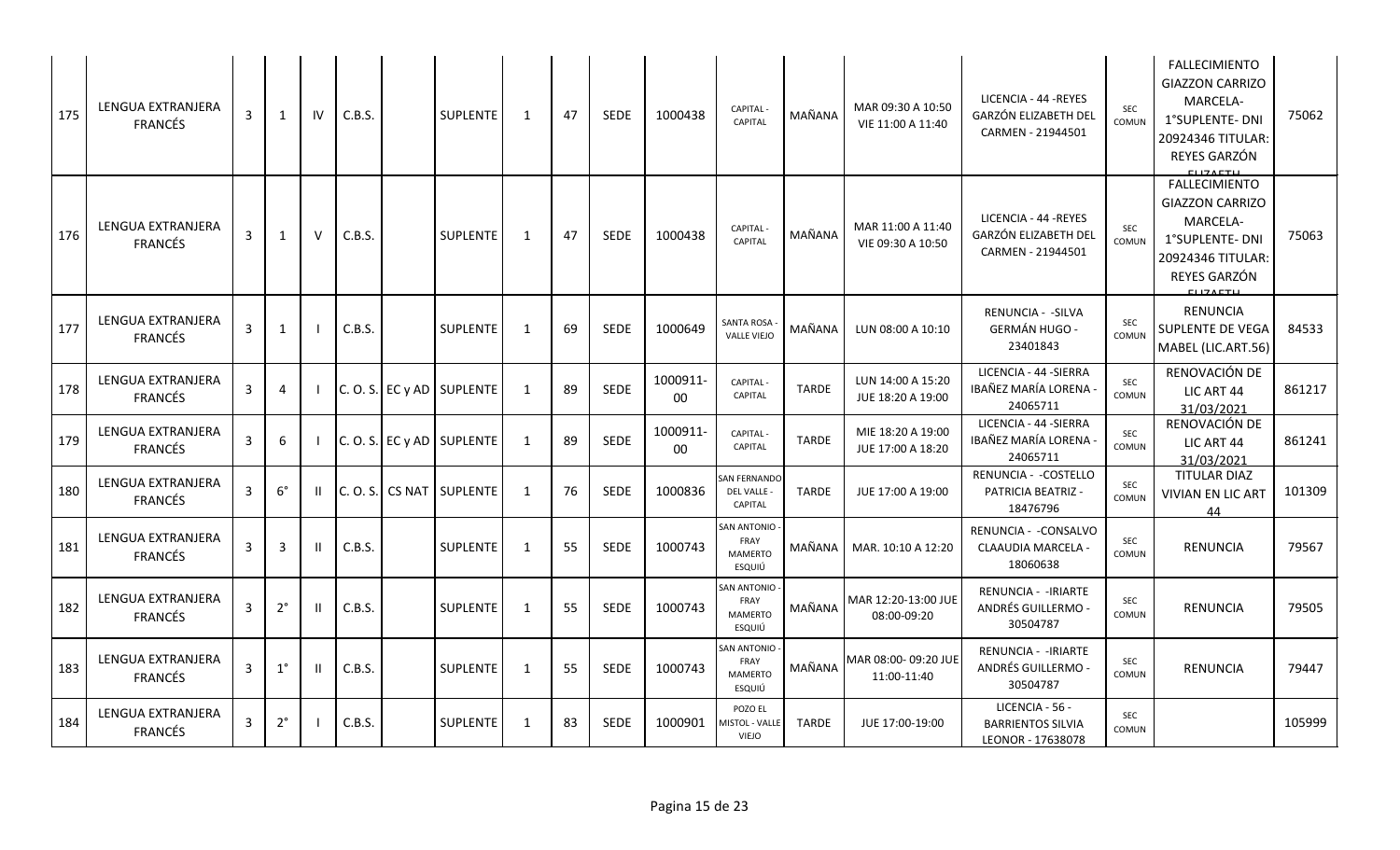| 175 | LENGUA EXTRANJERA<br><b>FRANCÉS</b>        | 3            | 1           | IV     | C.B.S. | <b>SUPLENTE</b>           | 1            | 47 | <b>SEDE</b> | 1000438        | <b>CAPITAL</b><br><b>CAPITAL</b>                       | MAÑANA       | MAR 09:30 A 10:50<br>VIE 11:00 A 11:40 | LICENCIA - 44 - REYES<br><b>GARZÓN ELIZABETH DEL</b><br>CARMEN - 21944501 | SEC<br>COMUN        | <b>FALLECIMIENTO</b><br><b>GIAZZON CARRIZO</b><br>MARCELA-<br>1°SUPLENTE- DNI<br>20924346 TITULAR:<br>REYES GARZÓN                   | 75062  |
|-----|--------------------------------------------|--------------|-------------|--------|--------|---------------------------|--------------|----|-------------|----------------|--------------------------------------------------------|--------------|----------------------------------------|---------------------------------------------------------------------------|---------------------|--------------------------------------------------------------------------------------------------------------------------------------|--------|
| 176 | LENGUA EXTRANJERA<br><b>FRANCÉS</b>        | 3            | 1           | $\vee$ | C.B.S. | SUPLENTE                  | 1            | 47 | <b>SEDE</b> | 1000438        | <b>CAPITAL</b><br><b>CAPITAL</b>                       | MAÑANA       | MAR 11:00 A 11:40<br>VIE 09:30 A 10:50 | LICENCIA - 44 -REYES<br>GARZÓN ELIZABETH DEL<br>CARMEN - 21944501         | SEC<br>COMUN        | <b>FALLECIMIENTO</b><br><b>GIAZZON CARRIZO</b><br>MARCELA-<br>1°SUPLENTE- DNI<br>20924346 TITULAR:<br>REYES GARZÓN<br><b>CUZACTU</b> | 75063  |
| 177 | LENGUA EXTRANJERA<br><b>FRANCÉS</b>        | 3            | 1           |        | C.B.S. | <b>SUPLENTE</b>           | -1           | 69 | <b>SEDE</b> | 1000649        | <b>SANTA ROSA</b><br><b>VALLE VIEJO</b>                | MAÑANA       | LUN 08:00 A 10:10                      | <b>RENUNCIA - - SILVA</b><br><b>GERMÁN HUGO -</b><br>23401843             | <b>SEC</b><br>COMUN | <b>RENUNCIA</b><br>SUPLENTE DE VEGA<br>MABEL (LIC.ART.56)                                                                            | 84533  |
| 178 | LENGUA EXTRANJERA<br><b>FRANCÉS</b>        | 3            | 4           |        |        | C. O. S. EC y AD SUPLENTE | $\mathbf{1}$ | 89 | <b>SEDE</b> | 1000911-<br>00 | CAPITAL-<br>CAPITAL                                    | <b>TARDE</b> | LUN 14:00 A 15:20<br>JUE 18:20 A 19:00 | LICENCIA - 44 - SIERRA<br>IBAÑEZ MARÍA LORENA<br>24065711                 | SEC<br>COMUN        | RENOVACIÓN DE<br>LIC ART 44<br>31/03/2021                                                                                            | 861217 |
| 179 | <b>LENGUA EXTRANJERA</b><br><b>FRANCÉS</b> | 3            | 6           |        |        | C. O. S. EC y AD SUPLENTE | 1            | 89 | <b>SEDE</b> | 1000911-<br>00 | <b>CAPITAL</b><br>CAPITAL                              | <b>TARDE</b> | MIE 18:20 A 19:00<br>JUE 17:00 A 18:20 | LICENCIA - 44 - SIERRA<br>IBAÑEZ MARÍA LORENA<br>24065711                 | <b>SEC</b><br>COMUN | RENOVACIÓN DE<br>LIC ART 44<br>31/03/2021                                                                                            | 861241 |
| 180 | LENGUA EXTRANJERA<br><b>FRANCÉS</b>        | 3            | $6^{\circ}$ |        |        | C.O.S. CS NAT SUPLENTE    | 1            | 76 | <b>SEDE</b> | 1000836        | <b>SAN FERNANDO</b><br>DEL VALLE -<br>CAPITAL          | TARDE        | JUE 17:00 A 19:00                      | RENUNCIA - - COSTELLO<br>PATRICIA BEATRIZ -<br>18476796                   | <b>SEC</b><br>COMUN | <b>TITULAR DIAZ</b><br><b>VIVIAN EN LIC ART</b><br>44                                                                                | 101309 |
| 181 | LENGUA EXTRANJERA<br><b>FRANCÉS</b>        | 3            | 3           | Ш      | C.B.S. | <b>SUPLENTE</b>           | 1            | 55 | <b>SEDE</b> | 1000743        | <b>SAN ANTONIO</b><br>FRAY<br><b>MAMERTO</b><br>ESQUIÚ | MAÑANA       | MAR. 10:10 A 12:20                     | RENUNCIA - - CONSALVO<br>CLAAUDIA MARCELA -<br>18060638                   | SEC<br>COMUN        | <b>RENUNCIA</b>                                                                                                                      | 79567  |
| 182 | LENGUA EXTRANJERA<br><b>FRANCÉS</b>        | 3            | $2^{\circ}$ |        | C.B.S. | SUPLENTE                  | 1            | 55 | <b>SEDE</b> | 1000743        | SAN ANTONIO<br>FRAY<br><b>MAMERTO</b><br>ESQUIÚ        | MAÑANA       | MAR 12:20-13:00 JUE<br>08:00-09:20     | RENUNCIA - - IRIARTE<br>ANDRÉS GUILLERMO -<br>30504787                    | SEC<br>COMUN        | <b>RENUNCIA</b>                                                                                                                      | 79505  |
| 183 | LENGUA EXTRANJERA<br><b>FRANCÉS</b>        | 3            | $1^{\circ}$ | ш      | C.B.S. | SUPLENTE                  | 1            | 55 | <b>SEDE</b> | 1000743        | SAN ANTONIO<br>FRAY<br><b>MAMERTO</b><br>ESQUIÚ        | MAÑANA       | MAR 08:00-09:20 JUE<br>11:00-11:40     | RENUNCIA - - IRIARTE<br>ANDRÉS GUILLERMO -<br>30504787                    | SEC<br>COMUN        | RENUNCIA                                                                                                                             | 79447  |
| 184 | LENGUA EXTRANJERA<br><b>FRANCÉS</b>        | $\mathbf{3}$ | $2^{\circ}$ |        | C.B.S. | <b>SUPLENTE</b>           | -1           | 83 | <b>SEDE</b> | 1000901        | POZO EL<br><b>AISTOL - VALLE</b><br><b>VIEJO</b>       | TARDE        | JUE 17:00-19:00                        | LICENCIA - 56 -<br><b>BARRIENTOS SILVIA</b><br>LEONOR - 17638078          | <b>SEC</b><br>COMUN |                                                                                                                                      | 105999 |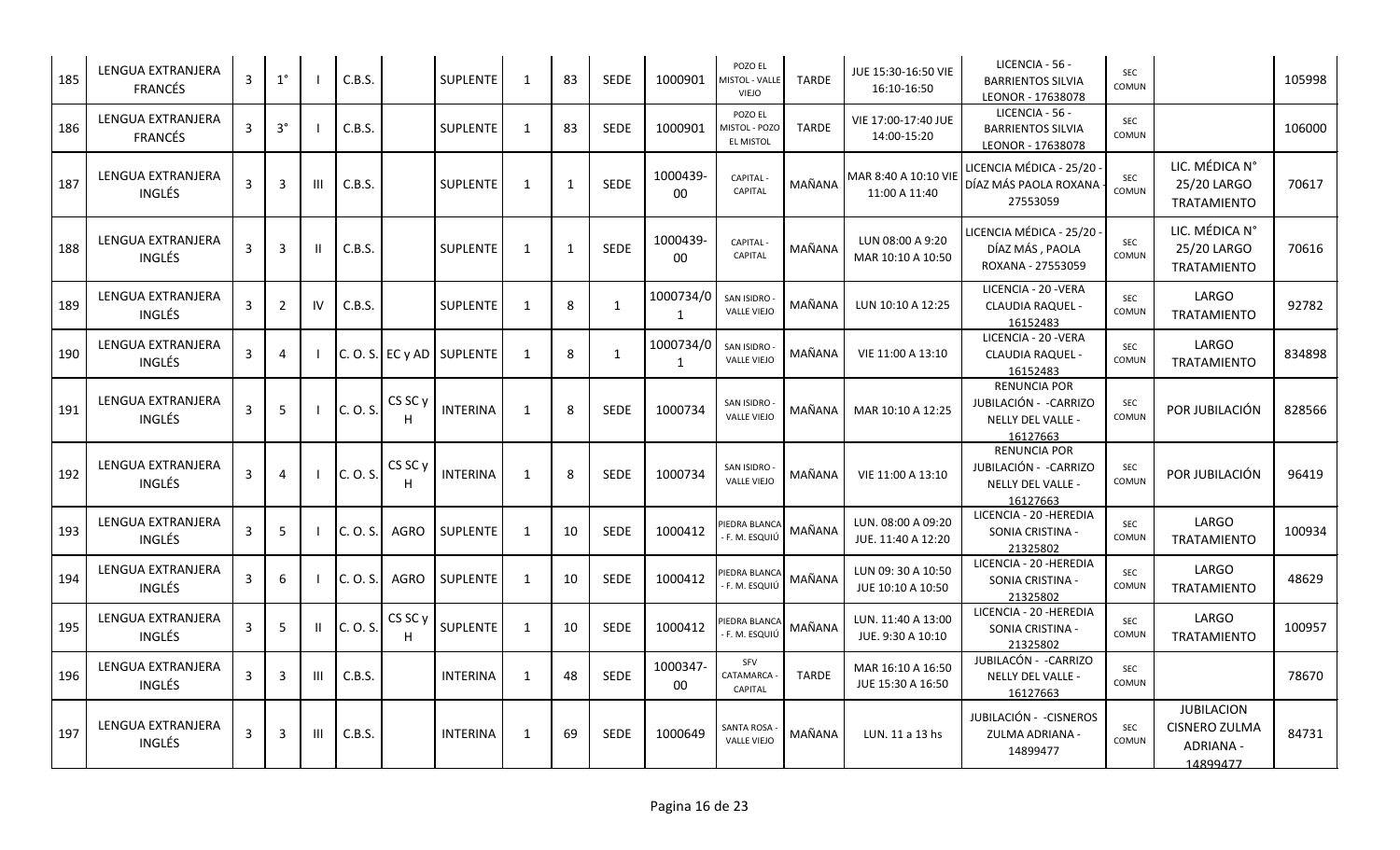| 185 | LENGUA EXTRANJERA<br><b>FRANCÉS</b>       | 3 | $1^{\circ}$    |    | C.B.S.   |                    | SUPLENTE                  | -1           | 83 | <b>SEDE</b>  | 1000901        | POZO EL<br>MISTOL - VALLE<br><b>VIEJO</b>           | <b>TARDE</b> | JUE 15:30-16:50 VIE<br>16:10-16:50       | LICENCIA - 56 -<br><b>BARRIENTOS SILVIA</b><br>LEONOR - 17638078               | <b>SEC</b><br>COMUN |                                                                    | 105998 |
|-----|-------------------------------------------|---|----------------|----|----------|--------------------|---------------------------|--------------|----|--------------|----------------|-----------------------------------------------------|--------------|------------------------------------------|--------------------------------------------------------------------------------|---------------------|--------------------------------------------------------------------|--------|
| 186 | LENGUA EXTRANJERA<br><b>FRANCÉS</b>       | 3 | $3^{\circ}$    |    | C.B.S.   |                    | <b>SUPLENTE</b>           | 1            | 83 | <b>SEDE</b>  | 1000901        | POZO EL<br><b>MISTOL - POZO</b><br><b>EL MISTOL</b> | <b>TARDE</b> | VIE 17:00-17:40 JUE<br>14:00-15:20       | LICENCIA - 56 -<br><b>BARRIENTOS SILVIA</b><br>LEONOR - 17638078               | SEC<br>COMUN        |                                                                    | 106000 |
| 187 | LENGUA EXTRANJERA<br>INGLÉS               | 3 | 3              | Ш  | C.B.S.   |                    | SUPLENTE                  | -1           | 1  | <b>SEDE</b>  | 1000439-<br>00 | <b>CAPITAL</b><br><b>CAPITAL</b>                    | MAÑANA       | MAR 8:40 A 10:10 VIE<br>11:00 A 11:40    | LICENCIA MÉDICA - 25/20<br>DÍAZ MÁS PAOLA ROXANA<br>27553059                   | SEC<br>COMUN        | LIC. MÉDICA N°<br>25/20 LARGO<br><b>TRATAMIENTO</b>                | 70617  |
| 188 | LENGUA EXTRANJERA<br>INGLÉS               | 3 | 3              | Ш  | C.B.S.   |                    | <b>SUPLENTE</b>           | 1            | 1  | <b>SEDE</b>  | 1000439-<br>00 | <b>CAPITAL -</b><br>CAPITAL                         | MAÑANA       | LUN 08:00 A 9:20<br>MAR 10:10 A 10:50    | LICENCIA MÉDICA - 25/20<br>DÍAZ MÁS, PAOLA<br>ROXANA - 27553059                | <b>SEC</b><br>COMUN | LIC. MÉDICA N°<br>25/20 LARGO<br><b>TRATAMIENTO</b>                | 70616  |
| 189 | LENGUA EXTRANJERA<br><b>INGLÉS</b>        | 3 | $\overline{2}$ | IV | C.B.S.   |                    | <b>SUPLENTE</b>           | $\mathbf{1}$ | 8  | 1            | 1000734/0<br>1 | SAN ISIDRO<br><b>VALLE VIEJO</b>                    | MAÑANA       | LUN 10:10 A 12:25                        | LICENCIA - 20 - VERA<br><b>CLAUDIA RAQUEL -</b><br>16152483                    | <b>SEC</b><br>COMUN | LARGO<br><b>TRATAMIENTO</b>                                        | 92782  |
| 190 | LENGUA EXTRANJERA<br>INGLÉS               | 3 | 4              |    |          |                    | C. O. S. EC y AD SUPLENTE | $\mathbf{1}$ | 8  | $\mathbf{1}$ | 1000734/0<br>1 | SAN ISIDRO<br><b>VALLE VIEJO</b>                    | MAÑANA       | VIE 11:00 A 13:10                        | LICENCIA - 20 - VERA<br>CLAUDIA RAQUEL -<br>16152483                           | SEC<br>COMUN        | LARGO<br><b>TRATAMIENTO</b>                                        | 834898 |
| 191 | LENGUA EXTRANJERA<br>INGLÉS               | 3 | 5              |    | C. O. S. | CS SC <sub>y</sub> | <b>INTERINA</b>           | $\mathbf{1}$ | 8  | <b>SEDE</b>  | 1000734        | SAN ISIDRO -<br><b>VALLE VIEJO</b>                  | MAÑANA       | MAR 10:10 A 12:25                        | <b>RENUNCIA POR</b><br>JUBILACIÓN - - CARRIZO<br>NELLY DEL VALLE -<br>16127663 | <b>SEC</b><br>COMUN | POR JUBILACIÓN                                                     | 828566 |
| 192 | <b>LENGUA EXTRANJERA</b><br><b>INGLÉS</b> | 3 | 4              |    | C. O. S. | CS SC <sub>y</sub> | <b>INTERINA</b>           | 1            | 8  | <b>SEDE</b>  | 1000734        | SAN ISIDRO -<br><b>VALLE VIEJO</b>                  | MAÑANA       | VIE 11:00 A 13:10                        | <b>RENUNCIA POR</b><br>JUBILACIÓN - - CARRIZO<br>NELLY DEL VALLE -<br>16127663 | <b>SEC</b><br>COMUN | POR JUBILACIÓN                                                     | 96419  |
| 193 | LENGUA EXTRANJERA<br>INGLÉS               | 3 | 5              |    | C. O. S. | AGRO               | <b>SUPLENTE</b>           | 1            | 10 | <b>SEDE</b>  | 1000412        | PIEDRA BLANCA<br><b>F. M. ESQUIÚ</b>                | MAÑANA       | LUN. 08:00 A 09:20<br>JUE. 11:40 A 12:20 | LICENCIA - 20 - HEREDIA<br>SONIA CRISTINA -<br>21325802                        | <b>SEC</b><br>COMUN | LARGO<br><b>TRATAMIENTO</b>                                        | 100934 |
| 194 | LENGUA EXTRANJERA<br>INGLÉS               | 3 | 6              |    | C. O. S. | <b>AGRO</b>        | <b>SUPLENTE</b>           | $\mathbf{1}$ | 10 | <b>SEDE</b>  | 1000412        | PIEDRA BLANCA<br>F. M. ESQUIÚ                       | MAÑANA       | LUN 09: 30 A 10:50<br>JUE 10:10 A 10:50  | LICENCIA - 20 - HEREDIA<br>SONIA CRISTINA -<br>21325802                        | SEC<br>COMUN        | LARGO<br><b>TRATAMIENTO</b>                                        | 48629  |
| 195 | LENGUA EXTRANJERA<br>INGLÉS               | 3 | 5              | Ш  | C. O. S. | CS SC y<br>H       | SUPLENTE                  | 1            | 10 | <b>SEDE</b>  | 1000412        | PIEDRA BLANCA<br>F. M. ESQUIÚ                       | MAÑANA       | LUN. 11:40 A 13:00<br>JUE. 9:30 A 10:10  | LICENCIA - 20 - HEREDIA<br>SONIA CRISTINA -<br>21325802                        | SEC<br>COMUN        | LARGO<br><b>TRATAMIENTO</b>                                        | 100957 |
| 196 | LENGUA EXTRANJERA<br>INGLÉS               | 3 | 3              | Ш  | C.B.S.   |                    | <b>INTERINA</b>           | 1            | 48 | SEDE         | 1000347-<br>00 | SFV<br>CATAMARCA<br><b>CAPITAL</b>                  | <b>TARDE</b> | MAR 16:10 A 16:50<br>JUE 15:30 A 16:50   | JUBILACÓN - -CARRIZO<br>NELLY DEL VALLE -<br>16127663                          | <b>SEC</b><br>COMUN |                                                                    | 78670  |
| 197 | LENGUA EXTRANJERA<br>INGLÉS               | 3 | 3              | Ш  | C.B.S.   |                    | <b>INTERINA</b>           | 1            | 69 | <b>SEDE</b>  | 1000649        | SANTA ROSA<br><b>VALLE VIEJO</b>                    | MAÑANA       | LUN. 11 a 13 hs                          | JUBILACIÓN - - CISNEROS<br>ZULMA ADRIANA -<br>14899477                         | SEC<br>COMUN        | <b>JUBILACION</b><br><b>CISNERO ZULMA</b><br>ADRIANA -<br>14899477 | 84731  |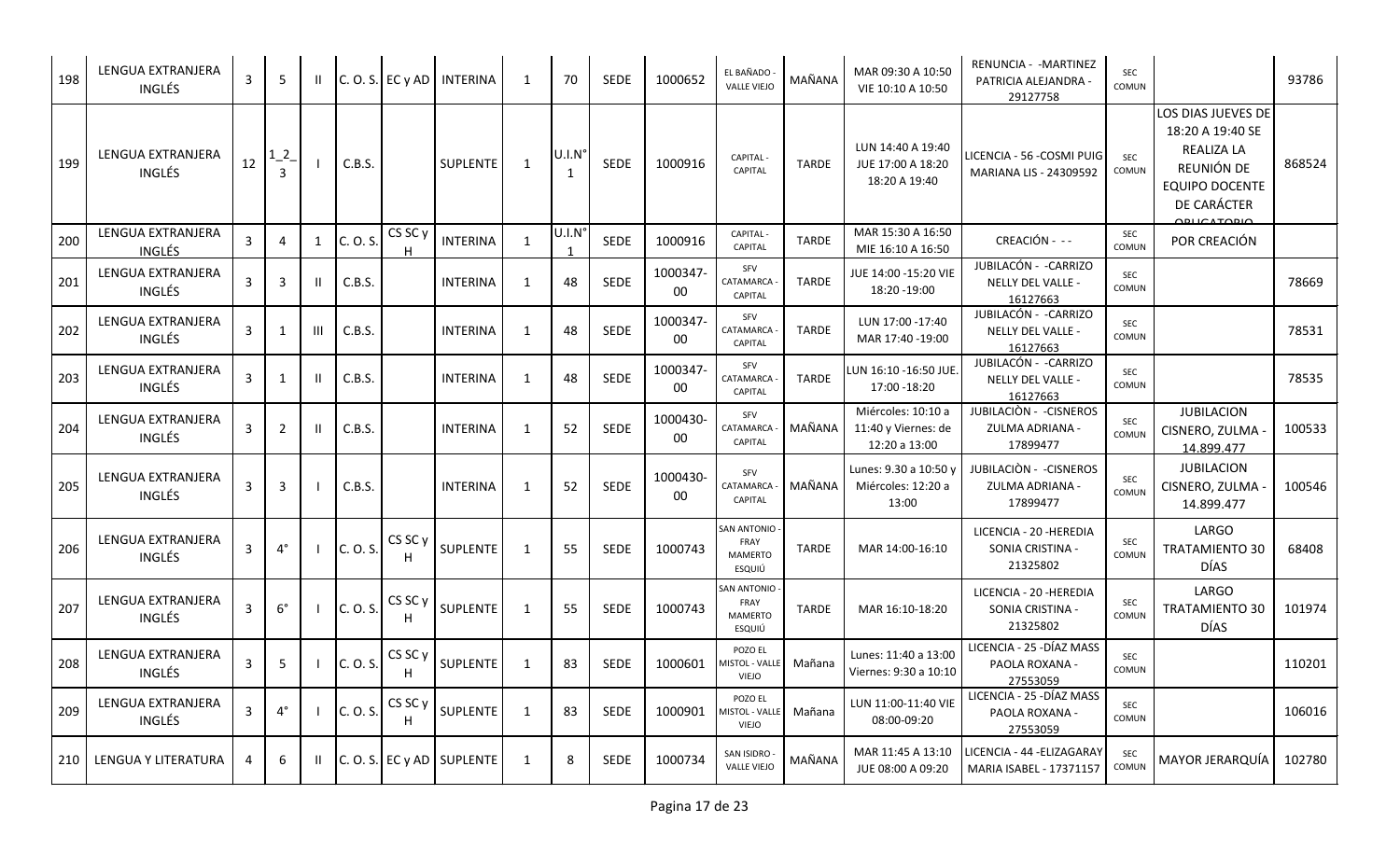| 198 | LENGUA EXTRANJERA<br><b>INGLÉS</b> | 3  | 5                          | Ш.           |          |                         | $ C. O. S. $ EC y AD   INTERINA | 1            | 70                              | <b>SEDE</b> | 1000652        | EL BAÑADO<br><b>VALLE VIEJO</b>                        | MAÑANA       | MAR 09:30 A 10:50<br>VIE 10:10 A 10:50                     | RENUNCIA - - MARTINEZ<br>PATRICIA ALEJANDRA -<br>29127758 | SEC<br>COMUN        |                                                                                                                                  | 93786  |
|-----|------------------------------------|----|----------------------------|--------------|----------|-------------------------|---------------------------------|--------------|---------------------------------|-------------|----------------|--------------------------------------------------------|--------------|------------------------------------------------------------|-----------------------------------------------------------|---------------------|----------------------------------------------------------------------------------------------------------------------------------|--------|
| 199 | LENGUA EXTRANJERA<br><b>INGLÉS</b> | 12 | $1_{-}2$<br>$\overline{3}$ |              | C.B.S.   |                         | SUPLENTE                        | 1            | $U.I.N^{\circ}$<br>$\mathbf{1}$ | <b>SEDE</b> | 1000916        | CAPITAL -<br><b>CAPITAL</b>                            | <b>TARDE</b> | LUN 14:40 A 19:40<br>JUE 17:00 A 18:20<br>18:20 A 19:40    | LICENCIA - 56 - COSMI PUIG<br>MARIANA LIS - 24309592      | <b>SEC</b><br>COMUN | LOS DIAS JUEVES DE<br>18:20 A 19:40 SE<br><b>REALIZA LA</b><br>REUNIÓN DE<br><b>EQUIPO DOCENTE</b><br>DE CARÁCTER<br>QPLICATQDIO | 868524 |
| 200 | LENGUA EXTRANJERA<br><b>INGLÉS</b> | 3  | $\Delta$                   | 1            | C. O. S. | CS SC <sub>y</sub>      | <b>INTERINA</b>                 | 1            | $U.I.N^{\circ}$                 | <b>SEDE</b> | 1000916        | <b>CAPITAL-</b><br>CAPITAL                             | <b>TARDE</b> | MAR 15:30 A 16:50<br>MIE 16:10 A 16:50                     | CREACIÓN - --                                             | SEC<br>COMUN        | POR CREACIÓN                                                                                                                     |        |
| 201 | LENGUA EXTRANJERA<br><b>INGLÉS</b> | 3  | 3                          | Ш            | C.B.S.   |                         | <b>INTERINA</b>                 | 1            | 48                              | <b>SEDE</b> | 1000347-<br>00 | SFV<br>CATAMARCA<br>CAPITAL                            | <b>TARDE</b> | JUE 14:00 - 15:20 VIE<br>18:20 - 19:00                     | JUBILACÓN - - CARRIZO<br>NELLY DEL VALLE -<br>16127663    | SEC<br>COMUN        |                                                                                                                                  | 78669  |
| 202 | LENGUA EXTRANJERA<br><b>INGLÉS</b> | 3  | -1                         | Ш            | C.B.S.   |                         | <b>INTERINA</b>                 | 1            | 48                              | SEDE        | 1000347-<br>00 | SFV<br>CATAMARCA<br>CAPITAL                            | <b>TARDE</b> | LUN 17:00 - 17:40<br>MAR 17:40 -19:00                      | JUBILACÓN - - CARRIZO<br>NELLY DEL VALLE -<br>16127663    | SEC<br>COMUN        |                                                                                                                                  | 78531  |
| 203 | LENGUA EXTRANJERA<br>INGLÉS        | 3  | -1                         | $\mathbf{H}$ | C.B.S.   |                         | <b>INTERINA</b>                 | 1            | 48                              | <b>SEDE</b> | 1000347-<br>00 | SFV<br>CATAMARCA<br>CAPITAL                            | <b>TARDE</b> | LUN 16:10 -16:50 JUE.<br>17:00 -18:20                      | JUBILACÓN - - CARRIZO<br>NELLY DEL VALLE -<br>16127663    | SEC<br>COMUN        |                                                                                                                                  | 78535  |
| 204 | LENGUA EXTRANJERA<br><b>INGLÉS</b> | 3  | $\overline{2}$             | H.           | C.B.S.   |                         | <b>INTERINA</b>                 | 1            | 52                              | <b>SEDE</b> | 1000430-<br>00 | SFV<br>CATAMARCA<br>CAPITAL                            | MAÑANA       | Miércoles: 10:10 a<br>11:40 y Viernes: de<br>12:20 a 13:00 | JUBILACIÓN - - CISNEROS<br>ZULMA ADRIANA -<br>17899477    | SEC<br>COMUN        | <b>JUBILACION</b><br>CISNERO, ZULMA -<br>14.899.477                                                                              | 100533 |
| 205 | <b>LENGUA EXTRANJERA</b><br>INGLÉS | 3  | 3                          |              | C.B.S.   |                         | <b>INTERINA</b>                 | 1            | 52                              | <b>SEDE</b> | 1000430-<br>00 | SFV<br>CATAMARCA<br>CAPITAL                            | MAÑANA       | Lunes: 9.30 a 10:50 y<br>Miércoles: 12:20 a<br>13:00       | JUBILACIÓN - - CISNEROS<br>ZULMA ADRIANA -<br>17899477    | SEC<br>COMUN        | <b>JUBILACION</b><br>CISNERO, ZULMA -<br>14.899.477                                                                              | 100546 |
| 206 | LENGUA EXTRANJERA<br><b>INGLÉS</b> | 3  | $4^{\circ}$                |              | C. O. S. | CS SC <sub>y</sub>      | SUPLENTE                        | 1            | 55                              | <b>SEDE</b> | 1000743        | <b>SAN ANTONIO</b><br>FRAY<br><b>MAMERTO</b><br>ESQUIÚ | <b>TARDE</b> | MAR 14:00-16:10                                            | LICENCIA - 20 - HEREDIA<br>SONIA CRISTINA -<br>21325802   | <b>SEC</b><br>COMUN | LARGO<br><b>TRATAMIENTO 30</b><br><b>DÍAS</b>                                                                                    | 68408  |
| 207 | LENGUA EXTRANJERA<br><b>INGLÉS</b> | 3  | $6^{\circ}$                |              | C. O. S. | CS SC <sub>y</sub><br>H | <b>SUPLENTE</b>                 | 1            | 55                              | <b>SEDE</b> | 1000743        | SAN ANTONIO -<br>FRAY<br><b>MAMERTO</b><br>ESQUIÚ      | <b>TARDE</b> | MAR 16:10-18:20                                            | LICENCIA - 20 - HEREDIA<br>SONIA CRISTINA -<br>21325802   | SEC<br>COMUN        | LARGO<br><b>TRATAMIENTO 30</b><br><b>DÍAS</b>                                                                                    | 101974 |
| 208 | LENGUA EXTRANJERA<br>INGLÉS        | 3  | 5                          |              | C. O. S. | CS SC y<br>н            | SUPLENTE                        | 1            | 83                              | <b>SEDE</b> | 1000601        | POZO EL<br>MISTOL - VALLE<br><b>VIEJO</b>              | Mañana       | Lunes: 11:40 a 13:00<br>Viernes: 9:30 a 10:10              | LICENCIA - 25 - DÍAZ MASS<br>PAOLA ROXANA -<br>27553059   | SEC<br>COMUN        |                                                                                                                                  | 110201 |
| 209 | LENGUA EXTRANJERA<br>INGLÉS        | 3  | $4^{\circ}$                |              | C. O. S. | CS SC y<br>H            | SUPLENTE                        | $\mathbf{1}$ | 83                              | SEDE        | 1000901        | POZO EL<br>MISTOL - VALLE<br>VIEJO                     | Mañana       | LUN 11:00-11:40 VIE<br>08:00-09:20                         | LICENCIA - 25 - DÍAZ MASS<br>PAOLA ROXANA -<br>27553059   | SEC<br>COMUN        |                                                                                                                                  | 106016 |
| 210 | LENGUA Y LITERATURA                | 4  | 6                          | Ш.           |          |                         | $ C. O. S. $ EC y AD SUPLENTE   | 1            | 8                               | SEDE        | 1000734        | SAN ISIDRO -<br><b>VALLE VIEJO</b>                     | MAÑANA       | MAR 11:45 A 13:10<br>JUE 08:00 A 09:20                     | LICENCIA - 44 - ELIZAGARAY<br>MARIA ISABEL - 17371157     | SEC<br>COMUN        | MAYOR JERARQUÍA                                                                                                                  | 102780 |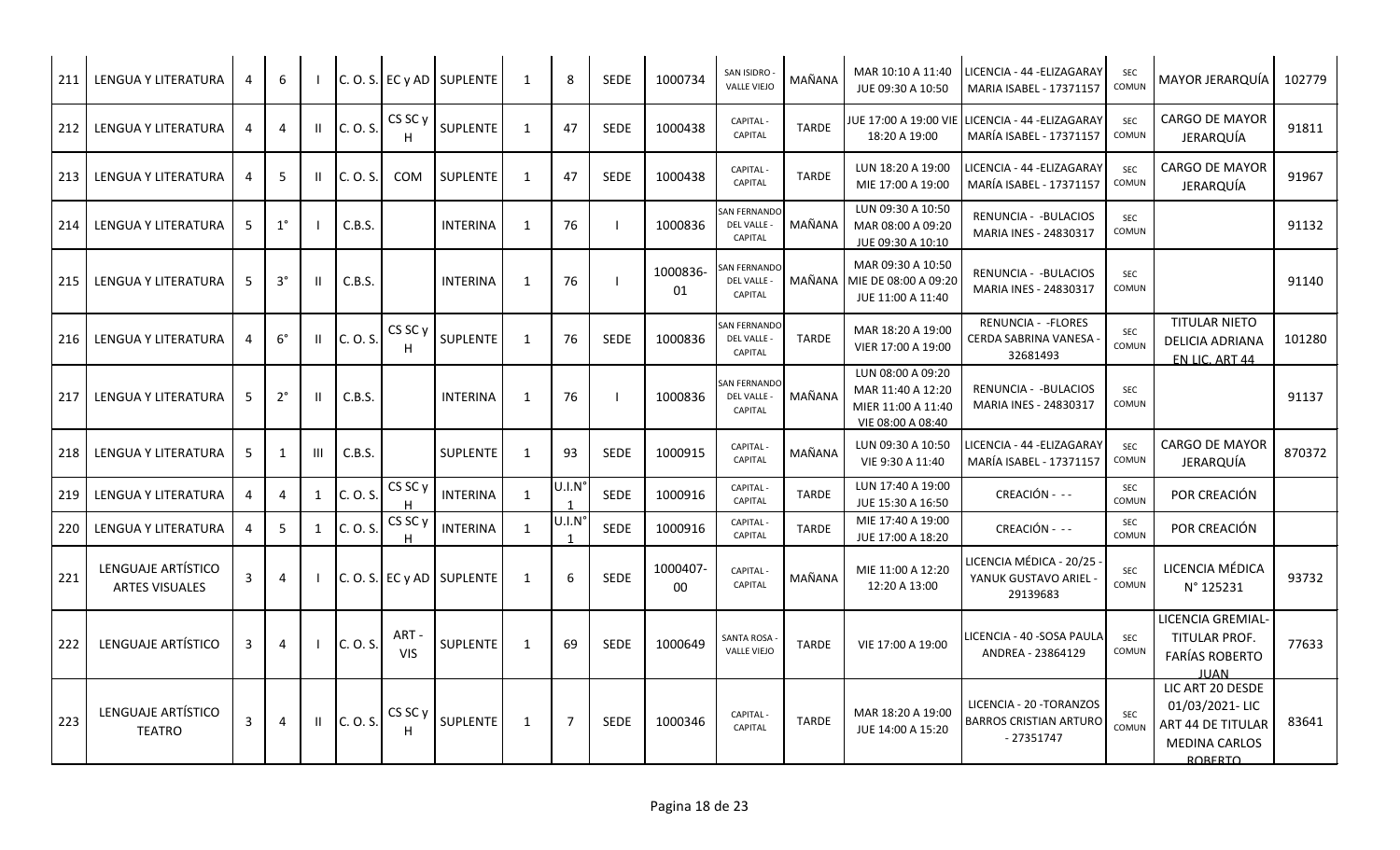| 211 | LENGUA Y LITERATURA                         | 4 | 6            |   |          |                         | $C. O. S.$ EC y AD SUPLENTE | 1              | 8                     | <b>SEDE</b> | 1000734       | SAN ISIDRO<br><b>VALLE VIEJO</b>              | MAÑANA       | MAR 10:10 A 11:40<br>JUE 09:30 A 10:50                                            | LICENCIA - 44 -ELIZAGARAY<br><b>MARIA ISABEL - 17371157</b>       | <b>SEC</b><br>COMUN | MAYOR JERARQUİA                                                                            | 102779 |
|-----|---------------------------------------------|---|--------------|---|----------|-------------------------|-----------------------------|----------------|-----------------------|-------------|---------------|-----------------------------------------------|--------------|-----------------------------------------------------------------------------------|-------------------------------------------------------------------|---------------------|--------------------------------------------------------------------------------------------|--------|
| 212 | LENGUA Y LITERATURA                         | 4 | 4            |   | C. O. S. | CS SC y                 | SUPLENTE                    | -1             | 47                    | <b>SEDE</b> | 1000438       | <b>CAPITAL</b><br><b>CAPITAL</b>              | <b>TARDE</b> | IUE 17:00 A 19:00 VIE<br>18:20 A 19:00                                            | LICENCIA - 44 - ELIZAGARAY<br><b>MARÍA ISABEL - 17371157</b>      | <b>SEC</b><br>COMUN | <b>CARGO DE MAYOR</b><br>JERARQUÍA                                                         | 91811  |
| 213 | <b>LENGUA Y LITERATURA</b>                  | 4 | 5            |   | C. O. S. | <b>COM</b>              | <b>SUPLENTE</b>             | 1              | 47                    | <b>SEDE</b> | 1000438       | <b>CAPITAL</b><br>CAPITAL                     | <b>TARDE</b> | LUN 18:20 A 19:00<br>MIE 17:00 A 19:00                                            | LICENCIA - 44 -ELIZAGARAY<br>MARÍA ISABEL - 17371157              | <b>SEC</b><br>COMUN | <b>CARGO DE MAYOR</b><br><b>JERARQUÍA</b>                                                  | 91967  |
| 214 | <b>LENGUA Y LITERATURA</b>                  | 5 | $1^{\circ}$  |   | C.B.S.   |                         | <b>INTERINA</b>             | $\mathbf{1}$   | 76                    |             | 1000836       | AN FERNANDO<br>DEL VALLE -<br>CAPITAL         | MAÑANA       | LUN 09:30 A 10:50<br>MAR 08:00 A 09:20<br>JUE 09:30 A 10:10                       | RENUNCIA - - BULACIOS<br>MARIA INES - 24830317                    | SEC<br>COMUN        |                                                                                            | 91132  |
| 215 | <b>LENGUA Y LITERATURA</b>                  | 5 | $3^\circ$    |   | C.B.S.   |                         | <b>INTERINA</b>             | 1              | 76                    |             | 1000836<br>01 | AN FERNANDO<br>DEL VALLE -<br>CAPITAL         | MAÑANA I     | MAR 09:30 A 10:50<br>MIE DE 08:00 A 09:20<br>JUE 11:00 A 11:40                    | RENUNCIA - - BULACIOS<br>MARIA INES - 24830317                    | <b>SEC</b><br>COMUN |                                                                                            | 91140  |
| 216 | LENGUA Y LITERATURA                         | 4 | $6^{\circ}$  |   | C. O. S. | CS SC y                 | <b>SUPLENTE</b>             | 1              | 76                    | <b>SEDE</b> | 1000836       | <b>SAN FERNANDO</b><br>DEL VALLE -<br>CAPITAL | TARDE        | MAR 18:20 A 19:00<br>VIER 17:00 A 19:00                                           | <b>RENUNCIA - - FLORES</b><br>CERDA SABRINA VANESA<br>32681493    | <b>SEC</b><br>COMUN | <b>TITULAR NIETO</b><br>DELICIA ADRIANA<br>EN LIC. ART 44                                  | 101280 |
| 217 | LENGUA Y LITERATURA                         | 5 | $2^{\circ}$  |   | C.B.S.   |                         | <b>INTERINA</b>             | $\overline{1}$ | 76                    |             | 1000836       | <b>SAN FERNANDO</b><br>DEL VALLE -<br>CAPITAL | MAÑANA       | LUN 08:00 A 09:20<br>MAR 11:40 A 12:20<br>MIER 11:00 A 11:40<br>VIE 08:00 A 08:40 | RENUNCIA - - BULACIOS<br>MARIA INES - 24830317                    | SEC<br>COMUN        |                                                                                            | 91137  |
| 218 | LENGUA Y LITERATURA                         | 5 | $\mathbf{1}$ | Ш | C.B.S.   |                         | <b>SUPLENTE</b>             | $\mathbf{1}$   | 93                    | <b>SEDE</b> | 1000915       | <b>CAPITAL-</b><br>CAPITAL                    | MAÑANA       | LUN 09:30 A 10:50<br>VIE 9:30 A 11:40                                             | LICENCIA - 44 -ELIZAGARAY<br>MARÍA ISABEL - 17371157              | <b>SEC</b><br>COMUN | <b>CARGO DE MAYOR</b><br>JERARQUÍA                                                         | 870372 |
| 219 | LENGUA Y LITERATURA                         | 4 | 4            | 1 | C. O. S. | CS SC <sub>y</sub><br>н | <b>INTERINA</b>             | 1              | U.I.N                 | SEDE        | 1000916       | <b>CAPITAL</b><br>CAPITAL                     | <b>TARDE</b> | LUN 17:40 A 19:00<br>JUE 15:30 A 16:50                                            | CREACIÓN - --                                                     | SEC<br>COMUN        | POR CREACIÓN                                                                               |        |
| 220 | LENGUA Y LITERATURA                         | 4 | 5            | 1 | C. O. S  | CS SC y<br>H            | <b>INTERINA</b>             | -1             | U.I.N<br>$\mathbf{1}$ | <b>SEDE</b> | 1000916       | <b>CAPITAL</b><br><b>CAPITAL</b>              | TARDE        | MIE 17:40 A 19:00<br>JUE 17:00 A 18:20                                            | CREACIÓN - --                                                     | SEC<br><b>COMUN</b> | POR CREACIÓN                                                                               |        |
| 221 | LENGUAJE ARTÍSTICO<br><b>ARTES VISUALES</b> | 3 | 4            |   |          |                         | $C. O. S.$ EC y AD SUPLENTE | 1              | 6                     | <b>SEDE</b> | 1000407<br>00 | <b>CAPITAL</b><br>CAPITAL                     | MAÑANA       | MIE 11:00 A 12:20<br>12:20 A 13:00                                                | LICENCIA MÉDICA - 20/25<br>YANUK GUSTAVO ARIEL -<br>29139683      | SEC<br>COMUN        | LICENCIA MÉDICA<br>N° 125231                                                               | 93732  |
| 222 | LENGUAJE ARTÍSTICO                          | 3 | 4            |   | C. O. S. | ART-<br><b>VIS</b>      | <b>SUPLENTE</b>             | 1              | 69                    | <b>SEDE</b> | 1000649       | <b>SANTA ROSA</b><br><b>VALLE VIEJO</b>       | <b>TARDE</b> | VIE 17:00 A 19:00                                                                 | LICENCIA - 40 -SOSA PAULA<br>ANDREA - 23864129                    | SEC<br>COMUN        | LICENCIA GREMIAL-<br>TITULAR PROF.<br><b>FARÍAS ROBERTO</b><br><b>JUAN</b>                 | 77633  |
| 223 | LENGUAJE ARTÍSTICO<br><b>TEATRO</b>         | 3 | 4            |   | C. O. S. | CS SC y                 | <b>SUPLENTE</b>             | $\mathbf{1}$   | $\overline{7}$        | <b>SEDE</b> | 1000346       | <b>CAPITAL</b><br>CAPITAL                     | <b>TARDE</b> | MAR 18:20 A 19:00<br>JUE 14:00 A 15:20                                            | LICENCIA - 20 - TORANZOS<br>BARROS CRISTIAN ARTURO<br>$-27351747$ | SEC<br>COMUN        | LIC ART 20 DESDE<br>01/03/2021-LIC<br>ART 44 DE TITULAR<br>MEDINA CARLOS<br><b>ROBERTO</b> | 83641  |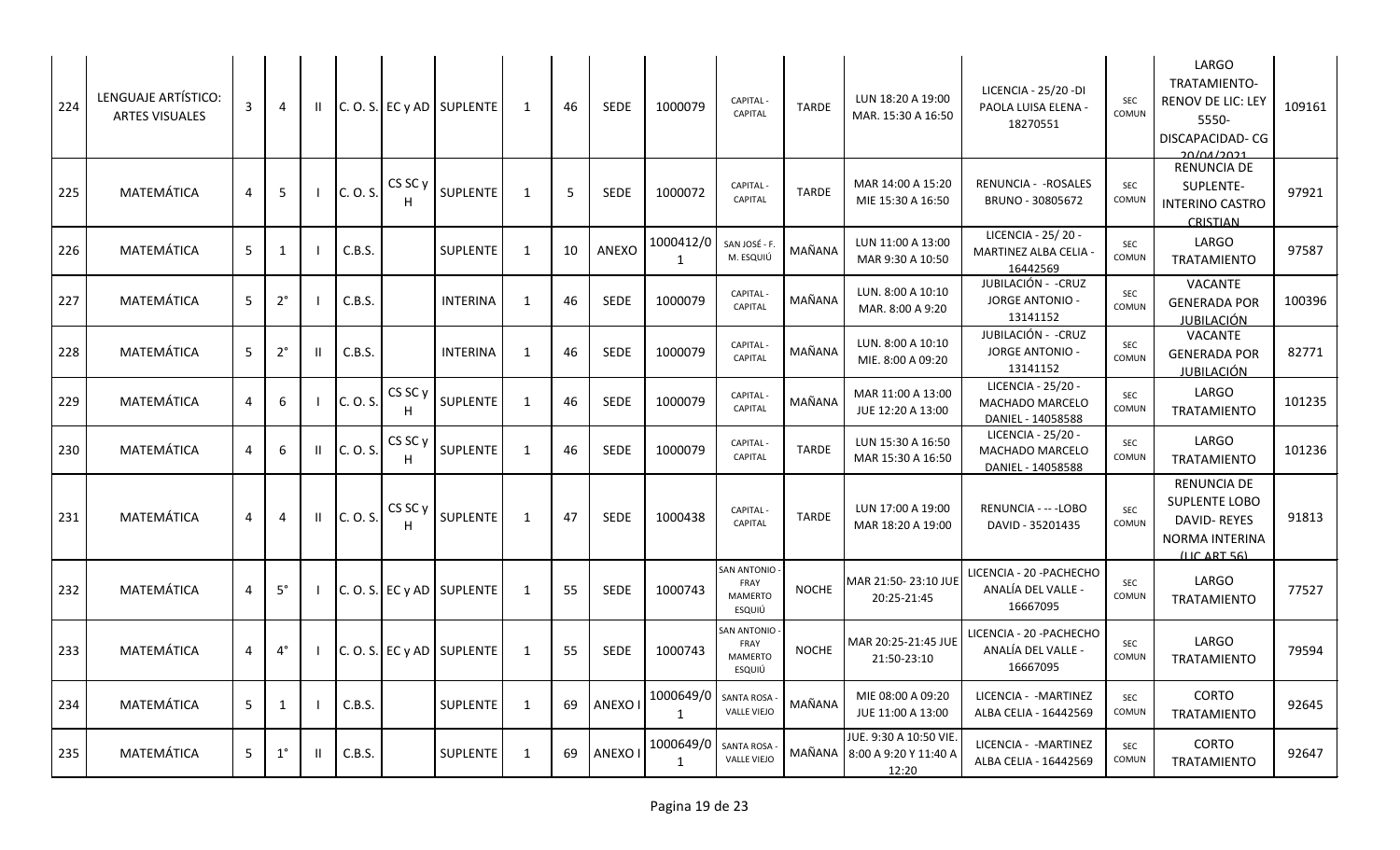| 224 | LENGUAJE ARTÍSTICO:<br><b>ARTES VISUALES</b> | 3 | 4            |              |          |                    | $C. O. S. E C y AD$ SUPLENTE | 1            | 46 | <b>SEDE</b>   | 1000079                   | <b>CAPITAL</b><br>CAPITAL                       | <b>TARDE</b> | LUN 18:20 A 19:00<br>MAR. 15:30 A 16:50                 | LICENCIA - 25/20 - DI<br>PAOLA LUISA ELENA -<br>18270551   | <b>SEC</b><br>COMUN | LARGO<br>TRATAMIENTO-<br>RENOV DE LIC: LEY<br>5550-<br><b>DISCAPACIDAD-CG</b><br>20/01/2021                | 109161 |
|-----|----------------------------------------------|---|--------------|--------------|----------|--------------------|------------------------------|--------------|----|---------------|---------------------------|-------------------------------------------------|--------------|---------------------------------------------------------|------------------------------------------------------------|---------------------|------------------------------------------------------------------------------------------------------------|--------|
| 225 | MATEMÁTICA                                   | 4 | 5            |              | C. O. S. | CS SC <sub>y</sub> | <b>SUPLENTE</b>              | 1            | 5  | <b>SEDE</b>   | 1000072                   | <b>CAPITAL-</b><br><b>CAPITAL</b>               | TARDE        | MAR 14:00 A 15:20<br>MIE 15:30 A 16:50                  | RENUNCIA - - ROSALES<br>BRUNO - 30805672                   | <b>SEC</b><br>COMUN | RENUNCIA DE<br>SUPLENTE-<br><b>INTERINO CASTRO</b><br><b>CRISTIAN</b>                                      | 97921  |
| 226 | MATEMÁTICA                                   | 5 | $\mathbf{1}$ |              | C.B.S.   |                    | <b>SUPLENTE</b>              | 1            | 10 | ANEXO         | 1000412/0<br>1            | SAN JOSÉ - F.<br>M. ESQUIÚ                      | MAÑANA       | LUN 11:00 A 13:00<br>MAR 9:30 A 10:50                   | LICENCIA - 25/20 -<br>MARTINEZ ALBA CELIA -<br>16442569    | <b>SEC</b><br>COMUN | LARGO<br><b>TRATAMIENTO</b>                                                                                | 97587  |
| 227 | MATEMÁTICA                                   | 5 | $2^{\circ}$  |              | C.B.S.   |                    | <b>INTERINA</b>              | $\mathbf{1}$ | 46 | <b>SEDE</b>   | 1000079                   | <b>CAPITAL</b><br><b>CAPITAL</b>                | MAÑANA       | LUN. 8:00 A 10:10<br>MAR. 8:00 A 9:20                   | JUBILACIÓN - - CRUZ<br><b>JORGE ANTONIO -</b><br>13141152  | <b>SEC</b><br>COMUN | <b>VACANTE</b><br><b>GENERADA POR</b><br>JUBILACIÓN                                                        | 100396 |
| 228 | MATEMÁTICA                                   | 5 | $2^{\circ}$  | Ш            | C.B.S.   |                    | <b>INTERINA</b>              | 1            | 46 | <b>SEDE</b>   | 1000079                   | <b>CAPITAL</b><br><b>CAPITAL</b>                | MAÑANA       | LUN. 8:00 A 10:10<br>MIE. 8:00 A 09:20                  | JUBILACIÓN - - CRUZ<br><b>JORGE ANTONIO -</b><br>13141152  | SEC<br>COMUN        | <b>VACANTE</b><br><b>GENERADA POR</b><br><b>JUBILACIÓN</b>                                                 | 82771  |
| 229 | MATEMÁTICA                                   | 4 | 6            |              | C. O. S. | CS SC y            | SUPLENTE                     | $\mathbf{1}$ | 46 | <b>SEDE</b>   | 1000079                   | <b>CAPITAL</b><br>CAPITAL                       | MAÑANA       | MAR 11:00 A 13:00<br>JUE 12:20 A 13:00                  | LICENCIA - 25/20 -<br>MACHADO MARCELO<br>DANIEL - 14058588 | SEC<br>COMUN        | LARGO<br><b>TRATAMIENTO</b>                                                                                | 101235 |
| 230 | MATEMÁTICA                                   | 4 | 6            |              | C. O. S. | CS SC y            | SUPLENTE                     | 1            | 46 | <b>SEDE</b>   | 1000079                   | <b>CAPITAL</b><br>CAPITAL                       | <b>TARDE</b> | LUN 15:30 A 16:50<br>MAR 15:30 A 16:50                  | LICENCIA - 25/20 -<br>MACHADO MARCELO<br>DANIEL - 14058588 | SEC<br>COMUN        | LARGO<br><b>TRATAMIENTO</b>                                                                                | 101236 |
| 231 | MATEMÁTICA                                   | 4 | 4            | $\mathbf{H}$ | C. O. S. | CS SC y            | SUPLENTE                     | 1            | 47 | <b>SEDE</b>   | 1000438                   | <b>CAPITAL-</b><br>CAPITAL                      | <b>TARDE</b> | LUN 17:00 A 19:00<br>MAR 18:20 A 19:00                  | RENUNCIA - -- - LOBO<br>DAVID - 35201435                   | SEC<br>COMUN        | <b>RENUNCIA DE</b><br>SUPLENTE LOBO<br>DAVID-REYES<br><b>NORMA INTERINA</b><br>$(11C \; \text{ART} \; 56)$ | 91813  |
| 232 | MATEMÁTICA                                   | 4 | $5^\circ$    |              |          |                    | C. O. S. EC y AD SUPLENTE    | $\mathbf{1}$ | 55 | <b>SEDE</b>   | 1000743                   | SAN ANTONIO<br>FRAY<br><b>MAMERTO</b><br>ESQUIÚ | <b>NOCHE</b> | MAR 21:50-23:10 JUE<br>20:25-21:45                      | LICENCIA - 20 - PACHECHO<br>ANALÍA DEL VALLE -<br>16667095 | <b>SEC</b><br>COMUN | LARGO<br><b>TRATAMIENTO</b>                                                                                | 77527  |
| 233 | MATEMÁTICA                                   | 4 | $4^{\circ}$  |              |          |                    | $C. O. S.$ EC y AD SUPLENTE  | $\mathbf{1}$ | 55 | <b>SEDE</b>   | 1000743                   | SAN ANTONIO<br>FRAY<br>MAMERTO<br>ESQUIÚ        | <b>NOCHE</b> | MAR 20:25-21:45 JUE<br>21:50-23:10                      | LICENCIA - 20 - PACHECHO<br>ANALÍA DEL VALLE -<br>16667095 | <b>SEC</b><br>COMUN | LARGO<br><b>TRATAMIENTO</b>                                                                                | 79594  |
| 234 | MATEMÁTICA                                   | 5 | $\mathbf{1}$ |              | C.B.S.   |                    | <b>SUPLENTE</b>              | 1            | 69 | <b>ANEXOI</b> | 1000649/0<br>1            | SANTA ROSA<br><b>VALLE VIEJO</b>                | MAÑANA       | MIE 08:00 A 09:20<br>JUE 11:00 A 13:00                  | LICENCIA - - MARTINEZ<br>ALBA CELIA - 16442569             | <b>SEC</b><br>COMUN | <b>CORTO</b><br><b>TRATAMIENTO</b>                                                                         | 92645  |
| 235 | MATEMÁTICA                                   | 5 | $1^{\circ}$  |              | C.B.S.   |                    | <b>SUPLENTE</b>              | $\mathbf{1}$ | 69 | ANEXO I       | 1000649/0<br>$\mathbf{1}$ | SANTA ROSA<br><b>VALLE VIEJO</b>                | MAÑANA       | JUE. 9:30 A 10:50 VIE<br>8:00 A 9:20 Y 11:40 A<br>12:20 | LICENCIA - - MARTINEZ<br>ALBA CELIA - 16442569             | SEC<br>COMUN        | <b>CORTO</b><br><b>TRATAMIENTO</b>                                                                         | 92647  |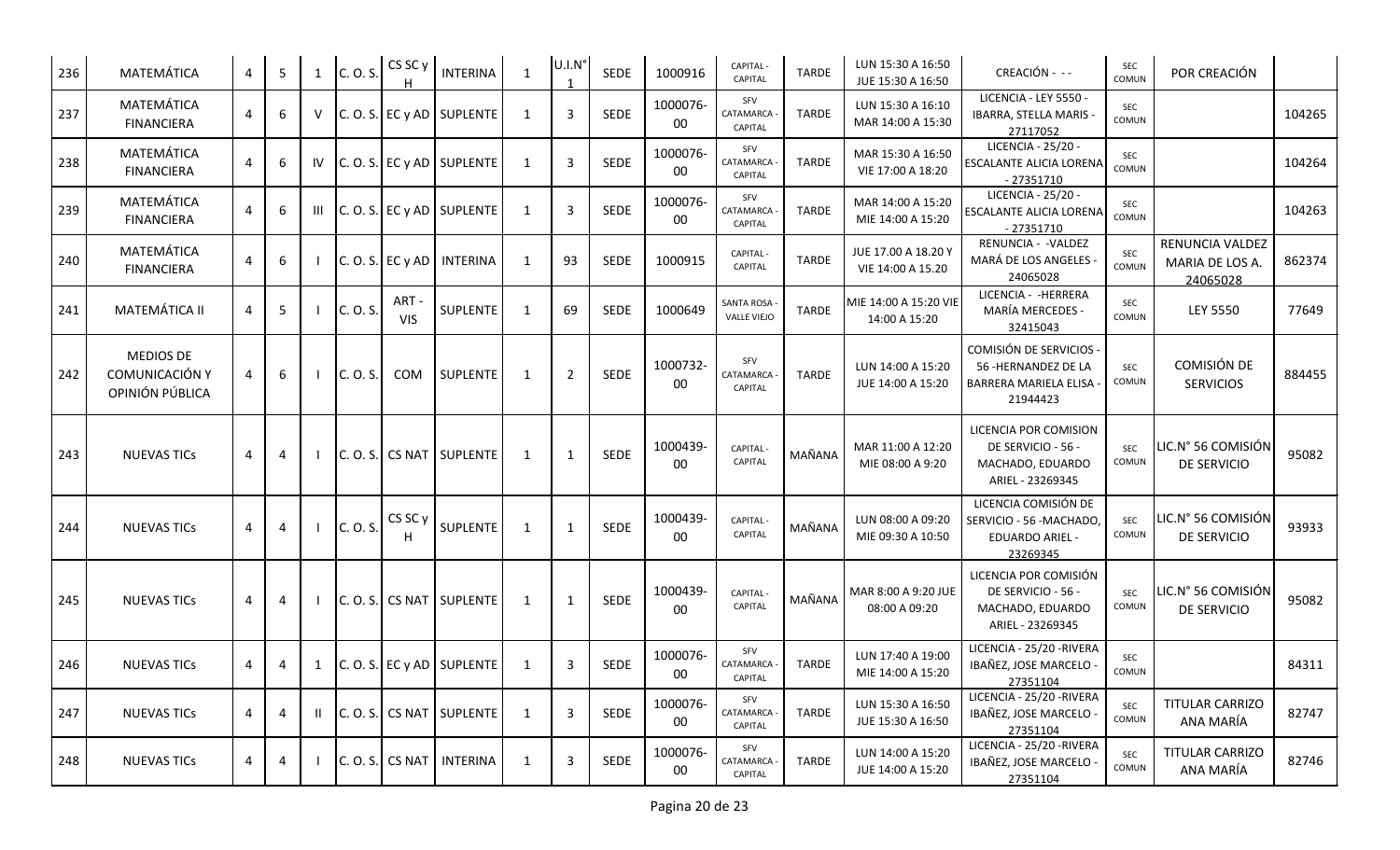| 236 | MATEMÁTICA                                                   | 4 | 5 |        | C. O. S. | CS SC y           | <b>INTERINA</b>              | $\overline{1}$ | U.I.N°         | SEDE        | 1000916            | CAPITAL -<br>CAPITAL                    | <b>TARDE</b> | LUN 15:30 A 16:50<br>JUE 15:30 A 16:50   | CREACIÓN - --                                                                          | SEC<br>COMUN               | POR CREACIÓN                                   |        |
|-----|--------------------------------------------------------------|---|---|--------|----------|-------------------|------------------------------|----------------|----------------|-------------|--------------------|-----------------------------------------|--------------|------------------------------------------|----------------------------------------------------------------------------------------|----------------------------|------------------------------------------------|--------|
| 237 | MATEMÁTICA<br><b>FINANCIERA</b>                              |   | 6 | $\vee$ |          |                   | C. O. S. EC y AD SUPLENTE    | 1              | 3              | <b>SEDE</b> | 1000076-<br>00     | SFV<br>CATAMARCA<br><b>CAPITAL</b>      | <b>TARDE</b> | LUN 15:30 A 16:10<br>MAR 14:00 A 15:30   | LICENCIA - LEY 5550 -<br>IBARRA, STELLA MARIS -<br>27117052                            | SEC<br>COMUN               |                                                | 104265 |
| 238 | MATEMÁTICA<br><b>FINANCIERA</b>                              |   | 6 | IV     |          |                   | $C. O. S.$ EC y AD SUPLENTE  | 1              | $\overline{3}$ | <b>SEDE</b> | 1000076-<br>00     | SFV<br>CATAMARCA<br>CAPITAL             | <b>TARDE</b> | MAR 15:30 A 16:50<br>VIE 17:00 A 18:20   | LICENCIA - 25/20 -<br>ESCALANTE ALICIA LORENA<br>$-27351710$                           | SEC<br>COMUN               |                                                | 104264 |
| 239 | MATEMÁTICA<br><b>FINANCIERA</b>                              | Δ | 6 |        |          |                   | $C. O. S. E C y AD$ SUPLENTE | 1              | $\overline{3}$ | <b>SEDE</b> | 1000076-<br>$00\,$ | SFV<br>CATAMARCA<br>CAPITAL             | <b>TARDE</b> | MAR 14:00 A 15:20<br>MIE 14:00 A 15:20   | LICENCIA - 25/20 -<br><b>ESCALANTE ALICIA LORENA</b><br>$-27351710$                    | SEC<br>COMUN               |                                                | 104263 |
| 240 | MATEMÁTICA<br><b>FINANCIERA</b>                              |   | 6 |        |          | C. O. S. E C y AD | <b>INTERINA</b>              | 1              | 93             | <b>SEDE</b> | 1000915            | <b>CAPITAL-</b><br>CAPITAL              | <b>TARDE</b> | JUE 17.00 A 18.20 Y<br>VIE 14:00 A 15.20 | RENUNCIA - - VALDEZ<br>MARÁ DE LOS ANGELES -<br>24065028                               | SEC<br>COMUN               | RENUNCIA VALDEZ<br>MARIA DE LOS A.<br>24065028 | 862374 |
| 241 | <b>MATEMÁTICA II</b>                                         | 4 | 5 |        | C. O. S. | ART-<br>VIS       | SUPLENTE                     | 1              | 69             | <b>SEDE</b> | 1000649            | <b>SANTA ROSA</b><br><b>VALLE VIEJO</b> | <b>TARDE</b> | MIE 14:00 A 15:20 VIE<br>14:00 A 15:20   | LICENCIA - - HERRERA<br><b>MARÍA MERCEDES -</b><br>32415043                            | SEC<br>COMUN               | <b>LEY 5550</b>                                | 77649  |
| 242 | <b>MEDIOS DE</b><br><b>COMUNICACIÓN Y</b><br>OPINIÓN PÚBLICA | 4 | 6 |        | C. O. S. | COM               | <b>SUPLENTE</b>              | -1             | $\overline{2}$ | SEDE        | 1000732-<br>00     | SFV<br>CATAMARCA<br>CAPITAL             | <b>TARDE</b> | LUN 14:00 A 15:20<br>JUE 14:00 A 15:20   | COMISIÓN DE SERVICIOS<br>56 - HERNANDEZ DE LA<br>BARRERA MARIELA ELISA<br>21944423     | SEC<br>COMUN               | COMISIÓN DE<br><b>SERVICIOS</b>                | 884455 |
| 243 | <b>NUEVAS TICS</b>                                           | 4 | 4 |        | C. O. S. |                   | CS NAT SUPLENTE              | 1              | $\mathbf{1}$   | <b>SEDE</b> | 1000439-<br>00     | CAPITAL -<br><b>CAPITAL</b>             | MAÑANA       | MAR 11:00 A 12:20<br>MIE 08:00 A 9:20    | LICENCIA POR COMISION<br>DE SERVICIO - 56 -<br>MACHADO, EDUARDO<br>ARIEL - 23269345    | <b>SEC</b><br>COMUN        | LIC.N° 56 COMISIÓN<br><b>DE SERVICIO</b>       | 95082  |
| 244 | <b>NUEVAS TICs</b>                                           | 4 | 4 |        | C. O. S. | CS SC y           | <b>SUPLENTE</b>              | 1              | 1              | SEDE        | 1000439-<br>$00\,$ | CAPITAL -<br>CAPITAL                    | MAÑANA       | LUN 08:00 A 09:20<br>MIE 09:30 A 10:50   | LICENCIA COMISIÓN DE<br>SERVICIO - 56 - MACHADO,<br><b>EDUARDO ARIEL -</b><br>23269345 | SEC<br><b>COMUN</b>        | LIC.N° 56 COMISIÓN<br>DE SERVICIO              | 93933  |
| 245 | <b>NUEVAS TICS</b>                                           | 4 | 4 |        |          |                   | $C. O. S.$ CS NAT SUPLENTE   | 1              | 1              | <b>SEDE</b> | 1000439-<br>00     | CAPITAL -<br><b>CAPITAL</b>             | MAÑANA       | MAR 8:00 A 9:20 JUE<br>08:00 A 09:20     | LICENCIA POR COMISIÓN<br>DE SERVICIO - 56 -<br>MACHADO, EDUARDO<br>ARIEL - 23269345    | <b>SEC</b><br><b>COMUN</b> | LIC.N° 56 COMISIÓN<br><b>DE SERVICIO</b>       | 95082  |
| 246 | <b>NUEVAS TICS</b>                                           | 4 | 4 |        |          |                   | $C. O. S.$ EC y AD SUPLENTE  | 1              | 3              | SEDE        | 1000076-<br>00     | SFV<br>CATAMARCA<br>CAPITAL             | TARDE        | LUN 17:40 A 19:00<br>MIE 14:00 A 15:20   | LICENCIA - 25/20 - RIVERA<br>IBAÑEZ, JOSE MARCELO -<br>27351104                        | SEC<br>COMUN               |                                                | 84311  |
| 247 | <b>NUEVAS TICs</b>                                           | 4 | 4 |        | C. O. S. |                   | CS NAT SUPLENTE              | 1              | $\mathbf{3}$   | SEDE        | 1000076-<br>00     | SFV<br>CATAMARCA<br>CAPITAL             | <b>TARDE</b> | LUN 15:30 A 16:50<br>JUE 15:30 A 16:50   | LICENCIA - 25/20 - RIVERA<br>IBAÑEZ, JOSE MARCELO -<br>27351104                        | SEC<br>COMUN               | <b>TITULAR CARRIZO</b><br>ANA MARÍA            | 82747  |
| 248 | <b>NUEVAS TICs</b>                                           | 4 | 4 |        | C. O. S. | <b>CS NAT</b>     | <b>INTERINA</b>              | 1              | $\overline{3}$ | SEDE        | 1000076-<br>$00\,$ | SFV<br>CATAMARCA<br>CAPITAL             | <b>TARDE</b> | LUN 14:00 A 15:20<br>JUE 14:00 A 15:20   | LICENCIA - 25/20 - RIVERA<br>IBAÑEZ, JOSE MARCELO -<br>27351104                        | SEC<br>COMUN               | <b>TITULAR CARRIZO</b><br>ANA MARÍA            | 82746  |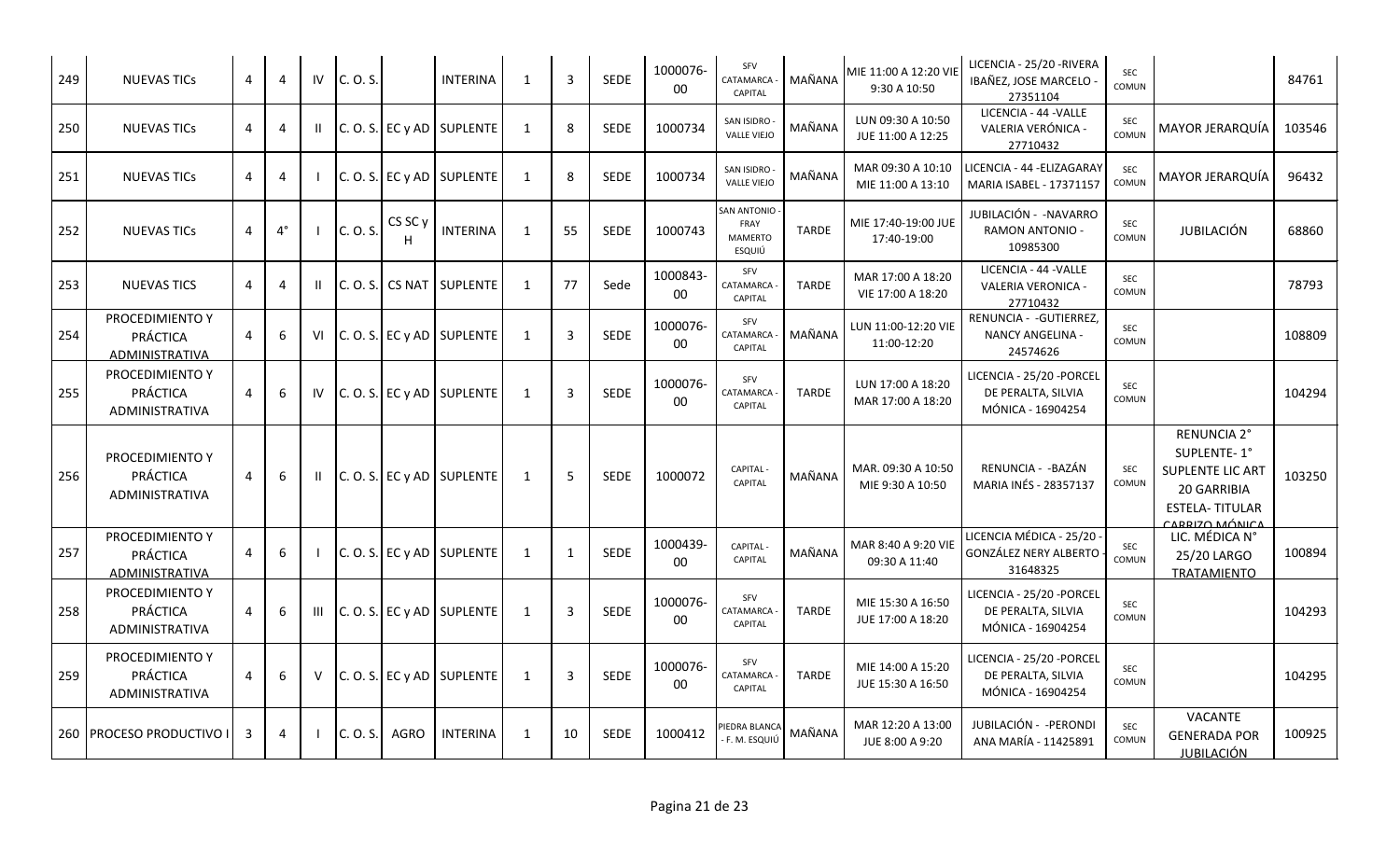| 249 | <b>NUEVAS TICS</b>                                          | 4 | 4              | IV           | C. O. S. |                  | <b>INTERINA</b>           | -1           | $\mathbf{3}$   | SEDE        | 1000076-<br>00     | SFV<br>CATAMARCA<br>CAPITAL              | MAÑANA       | MIE 11:00 A 12:20 VIE<br>9:30 A 10:50  | LICENCIA - 25/20 - RIVERA<br>IBAÑEZ, JOSE MARCELO<br>27351104        | SEC<br>COMUN        |                                                                                                                 | 84761  |
|-----|-------------------------------------------------------------|---|----------------|--------------|----------|------------------|---------------------------|--------------|----------------|-------------|--------------------|------------------------------------------|--------------|----------------------------------------|----------------------------------------------------------------------|---------------------|-----------------------------------------------------------------------------------------------------------------|--------|
| 250 | <b>NUEVAS TICS</b>                                          | 4 | 4              | H.           |          |                  | C. O. S. EC y AD SUPLENTE | 1            | 8              | <b>SEDE</b> | 1000734            | SAN ISIDRO<br><b>VALLE VIEJO</b>         | MAÑANA       | LUN 09:30 A 10:50<br>JUE 11:00 A 12:25 | LICENCIA - 44 - VALLE<br>VALERIA VERÓNICA -<br>27710432              | SEC<br>COMUN        | MAYOR JERARQUÍA                                                                                                 | 103546 |
| 251 | <b>NUEVAS TICS</b>                                          | 4 | 4              |              |          |                  | C. O. S. EC y AD SUPLENTE | 1            | 8              | <b>SEDE</b> | 1000734            | SAN ISIDRO<br><b>VALLE VIEJO</b>         | MAÑANA       | MAR 09:30 A 10:10<br>MIE 11:00 A 13:10 | LICENCIA - 44 -ELIZAGARAY<br>MARIA ISABEL - 17371157                 | <b>SEC</b><br>COMUN | MAYOR JERARQUÍA                                                                                                 | 96432  |
| 252 | <b>NUEVAS TICS</b>                                          | 4 | $4^{\circ}$    |              | C. O. S. | CS SC y          | <b>INTERINA</b>           | -1           | 55             | <b>SEDE</b> | 1000743            | SAN ANTONIO<br>FRAY<br>MAMERTO<br>ESQUIÚ | <b>TARDE</b> | MIE 17:40-19:00 JUE<br>17:40-19:00     | JUBILACIÓN - -NAVARRO<br><b>RAMON ANTONIO -</b><br>10985300          | SEC<br>COMUN        | JUBILACIÓN                                                                                                      | 68860  |
| 253 | <b>NUEVAS TICS</b>                                          | 4 | 4              |              |          | C. O. S. C S NAT | <b>SUPLENTE</b>           | $\mathbf{1}$ | 77             | Sede        | 1000843-<br>00     | SFV<br>CATAMARCA<br>CAPITAL              | <b>TARDE</b> | MAR 17:00 A 18:20<br>VIE 17:00 A 18:20 | LICENCIA - 44 - VALLE<br>VALERIA VERONICA -<br>27710432              | SEC<br>COMUN        |                                                                                                                 | 78793  |
| 254 | PROCEDIMIENTO Y<br>PRÁCTICA<br>ADMINISTRATIVA               | 4 | 6              | VI           |          |                  | C. O. S. EC y AD SUPLENTE | 1            | $\overline{3}$ | <b>SEDE</b> | 1000076-<br>$00\,$ | SFV<br>CATAMARCA<br><b>CAPITAL</b>       | MAÑANA       | LUN 11:00-12:20 VIE<br>11:00-12:20     | RENUNCIA - - GUTIERREZ<br>NANCY ANGELINA -<br>24574626               | SEC<br>COMUN        |                                                                                                                 | 108809 |
| 255 | PROCEDIMIENTO Y<br>PRÁCTICA<br>ADMINISTRATIVA               | 4 | 6              | IV           |          |                  | C. O. S. EC y AD SUPLENTE | 1            | $\overline{3}$ | <b>SEDE</b> | 1000076-<br>00     | SFV<br>CATAMARCA<br>CAPITAL              | <b>TARDE</b> | LUN 17:00 A 18:20<br>MAR 17:00 A 18:20 | LICENCIA - 25/20 - PORCEL<br>DE PERALTA, SILVIA<br>MÓNICA - 16904254 | SEC<br>COMUN        |                                                                                                                 | 104294 |
| 256 | PROCEDIMIENTO Y<br>PRÁCTICA<br>ADMINISTRATIVA               | 4 | 6              | $\mathbf{H}$ |          |                  | C. O. S. EC y AD SUPLENTE | $\mathbf{1}$ | 5              | SEDE        | 1000072            | <b>CAPITAL</b><br>CAPITAL                | MAÑANA       | MAR. 09:30 A 10:50<br>MIE 9:30 A 10:50 | RENUNCIA - - BAZÁN<br>MARIA INÉS - 28357137                          | SEC<br>COMUN        | RENUNCIA 2°<br>SUPLENTE-1°<br><b>SUPLENTE LIC ART</b><br>20 GARRIBIA<br><b>ESTELA-TITULAR</b><br>CARRIZO MÓNICA | 103250 |
| 257 | PROCEDIMIENTO Y<br><b>PRÁCTICA</b><br><b>ADMINISTRATIVA</b> | 4 | 6              |              |          |                  | C. O. S. EC y AD SUPLENTE | 1            | 1              | <b>SEDE</b> | 1000439-<br>00     | CAPITAL -<br>CAPITAL                     | MAÑANA       | MAR 8:40 A 9:20 VIE<br>09:30 A 11:40   | LICENCIA MÉDICA - 25/20<br>GONZÁLEZ NERY ALBERTO<br>31648325         | SEC<br>COMUN        | LIC. MÉDICA N°<br>25/20 LARGO<br><b>TRATAMIENTO</b>                                                             | 100894 |
| 258 | PROCEDIMIENTO Y<br>PRÁCTICA<br>ADMINISTRATIVA               | 4 | 6              | Ш            |          |                  | C. O. S. EC y AD SUPLENTE | 1            | 3              | <b>SEDE</b> | 1000076<br>00      | SFV<br>CATAMARCA<br>CAPITAL              | <b>TARDE</b> | MIE 15:30 A 16:50<br>JUE 17:00 A 18:20 | LICENCIA - 25/20 - PORCEL<br>DE PERALTA, SILVIA<br>MÓNICA - 16904254 | SEC<br>COMUN        |                                                                                                                 | 104293 |
| 259 | PROCEDIMIENTO Y<br>PRÁCTICA<br><b>ADMINISTRATIVA</b>        | 4 | 6              | v            |          |                  | C. O. S. EC y AD SUPLENTE | $\mathbf{1}$ | 3              | <b>SEDE</b> | 1000076-<br>00     | SFV<br>CATAMARCA<br>CAPITAL              | <b>TARDE</b> | MIE 14:00 A 15:20<br>JUE 15:30 A 16:50 | LICENCIA - 25/20 -PORCEI<br>DE PERALTA, SILVIA<br>MÓNICA - 16904254  | SEC<br>COMUN        |                                                                                                                 | 104295 |
|     | 260 PROCESO PRODUCTIVO I                                    | 3 | $\overline{4}$ |              | C. O. S. | <b>AGRO</b>      | <b>INTERINA</b>           | 1            | 10             | SEDE        | 1000412            | PIEDRA BLANCA<br>F. M. ESQUIÚ            | MAÑANA       | MAR 12:20 A 13:00<br>JUE 8:00 A 9:20   | JUBILACIÓN - -PERONDI<br>ANA MARÍA - 11425891                        | SEC<br>COMUN        | VACANTE<br><b>GENERADA POR</b><br><b>JUBILACIÓN</b>                                                             | 100925 |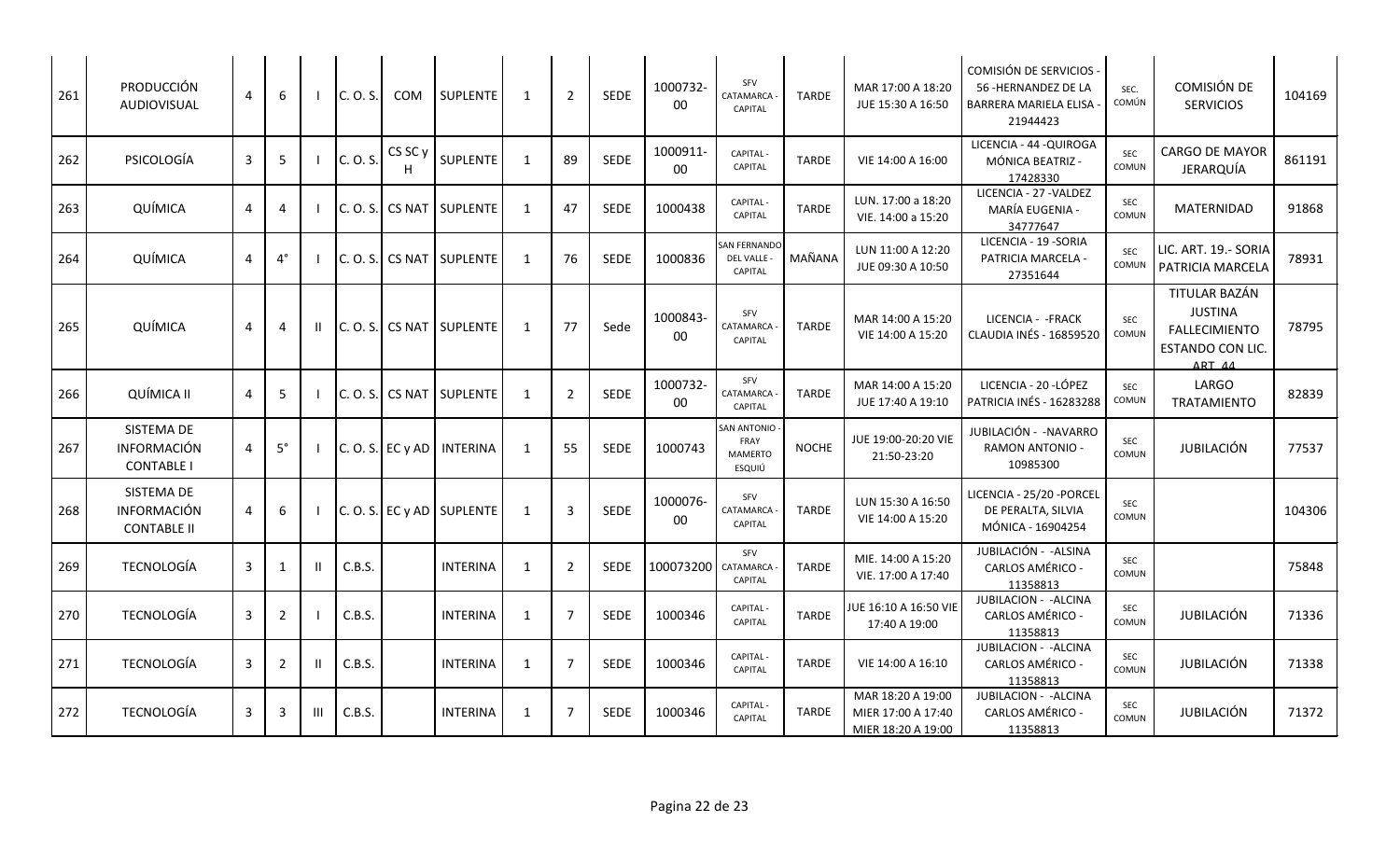| 261 | PRODUCCIÓN<br>AUDIOVISUAL                              | 4 | 6              |    | C. O. S. | COM                | <b>SUPLENTE</b>             | 1            | $\overline{2}$ | SEDE        | 1000732-<br>$00\,$ | SFV<br>CATAMARCA<br><b>CAPITAL</b>              | <b>TARDE</b> | MAR 17:00 A 18:20<br>JUE 15:30 A 16:50                        | COMISIÓN DE SERVICIOS<br>56 - HERNANDEZ DE LA<br>BARRERA MARIELA ELISA<br>21944423 | SEC.<br>COMÚN       | COMISIÓN DE<br><b>SERVICIOS</b>                                                       | 104169 |
|-----|--------------------------------------------------------|---|----------------|----|----------|--------------------|-----------------------------|--------------|----------------|-------------|--------------------|-------------------------------------------------|--------------|---------------------------------------------------------------|------------------------------------------------------------------------------------|---------------------|---------------------------------------------------------------------------------------|--------|
| 262 | PSICOLOGÍA                                             | 3 | 5              |    | C. O. S. | CS <sub>SC</sub> y | SUPLENTE                    | -1           | 89             | SEDE        | 1000911-<br>00     | CAPITAL -<br>CAPITAL                            | <b>TARDE</b> | VIE 14:00 A 16:00                                             | LICENCIA - 44 - QUIROGA<br>MÓNICA BEATRIZ -<br>17428330                            | <b>SEC</b><br>COMUN | <b>CARGO DE MAYOR</b><br><b>JERARQUÍA</b>                                             | 861191 |
| 263 | QUÍMICA                                                | 4 | 4              |    | C. O. S. | <b>CS NAT</b>      | <b>SUPLENTE</b>             | 1            | 47             | <b>SEDE</b> | 1000438            | <b>CAPITAL-</b><br>CAPITAL                      | <b>TARDE</b> | LUN. 17:00 a 18:20<br>VIE. 14:00 a 15:20                      | LICENCIA - 27 - VALDEZ<br>MARÍA EUGENIA -<br>34777647                              | SEC<br>COMUN        | <b>MATERNIDAD</b>                                                                     | 91868  |
| 264 | QUÍMICA                                                | 4 | $4^{\circ}$    |    | C. O. S. |                    | CS NAT SUPLENTE             | 1            | 76             | <b>SEDE</b> | 1000836            | <b>SAN FERNANDO</b><br>DEL VALLE -<br>CAPITAL   | MAÑANA       | LUN 11:00 A 12:20<br>JUE 09:30 A 10:50                        | LICENCIA - 19 - SORIA<br>PATRICIA MARCELA -<br>27351644                            | <b>SEC</b><br>COMUN | LIC. ART. 19.- SORIA<br>PATRICIA MARCELA                                              | 78931  |
| 265 | QUÍMICA                                                | 4 | 4              | H. | C. O. S. |                    | CS NAT SUPLENTE             | 1            | 77             | Sede        | 1000843-<br>$00\,$ | SFV<br>CATAMARCA<br><b>CAPITAL</b>              | <b>TARDE</b> | MAR 14:00 A 15:20<br>VIE 14:00 A 15:20                        | LICENCIA - - FRACK<br><b>CLAUDIA INÉS - 16859520</b>                               | <b>SEC</b><br>COMUN | TITULAR BAZÁN<br><b>JUSTINA</b><br><b>FALLECIMIENTO</b><br>ESTANDO CON LIC.<br>ART AA | 78795  |
| 266 | QUÍMICA II                                             | 4 | 5              |    | C. O. S. |                    | CS NAT SUPLENTE             | 1            | $\overline{2}$ | SEDE        | 1000732-<br>00     | SFV<br>CATAMARCA<br><b>CAPITAL</b>              | <b>TARDE</b> | MAR 14:00 A 15:20<br>JUE 17:40 A 19:10                        | LICENCIA - 20 - LÓPEZ<br>PATRICIA INÉS - 16283288                                  | SEC<br>COMUN        | LARGO<br><b>TRATAMIENTO</b>                                                           | 82839  |
| 267 | SISTEMA DE<br>INFORMACIÓN<br><b>CONTABLE I</b>         | 4 | $5^\circ$      |    |          | $C. O. S.$ EC y AD | <b>INTERINA</b>             | 1            | 55             | <b>SEDE</b> | 1000743            | SAN ANTONIO<br>FRAY<br><b>MAMERTO</b><br>ESQUIÚ | <b>NOCHE</b> | JUE 19:00-20:20 VIE<br>21:50-23:20                            | JUBILACIÓN - - NAVARRO<br><b>RAMON ANTONIO -</b><br>10985300                       | SEC<br>COMUN        | <b>JUBILACIÓN</b>                                                                     | 77537  |
| 268 | SISTEMA DE<br><b>INFORMACIÓN</b><br><b>CONTABLE II</b> | 4 | 6              |    |          |                    | $C. O. S.$ EC y AD SUPLENTE | 1            | 3              | SEDE        | 1000076-<br>00     | SFV<br>CATAMARCA<br>CAPITAL                     | <b>TARDE</b> | LUN 15:30 A 16:50<br>VIE 14:00 A 15:20                        | LICENCIA - 25/20 - PORCEL<br>DE PERALTA, SILVIA<br>MÓNICA - 16904254               | <b>SEC</b><br>COMUN |                                                                                       | 104306 |
| 269 | <b>TECNOLOGÍA</b>                                      | 3 | 1              |    | C.B.S.   |                    | <b>INTERINA</b>             | $\mathbf{1}$ | $\overline{2}$ | <b>SEDE</b> | 100073200          | SFV<br>CATAMARCA<br>CAPITAL                     | <b>TARDE</b> | MIE. 14:00 A 15:20<br>VIE. 17:00 A 17:40                      | JUBILACIÓN - - ALSINA<br>CARLOS AMÉRICO -<br>11358813                              | SEC<br>COMUN        |                                                                                       | 75848  |
| 270 | TECNOLOGÍA                                             | 3 | $\overline{2}$ |    | C.B.S.   |                    | <b>INTERINA</b>             | $\mathbf{1}$ | $\overline{7}$ | <b>SEDE</b> | 1000346            | CAPITAL -<br>CAPITAL                            | <b>TARDE</b> | JUE 16:10 A 16:50 VIE<br>17:40 A 19:00                        | JUBILACION - - ALCINA<br>CARLOS AMÉRICO<br>11358813                                | SEC<br>COMUN        | JUBILACIÓN                                                                            | 71336  |
| 271 | TECNOLOGÍA                                             | 3 | 2              |    | C.B.S.   |                    | <b>INTERINA</b>             | 1            | $\overline{7}$ | <b>SEDE</b> | 1000346            | <b>CAPITAL-</b><br>CAPITAL                      | <b>TARDE</b> | VIE 14:00 A 16:10                                             | JUBILACION - - ALCINA<br>CARLOS AMÉRICO -<br>11358813                              | SEC<br>COMUN        | JUBILACIÓN                                                                            | 71338  |
| 272 | <b>TECNOLOGÍA</b>                                      | 3 | 3              | Ш  | C.B.S.   |                    | <b>INTERINA</b>             | 1            | $\overline{7}$ | SEDE        | 1000346            | <b>CAPITAL-</b><br>CAPITAL                      | <b>TARDE</b> | MAR 18:20 A 19:00<br>MIER 17:00 A 17:40<br>MIER 18:20 A 19:00 | JUBILACION - - ALCINA<br>CARLOS AMÉRICO -<br>11358813                              | SEC<br>COMUN        | <b>JUBILACIÓN</b>                                                                     | 71372  |